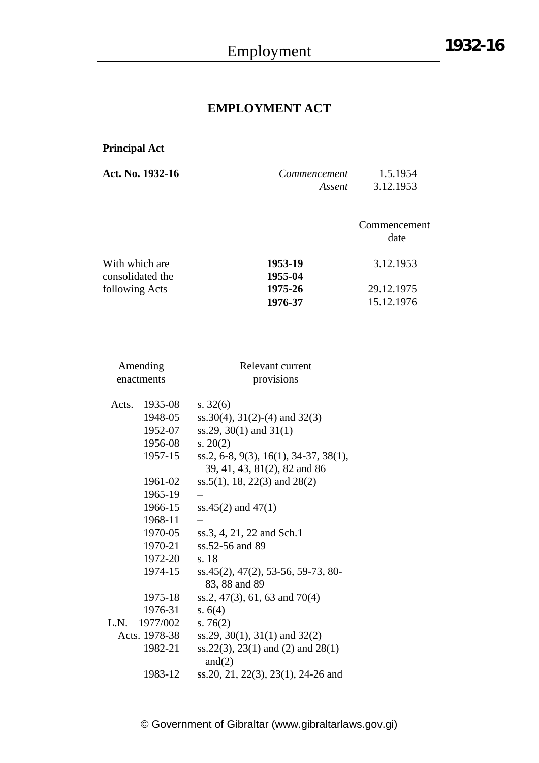## **EMPLOYMENT ACT**

## **Principal Act**

| Act. No. 1932-16 | Commencement | 1.5.1954                |  |
|------------------|--------------|-------------------------|--|
|                  |              | <i>Assent</i> 3.12.1953 |  |

|                  |         | Commencement<br>date |
|------------------|---------|----------------------|
| With which are   | 1953-19 | 3.12.1953            |
| consolidated the | 1955-04 |                      |
| following Acts   | 1975-26 | 29.12.1975           |
|                  | 1976-37 | 15.12.1976           |

| Amending   |               | Relevant current                            |  |
|------------|---------------|---------------------------------------------|--|
| enactments |               | provisions                                  |  |
|            |               |                                             |  |
| Acts.      | 1935-08       | s. $32(6)$                                  |  |
|            | 1948-05       | $ss.30(4)$ , 31(2)-(4) and 32(3)            |  |
|            | 1952-07       | ss.29, 30(1) and $31(1)$                    |  |
|            | 1956-08       | s. $20(2)$                                  |  |
|            | 1957-15       | $\{88.2, 6-8, 9(3), 16(1), 34-37, 38(1),\}$ |  |
|            |               | 39, 41, 43, 81(2), 82 and 86                |  |
|            | 1961-02       | $ss.5(1)$ , 18, 22(3) and 28(2)             |  |
|            | 1965-19       |                                             |  |
|            | 1966-15       | $ss.45(2)$ and $47(1)$                      |  |
|            | 1968-11       |                                             |  |
|            | 1970-05       | ss.3, 4, 21, 22 and Sch.1                   |  |
|            | 1970-21       | ss.52-56 and 89                             |  |
|            | 1972-20       | s. 18                                       |  |
|            | 1974-15       | $ss.45(2), 47(2), 53-56, 59-73, 80-$        |  |
|            |               | 83, 88 and 89                               |  |
|            | 1975-18       | ss.2, 47(3), 61, 63 and 70(4)               |  |
|            | 1976-31       | s. $6(4)$                                   |  |
| L.N.       | 1977/002      | s. $76(2)$                                  |  |
|            | Acts. 1978-38 | ss. 29, 30(1), 31(1) and 32(2)              |  |
|            | 1982-21       | ss.22(3), 23(1) and (2) and 28(1)           |  |
|            |               | and $(2)$                                   |  |
|            | 1983-12       | ss.20, 21, 22(3), 23(1), 24-26 and          |  |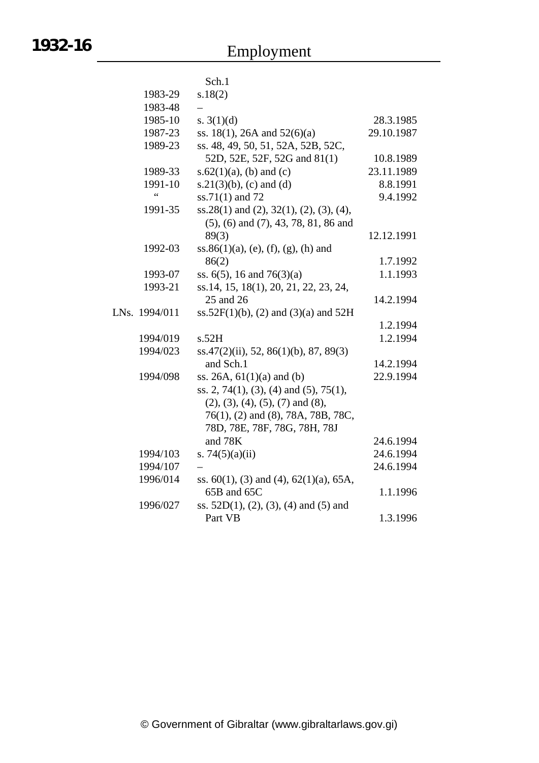# Employment

|                 | Sch.1                                                   |            |  |
|-----------------|---------------------------------------------------------|------------|--|
| 1983-29         | s.18(2)                                                 |            |  |
| 1983-48         |                                                         |            |  |
| 1985-10         | s. $3(1)(d)$                                            | 28.3.1985  |  |
| 1987-23         | ss. 18(1), 26A and 52(6)(a)<br>29.10.1987               |            |  |
| 1989-23         | ss. 48, 49, 50, 51, 52A, 52B, 52C,                      |            |  |
|                 | 52D, 52E, 52F, 52G and 81(1)                            | 10.8.1989  |  |
| 1989-33         | $s.62(1)(a)$ , (b) and (c)                              | 23.11.1989 |  |
| 1991-10         | $s.21(3)(b)$ , (c) and (d)                              | 8.8.1991   |  |
| $\zeta$ $\zeta$ | $ss.71(1)$ and 72                                       | 9.4.1992   |  |
| 1991-35         | $ss.28(1)$ and (2), 32(1), (2), (3), (4),               |            |  |
|                 | $(5)$ , $(6)$ and $(7)$ , $43$ , $78$ , $81$ , $86$ and |            |  |
|                 | 89(3)                                                   | 12.12.1991 |  |
| 1992-03         | $ss.86(1)(a)$ , (e), (f), (g), (h) and                  |            |  |
|                 | 86(2)                                                   | 1.7.1992   |  |
| 1993-07         | ss. $6(5)$ , 16 and $76(3)(a)$                          | 1.1.1993   |  |
| 1993-21         | ss.14, 15, 18(1), 20, 21, 22, 23, 24,                   |            |  |
|                 | 25 and 26                                               | 14.2.1994  |  |
| LNs. 1994/011   | ss.52F(1)(b), (2) and (3)(a) and 52H                    |            |  |
|                 |                                                         | 1.2.1994   |  |
| 1994/019        | s.52H                                                   | 1.2.1994   |  |
| 1994/023        | $ss.47(2)(ii)$ , 52, 86(1)(b), 87, 89(3)                |            |  |
|                 | and Sch.1                                               | 14.2.1994  |  |
| 1994/098        | ss. 26A, $61(1)(a)$ and (b)                             | 22.9.1994  |  |
|                 | ss. 2, 74(1), (3), (4) and (5), 75(1),                  |            |  |
|                 | $(2), (3), (4), (5), (7)$ and $(8),$                    |            |  |
|                 | 76(1), (2) and (8), 78A, 78B, 78C,                      |            |  |
|                 | 78D, 78E, 78F, 78G, 78H, 78J                            |            |  |
|                 | and 78K                                                 | 24.6.1994  |  |
| 1994/103        | s. $74(5)(a)(ii)$                                       | 24.6.1994  |  |
| 1994/107        |                                                         | 24.6.1994  |  |
| 1996/014        | ss. $60(1)$ , (3) and (4), $62(1)(a)$ , 65A,            |            |  |
|                 | 65B and 65C                                             | 1.1.1996   |  |
| 1996/027        | ss. $52D(1)$ , (2), (3), (4) and (5) and                |            |  |
|                 | Part VB                                                 | 1.3.1996   |  |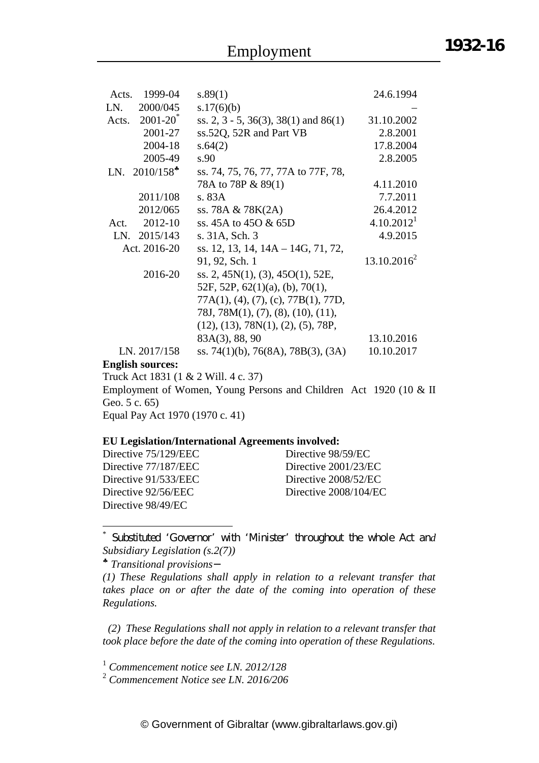| 1999-04<br>Acts.  | s.89(1)                                            | 24.6.1994              |  |
|-------------------|----------------------------------------------------|------------------------|--|
| 2000/045<br>LN.   | s.17(6)(b)                                         |                        |  |
| Acts. $2001-20^*$ | ss. 2, $3 - 5$ , $36(3)$ , $38(1)$ and $86(1)$     | 31.10.2002             |  |
| 2001-27           | ss.52Q, 52R and Part VB                            | 2.8.2001               |  |
| 2004-18           | s.64(2)                                            | 17.8.2004              |  |
| 2005-49           | s.90                                               | 2.8.2005               |  |
| LN. $2010/158^*$  | ss. 74, 75, 76, 77, 77A to 77F, 78,                |                        |  |
|                   | 78A to 78P & 89(1)                                 | 4.11.2010              |  |
| 2011/108          | s. 83A                                             | 7.7.2011               |  |
| 2012/065          | ss. 78A $& 78K(2A)$                                | 26.4.2012              |  |
| 2012-10<br>Act.   | ss. 45A to 45O & 65D                               | 4.10.2012 <sup>1</sup> |  |
| LN. 2015/143      | s. 31A, Sch. 3                                     | 4.9.2015               |  |
| Act. 2016-20      | ss. 12, 13, 14, $14A - 14G$ , 71, 72,              |                        |  |
|                   | 91, 92, Sch. 1                                     | $13.10.2016^2$         |  |
| 2016-20           | ss. 2, 45 $N(1)$ , (3), 45 $O(1)$ , 52E,           |                        |  |
|                   | 52F, 52P, $62(1)(a)$ , (b), 70(1),                 |                        |  |
|                   | 77A(1), (4), (7), (c), 77B(1), 77D,                |                        |  |
|                   | 78J, 78M $(1)$ , $(7)$ , $(8)$ , $(10)$ , $(11)$ , |                        |  |
|                   | (12), (13), 78N(1), (2), (5), 78P,                 |                        |  |
|                   | 83A(3), 88, 90                                     | 13.10.2016             |  |
| LN. 2017/158      | ss. 74(1)(b), 76(8A), 78B(3), (3A)                 | 10.10.2017             |  |
|                   |                                                    |                        |  |

**English sources:**

Truck Act 1831 (1 & 2 Will. 4 c. 37)

Employment of Women, Young Persons and Children Act 1920 (10 & II Geo. 5 c. 65)

Equal Pay Act 1970 (1970 c. 41)

## **EU Legislation/International Agreements involved:**

| Directive 75/129/EEC | Directive 98/59/EC      |
|----------------------|-------------------------|
| Directive 77/187/EEC | Directive $2001/23/EC$  |
| Directive 91/533/EEC | Directive 2008/52/EC    |
| Directive 92/56/EEC  | Directive $2008/104/EC$ |
| Directive 98/49/EC   |                         |

<sup>\*</sup> *Substituted 'Governor' with 'Minister' throughout the whole Act and Subsidiary Legislation (s.2(7))*

*Transitional provisions−*

*(1) These Regulations shall apply in relation to a relevant transfer that takes place on or after the date of the coming into operation of these Regulations.*

*(2) These Regulations shall not apply in relation to a relevant transfer that took place before the date of the coming into operation of these Regulations.*

<sup>1</sup> *Commencement notice see LN. 2012/128*

<sup>2</sup> *Commencement Notice see LN. 2016/206*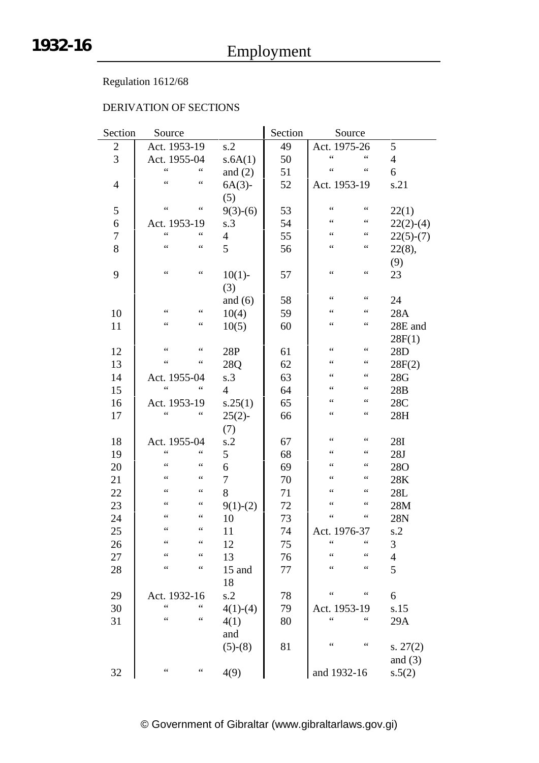L.

## Regulation 1612/68

## DERIVATION OF SECTIONS

| Section          | Source          |                                   | Section |                 | Source                                |                |
|------------------|-----------------|-----------------------------------|---------|-----------------|---------------------------------------|----------------|
| $\overline{c}$   | Act. 1953-19    | s.2                               | 49      | Act. 1975-26    |                                       | 5              |
| 3                | Act. 1955-04    | s.6A(1)                           | 50      | $\zeta$         | $\zeta$ $\zeta$                       | $\overline{4}$ |
|                  | $\zeta$ $\zeta$ | $\zeta$ $\zeta$<br>and $(2)$      | 51      | $\zeta$ $\zeta$ | $\zeta$ $\zeta$                       | 6              |
| $\overline{4}$   | $\zeta$ $\zeta$ | $\zeta$ $\zeta$<br>$6A(3)-$       | 52      | Act. 1953-19    |                                       | s.21           |
|                  |                 | (5)                               |         |                 |                                       |                |
| 5                | $\zeta$ $\zeta$ | $\zeta$ $\zeta$<br>$9(3)-(6)$     | 53      | $\zeta$ $\zeta$ | $\zeta$ $\zeta$                       | 22(1)          |
| $\boldsymbol{6}$ | Act. 1953-19    | s.3                               | 54      | $\zeta$ $\zeta$ | $\zeta$ $\zeta$                       | $22(2)-(4)$    |
| $\boldsymbol{7}$ | $\zeta$ $\zeta$ | $\zeta$ $\zeta$<br>4              | 55      | $\zeta$ $\zeta$ | $\,$ $\,$ $\,$ $\,$ $\,$ $\,$         | $22(5)-(7)$    |
| $8\,$            | $\zeta$ $\zeta$ | $\zeta$ $\zeta$<br>5              | 56      | $\zeta$ $\zeta$ | $\zeta$ $\zeta$                       | 22(8),         |
|                  |                 |                                   |         |                 |                                       | (9)            |
| 9                | $\zeta$ $\zeta$ | $\zeta$ $\zeta$<br>$10(1)$ -      | 57      | $\zeta$ $\zeta$ | $\zeta$ $\zeta$                       | 23             |
|                  |                 | (3)                               |         |                 |                                       |                |
|                  |                 | and $(6)$                         | 58      | $\zeta$ $\zeta$ | $\,$ $\,$ $\,$ $\,$ $\,$ $\,$         | 24             |
| 10               | $\zeta$ $\zeta$ | $\zeta$ $\zeta$<br>10(4)          | 59      | 66              | $\,$ $\,$ $\,$ $\,$ $\,$ $\,$         | 28A            |
| 11               | 66              | $\zeta$ $\zeta$<br>10(5)          | 60      | $\zeta$ $\zeta$ | $\zeta$ $\zeta$                       | 28E and        |
|                  |                 |                                   |         |                 |                                       | 28F(1)         |
| 12               | $\leq$          | $\zeta$ $\zeta$<br>28P            | 61      | $\zeta$ $\zeta$ | $\,$ $\,$ $\,$ $\,$ $\,$ $\,$         | 28D            |
| 13               | $\zeta$ $\zeta$ | $\zeta$ $\zeta$<br>28Q            | 62      | $\zeta$ $\zeta$ | $\zeta$ $\zeta$                       | 28F(2)         |
| 14               | Act. 1955-04    | s.3                               | 63      | $\zeta$ $\zeta$ | $\!\!\!\zeta\!\!\!\zeta\!\!\!\zeta\!$ | 28G            |
| 15               | $\zeta$ $\zeta$ | $\zeta$ $\zeta$<br>$\overline{4}$ | 64      | $\zeta$ $\zeta$ | $\zeta$ $\zeta$                       | 28B            |
| 16               | Act. 1953-19    | s.25(1)                           | 65      | $\zeta$ $\zeta$ | $\zeta$ $\zeta$                       | 28C            |
| 17               | 66              | $\zeta$ $\zeta$<br>$25(2)$ -      | 66      | $\zeta$ $\zeta$ | $\zeta$ $\zeta$                       | 28H            |
|                  |                 | (7)                               |         |                 |                                       |                |
| 18               | Act. 1955-04    | s.2                               | 67      | $\zeta$ $\zeta$ | $\,$ $\,$ $\,$ $\,$ $\,$ $\,$         | <b>28I</b>     |
| 19               | $\zeta$ $\zeta$ | $\zeta$ $\zeta$<br>5              | 68      | $\zeta$ $\zeta$ | $\zeta$ $\zeta$                       | 28J            |
| 20               | $\zeta$ $\zeta$ | $\zeta$ $\zeta$<br>6              | 69      | $\zeta$ $\zeta$ | $\zeta$ $\zeta$                       | <b>28O</b>     |
| 21               | $\zeta$ $\zeta$ | $\zeta$ $\zeta$<br>$\overline{7}$ | 70      | $\zeta$ $\zeta$ | $\zeta$ $\zeta$                       | 28K            |
| 22               | 66              | $\zeta$ $\zeta$<br>8              | 71      | $\zeta$ $\zeta$ | 66                                    | 28L            |
| 23               | 66              | $\zeta$ $\zeta$<br>$9(1)-(2)$     | 72      | 66              | $\!\!\!\zeta\!\!\!\zeta\!\!\!\zeta\!$ | 28M            |
| 24               | 66              | $\zeta$ $\zeta$<br>10             | 73      | $\zeta$ $\zeta$ | $\zeta$ $\zeta$                       | 28N            |
| 25               | $\zeta$ $\zeta$ | $\zeta$ $\zeta$<br>11             | 74      | Act. 1976-37    |                                       | s.2            |
| 26               | $\zeta$ $\zeta$ | $\zeta$ $\zeta$<br>12             | 75      | $\zeta$ $\zeta$ | $\zeta$ $\zeta$                       | 3              |
| $27\,$           |                 | $\zeta$ $\zeta$<br>13             | 76      | 66              | $\zeta$ $\zeta$                       | $\overline{4}$ |
| 28               | 66              | $\zeta$ $\zeta$<br>15 and         | 77      | $\zeta$ $\zeta$ | $\zeta$ $\zeta$                       | 5              |
|                  |                 | 18                                |         |                 |                                       |                |
| 29               | Act. 1932-16    | s.2                               | 78      | 66              | $\zeta$ $\zeta$                       | 6              |
| 30               | $\epsilon$      | $\zeta$ $\zeta$<br>$4(1)-(4)$     | 79      | Act. 1953-19    |                                       | s.15           |
| 31               | 66              | $\zeta$ $\zeta$<br>4(1)           | 80      | $\zeta$ $\zeta$ | $\zeta$ $\zeta$                       | 29A            |
|                  |                 | and                               |         |                 |                                       |                |
|                  |                 | $(5)-(8)$                         | 81      | $\zeta$ $\zeta$ | $\,$ $\,$ $\,$ $\,$ $\,$ $\,$         | s. $27(2)$     |
|                  |                 |                                   |         |                 |                                       | and $(3)$      |
| 32               | $\zeta$ $\zeta$ | $\zeta$ $\zeta$<br>4(9)           |         | and 1932-16     |                                       | s.5(2)         |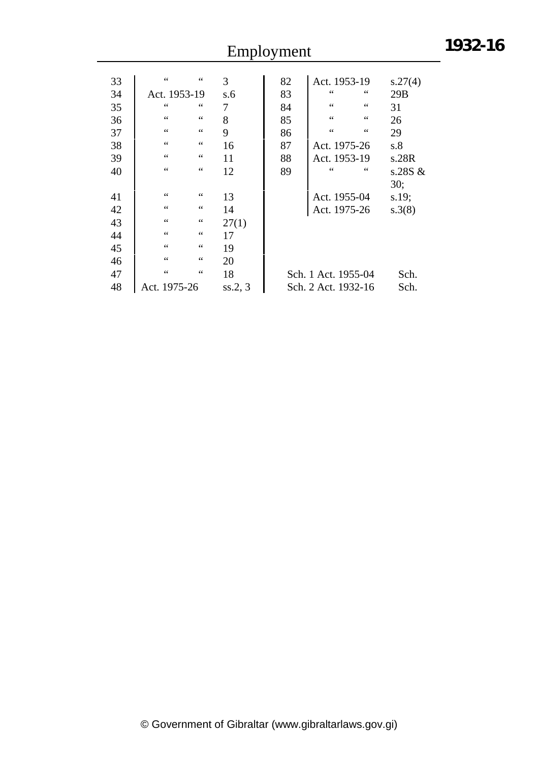| 33 | $\zeta$ $\zeta$ | $\zeta$ $\zeta$ | 3       | 82 | Act. 1953-19        |                 | s.27(4)    |
|----|-----------------|-----------------|---------|----|---------------------|-----------------|------------|
| 34 | Act. 1953-19    |                 | s.6     | 83 | $\leq \leq$         | $\,6\,6$        | 29B        |
| 35 | $\zeta$ $\zeta$ | 66              | 7       | 84 | $\leq \leq$         | $\leq$ $\leq$   | 31         |
| 36 | $\zeta\,\zeta$  | $\zeta$ $\zeta$ | 8       | 85 | $\leq \leq$         | $\mbox{\bf 6}$  | 26         |
| 37 | $\zeta\,\zeta$  | $\zeta$ $\zeta$ | 9       | 86 | $\zeta$ $\zeta$     | $\mbox{\bf 6}$  | 29         |
| 38 | $\zeta\,\zeta$  | $\,6\,$ 6       | 16      | 87 | Act. 1975-26        |                 | s.8        |
| 39 | $\zeta$ $\zeta$ | $\zeta$ $\zeta$ | 11      | 88 | Act. 1953-19        |                 | s.28R      |
| 40 | $\zeta$ $\zeta$ | $\zeta$ $\zeta$ | 12      | 89 | 66                  | $\zeta$ $\zeta$ | s.28S $\&$ |
|    |                 |                 |         |    |                     |                 | 30;        |
| 41 | $\zeta$ $\zeta$ | $\zeta$ $\zeta$ | 13      |    | Act. 1955-04        |                 | s.19;      |
| 42 | $\zeta$ $\zeta$ | $\zeta$ $\zeta$ | 14      |    | Act. 1975-26        |                 | s.3(8)     |
| 43 | $\zeta\,\zeta$  | $\zeta$ $\zeta$ | 27(1)   |    |                     |                 |            |
| 44 | $\zeta\,\zeta$  | $\,66$          | 17      |    |                     |                 |            |
| 45 | $\zeta\,\zeta$  | $\zeta$ $\zeta$ | 19      |    |                     |                 |            |
| 46 | $\zeta$ $\zeta$ | $\zeta$ $\zeta$ | 20      |    |                     |                 |            |
| 47 | $\zeta$ $\zeta$ | $\zeta$ $\zeta$ | 18      |    | Sch. 1 Act. 1955-04 |                 | Sch.       |
| 48 | Act. 1975-26    |                 | ss.2, 3 |    | Sch. 2 Act. 1932-16 |                 | Sch.       |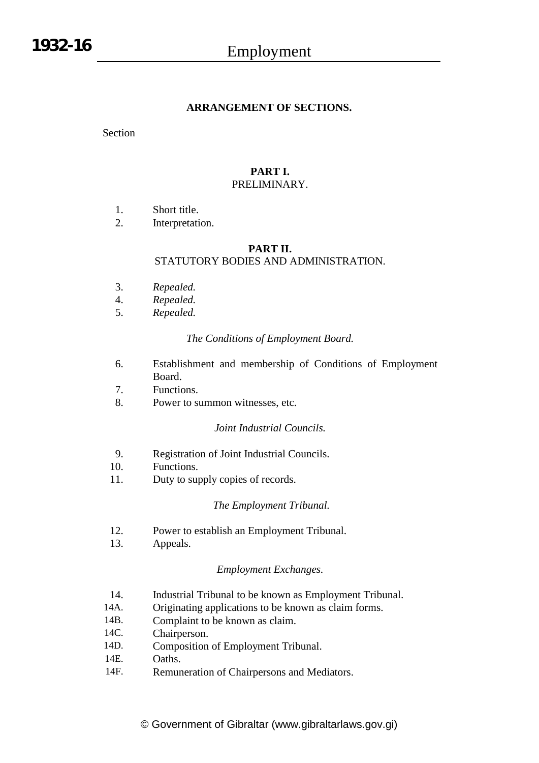#### **ARRANGEMENT OF SECTIONS.**

Section

## **PART I.**

## PRELIMINARY.

- 1. Short title.
- 2. Interpretation.

## **PART II.**

## STATUTORY BODIES AND ADMINISTRATION.

- 3. *Repealed.*
- 4. *Repealed.*
- 5. *Repealed.*

#### *The Conditions of Employment Board.*

- 6. Establishment and membership of Conditions of Employment Board.
- 7. Functions.
- 8. Power to summon witnesses, etc.

#### *Joint Industrial Councils.*

- 9. Registration of Joint Industrial Councils.
- 10. Functions.
- 11. Duty to supply copies of records.

#### *The Employment Tribunal.*

- 12. Power to establish an Employment Tribunal.
- 13. Appeals.

#### *Employment Exchanges.*

- 14. Industrial Tribunal to be known as Employment Tribunal.
- 14A. Originating applications to be known as claim forms.
- 14B. Complaint to be known as claim.
- 14C. Chairperson.
- 14D. Composition of Employment Tribunal.
- 14E. Oaths.
- 14F. Remuneration of Chairpersons and Mediators.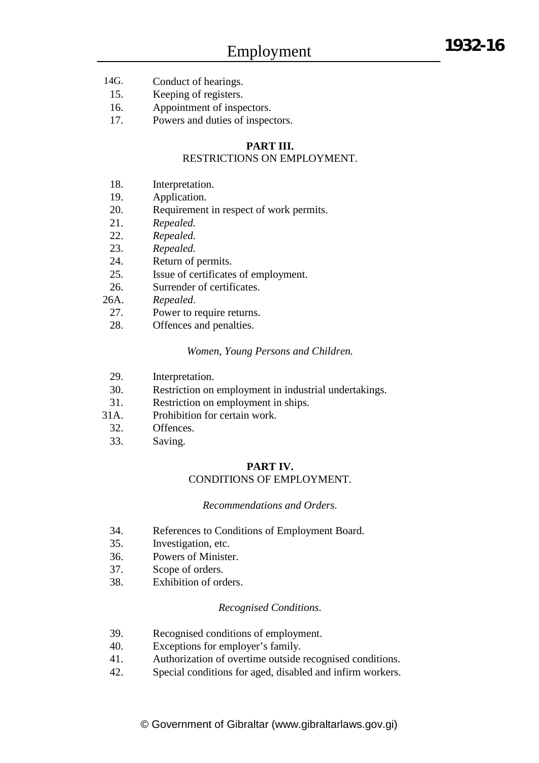- 14G. Conduct of hearings.
	- 15. Keeping of registers.
	- 16. Appointment of inspectors.
- 17. Powers and duties of inspectors.

## **PART III.**

## RESTRICTIONS ON EMPLOYMENT.

- 18. Interpretation.
- 19. Application.
- 20. Requirement in respect of work permits.
- 21. *Repealed.*
- 22. *Repealed.*
- 23. *Repealed.*
- 24. Return of permits.
- 25. Issue of certificates of employment.
- 26. Surrender of certificates.
- 26A. *Repealed*.
- 27. Power to require returns.
- 28. Offences and penalties.

#### *Women, Young Persons and Children.*

- 29. Interpretation.
- 30. Restriction on employment in industrial undertakings.
- 31. Restriction on employment in ships.
- 31A. Prohibition for certain work.
- 32. Offences.
- 33. Saving.

#### **PART IV.**

#### CONDITIONS OF EMPLOYMENT.

#### *Recommendations and Orders.*

- 34. References to Conditions of Employment Board.
- 35. Investigation, etc.
- 36. Powers of Minister.
- 37. Scope of orders.
- 38. Exhibition of orders.

#### *Recognised Conditions.*

- 39. Recognised conditions of employment.
- 40. Exceptions for employer's family.
- 41. Authorization of overtime outside recognised conditions.
- 42. Special conditions for aged, disabled and infirm workers.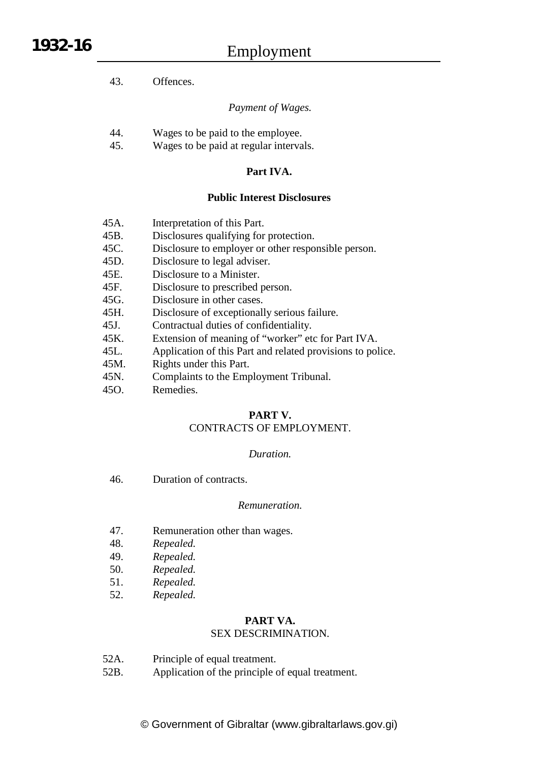43. Offences.

*Payment of Wages.*

- 44. Wages to be paid to the employee.
- 45. Wages to be paid at regular intervals.

#### **Part IVA.**

## **Public Interest Disclosures**

| 45A.        | Interpretation of this Part.                               |
|-------------|------------------------------------------------------------|
| 45B.        | Disclosures qualifying for protection.                     |
| 45C.        | Disclosure to employer or other responsible person.        |
| 45D.        | Disclosure to legal adviser.                               |
| 45E.        | Disclosure to a Minister.                                  |
| 45F.        | Disclosure to prescribed person.                           |
| 45G.        | Disclosure in other cases.                                 |
| 45H.        | Disclosure of exceptionally serious failure.               |
| 45J.        | Contractual duties of confidentiality.                     |
| 45K.        | Extension of meaning of "worker" etc for Part IVA.         |
| 45L.        | Application of this Part and related provisions to police. |
| $A$ $5$ $M$ | $\mathbf{D}_1$ ghte under this $\mathbf{D}_2$ rt           |

- 45M. Rights under this Part.
- 45N. Complaints to the Employment Tribunal.
- 45O. Remedies.

#### **PART V.**

#### CONTRACTS OF EMPLOYMENT.

#### *Duration.*

46. Duration of contracts.

#### *Remuneration.*

- 47. Remuneration other than wages.
- 48. *Repealed.*
- 49. *Repealed.*
- 50. *Repealed.*
- 51. *Repealed.*
- 52. *Repealed.*

## **PART VA.**

## SEX DESCRIMINATION.

- 52A. Principle of equal treatment.
- 52B. Application of the principle of equal treatment.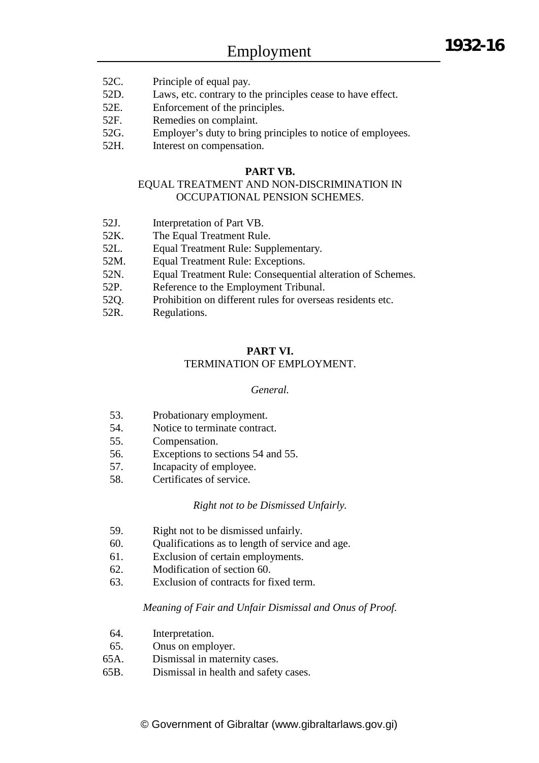- 52C. Principle of equal pay.
- 52D. Laws, etc. contrary to the principles cease to have effect.
- 52E. Enforcement of the principles.
- 52F. Remedies on complaint.
- 52G. Employer's duty to bring principles to notice of employees.
- 52H. Interest on compensation.

#### **PART VB.**

## EQUAL TREATMENT AND NON-DISCRIMINATION IN OCCUPATIONAL PENSION SCHEMES.

- 52J. Interpretation of Part VB.
- 52K. The Equal Treatment Rule.
- 52L. Equal Treatment Rule: Supplementary.
- 52M. Equal Treatment Rule: Exceptions.
- 52N. Equal Treatment Rule: Consequential alteration of Schemes.
- 52P. Reference to the Employment Tribunal.
- 52Q. Prohibition on different rules for overseas residents etc.
- 52R. Regulations.

## **PART VI.**

#### TERMINATION OF EMPLOYMENT.

#### *General.*

- 53. Probationary employment.
- 54. Notice to terminate contract.
- 55. Compensation.
- 56. Exceptions to sections 54 and 55.
- 57. Incapacity of employee.
- 58. Certificates of service.

#### *Right not to be Dismissed Unfairly.*

- 59. Right not to be dismissed unfairly.
- 60. Qualifications as to length of service and age.
- 61. Exclusion of certain employments.
- 62. Modification of section 60.
- 63. Exclusion of contracts for fixed term.

## *Meaning of Fair and Unfair Dismissal and Onus of Proof.*

- 64. Interpretation.
- 65. Onus on employer.
- 65A. Dismissal in maternity cases.
- 65B. Dismissal in health and safety cases.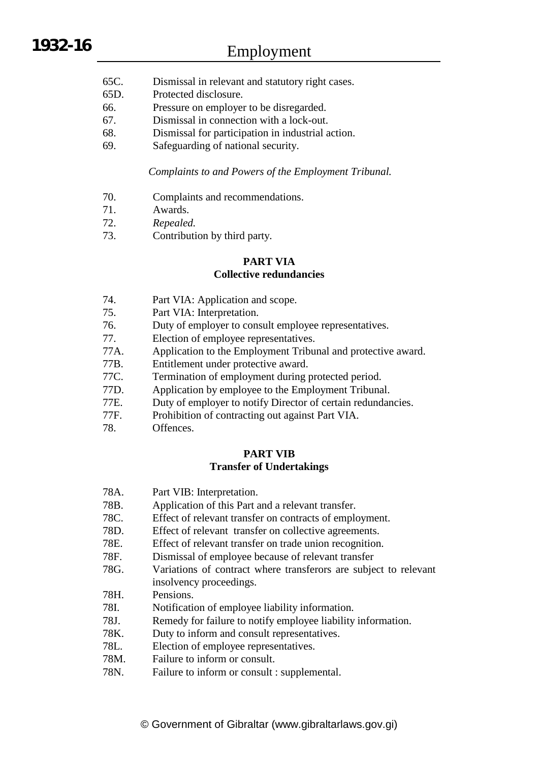- 65C. Dismissal in relevant and statutory right cases.
- 65D. Protected disclosure.
- 66. Pressure on employer to be disregarded.
- 67. Dismissal in connection with a lock-out.
- 68. Dismissal for participation in industrial action.
- 69. Safeguarding of national security.

#### *Complaints to and Powers of the Employment Tribunal.*

- 70. Complaints and recommendations.
- 71. Awards.
- 72. *Repealed.*
- 73. Contribution by third party.

#### **PART VIA Collective redundancies**

- 74. Part VIA: Application and scope.
- 75. Part VIA: Interpretation.
- 76. Duty of employer to consult employee representatives.
- 77. Election of employee representatives.
- 77A. Application to the Employment Tribunal and protective award.
- 77B. Entitlement under protective award.
- 77C. Termination of employment during protected period.
- 77D. Application by employee to the Employment Tribunal.
- 77E. Duty of employer to notify Director of certain redundancies.
- 77F. Prohibition of contracting out against Part VIA.
- 78. Offences.

## **PART VIB**

## **Transfer of Undertakings**

- 78A. Part VIB: Interpretation.
- 78B. Application of this Part and a relevant transfer.
- 78C. Effect of relevant transfer on contracts of employment.
- 78D. Effect of relevant transfer on collective agreements.
- 78E. Effect of relevant transfer on trade union recognition.
- 78F. Dismissal of employee because of relevant transfer
- 78G. Variations of contract where transferors are subject to relevant insolvency proceedings.
- 78H. Pensions.
- 78I. Notification of employee liability information.
- 78J. Remedy for failure to notify employee liability information.
- 78K. Duty to inform and consult representatives.
- 78L. Election of employee representatives.
- 78M. Failure to inform or consult.
- 78N. Failure to inform or consult : supplemental.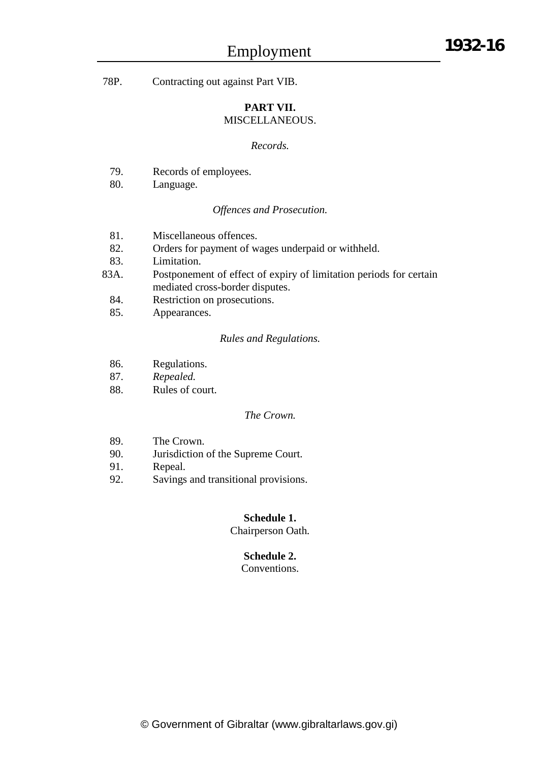78P. Contracting out against Part VIB.

## **PART VII.** MISCELLANEOUS.

#### *Records.*

- 79. Records of employees.
- 80. Language.

#### *Offences and Prosecution.*

- 81. Miscellaneous offences.
- 82. Orders for payment of wages underpaid or withheld.
- 83. Limitation.
- 83A. Postponement of effect of expiry of limitation periods for certain mediated cross-border disputes.
	- 84. Restriction on prosecutions.
	- 85. Appearances.

#### *Rules and Regulations.*

- 86. Regulations.
- 87. *Repealed.*
- 88. Rules of court.

#### *The Crown.*

- 89. The Crown.
- 90. Jurisdiction of the Supreme Court.
- 91. Repeal.
- 92. Savings and transitional provisions.

#### **Schedule 1.**

## Chairperson Oath*.*

## **Schedule 2.**

#### Conventions.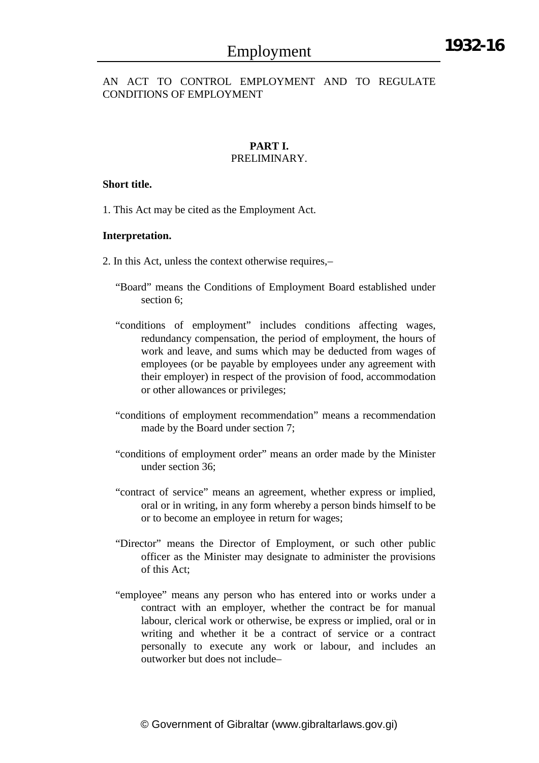## AN ACT TO CONTROL EMPLOYMENT AND TO REGULATE CONDITIONS OF EMPLOYMENT

#### **PART I.** PRELIMINARY.

#### **Short title.**

1. This Act may be cited as the Employment Act.

#### **Interpretation.**

- 2. In this Act, unless the context otherwise requires,–
	- "Board" means the Conditions of Employment Board established under section 6;
	- "conditions of employment" includes conditions affecting wages, redundancy compensation, the period of employment, the hours of work and leave, and sums which may be deducted from wages of employees (or be payable by employees under any agreement with their employer) in respect of the provision of food, accommodation or other allowances or privileges;
	- "conditions of employment recommendation" means a recommendation made by the Board under section 7;
	- "conditions of employment order" means an order made by the Minister under section 36;
	- "contract of service" means an agreement, whether express or implied, oral or in writing, in any form whereby a person binds himself to be or to become an employee in return for wages;
	- "Director" means the Director of Employment, or such other public officer as the Minister may designate to administer the provisions of this Act;
	- "employee" means any person who has entered into or works under a contract with an employer, whether the contract be for manual labour, clerical work or otherwise, be express or implied, oral or in writing and whether it be a contract of service or a contract personally to execute any work or labour, and includes an outworker but does not include–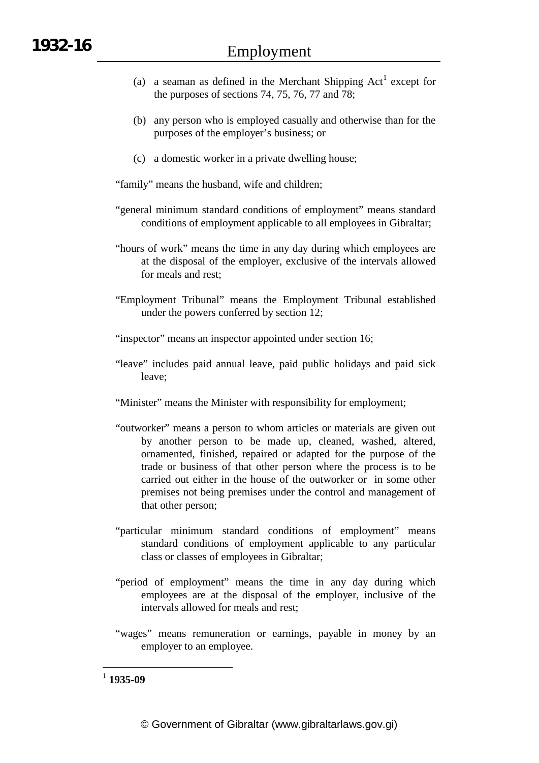- (a) a seaman as defined in the Merchant Shipping  $Act<sup>1</sup>$  except for the purposes of sections 74, 75, 76, 77 and 78;
- (b) any person who is employed casually and otherwise than for the purposes of the employer's business; or
- (c) a domestic worker in a private dwelling house;

"family" means the husband, wife and children;

- "general minimum standard conditions of employment" means standard conditions of employment applicable to all employees in Gibraltar;
- "hours of work" means the time in any day during which employees are at the disposal of the employer, exclusive of the intervals allowed for meals and rest;
- "Employment Tribunal" means the Employment Tribunal established under the powers conferred by section 12;

"inspector" means an inspector appointed under section 16;

- "leave" includes paid annual leave, paid public holidays and paid sick leave;
- "Minister" means the Minister with responsibility for employment;
- "outworker" means a person to whom articles or materials are given out by another person to be made up, cleaned, washed, altered, ornamented, finished, repaired or adapted for the purpose of the trade or business of that other person where the process is to be carried out either in the house of the outworker or in some other premises not being premises under the control and management of that other person;
- "particular minimum standard conditions of employment" means standard conditions of employment applicable to any particular class or classes of employees in Gibraltar;
- "period of employment" means the time in any day during which employees are at the disposal of the employer, inclusive of the intervals allowed for meals and rest;
- "wages" means remuneration or earnings, payable in money by an employer to an employee.

<sup>1</sup> **1935-09**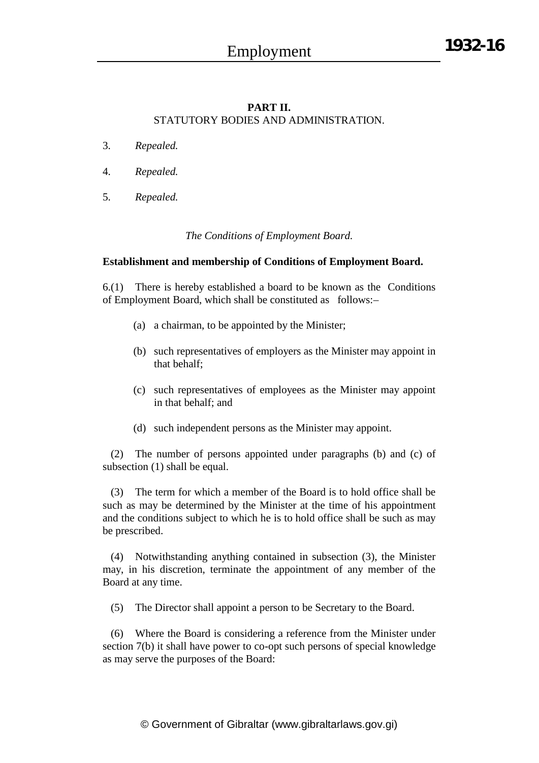#### **PART II.** STATUTORY BODIES AND ADMINISTRATION.

- 3. *Repealed.*
- 4. *Repealed.*
- 5. *Repealed.*

## *The Conditions of Employment Board.*

## **Establishment and membership of Conditions of Employment Board.**

6.(1) There is hereby established a board to be known as the Conditions of Employment Board, which shall be constituted as follows:–

- (a) a chairman, to be appointed by the Minister;
- (b) such representatives of employers as the Minister may appoint in that behalf;
- (c) such representatives of employees as the Minister may appoint in that behalf; and
- (d) such independent persons as the Minister may appoint.

(2) The number of persons appointed under paragraphs (b) and (c) of subsection (1) shall be equal.

(3) The term for which a member of the Board is to hold office shall be such as may be determined by the Minister at the time of his appointment and the conditions subject to which he is to hold office shall be such as may be prescribed.

(4) Notwithstanding anything contained in subsection (3), the Minister may, in his discretion, terminate the appointment of any member of the Board at any time.

(5) The Director shall appoint a person to be Secretary to the Board.

(6) Where the Board is considering a reference from the Minister under section 7(b) it shall have power to co-opt such persons of special knowledge as may serve the purposes of the Board: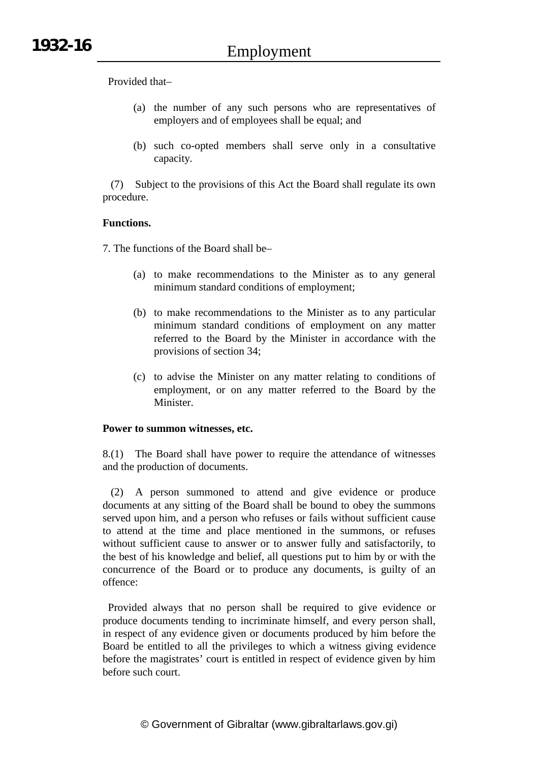Provided that–

- (a) the number of any such persons who are representatives of employers and of employees shall be equal; and
- (b) such co-opted members shall serve only in a consultative capacity.

(7) Subject to the provisions of this Act the Board shall regulate its own procedure.

## **Functions.**

7. The functions of the Board shall be–

- (a) to make recommendations to the Minister as to any general minimum standard conditions of employment;
- (b) to make recommendations to the Minister as to any particular minimum standard conditions of employment on any matter referred to the Board by the Minister in accordance with the provisions of section 34;
- (c) to advise the Minister on any matter relating to conditions of employment, or on any matter referred to the Board by the Minister.

#### **Power to summon witnesses, etc.**

8.(1) The Board shall have power to require the attendance of witnesses and the production of documents.

(2) A person summoned to attend and give evidence or produce documents at any sitting of the Board shall be bound to obey the summons served upon him, and a person who refuses or fails without sufficient cause to attend at the time and place mentioned in the summons, or refuses without sufficient cause to answer or to answer fully and satisfactorily, to the best of his knowledge and belief, all questions put to him by or with the concurrence of the Board or to produce any documents, is guilty of an offence:

Provided always that no person shall be required to give evidence or produce documents tending to incriminate himself, and every person shall, in respect of any evidence given or documents produced by him before the Board be entitled to all the privileges to which a witness giving evidence before the magistrates' court is entitled in respect of evidence given by him before such court.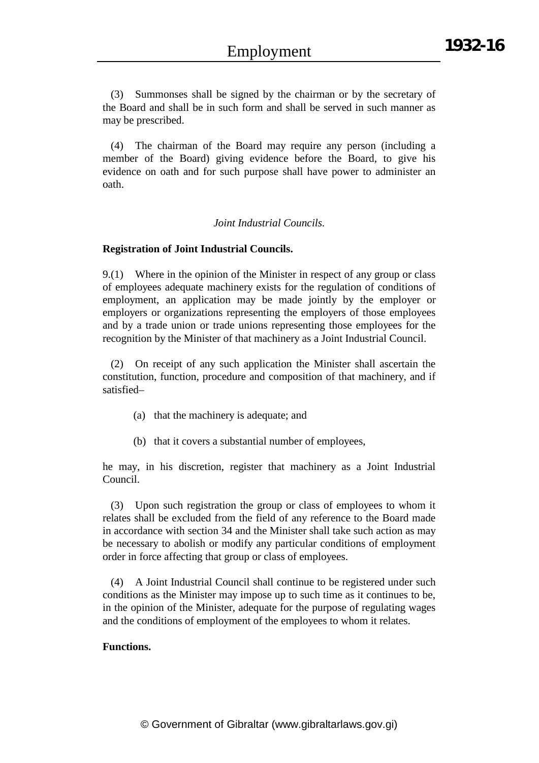(3) Summonses shall be signed by the chairman or by the secretary of the Board and shall be in such form and shall be served in such manner as may be prescribed.

(4) The chairman of the Board may require any person (including a member of the Board) giving evidence before the Board, to give his evidence on oath and for such purpose shall have power to administer an oath.

#### *Joint Industrial Councils.*

#### **Registration of Joint Industrial Councils.**

9.(1) Where in the opinion of the Minister in respect of any group or class of employees adequate machinery exists for the regulation of conditions of employment, an application may be made jointly by the employer or employers or organizations representing the employers of those employees and by a trade union or trade unions representing those employees for the recognition by the Minister of that machinery as a Joint Industrial Council.

(2) On receipt of any such application the Minister shall ascertain the constitution, function, procedure and composition of that machinery, and if satisfied–

- (a) that the machinery is adequate; and
- (b) that it covers a substantial number of employees,

he may, in his discretion, register that machinery as a Joint Industrial Council.

(3) Upon such registration the group or class of employees to whom it relates shall be excluded from the field of any reference to the Board made in accordance with section 34 and the Minister shall take such action as may be necessary to abolish or modify any particular conditions of employment order in force affecting that group or class of employees.

(4) A Joint Industrial Council shall continue to be registered under such conditions as the Minister may impose up to such time as it continues to be, in the opinion of the Minister, adequate for the purpose of regulating wages and the conditions of employment of the employees to whom it relates.

#### **Functions.**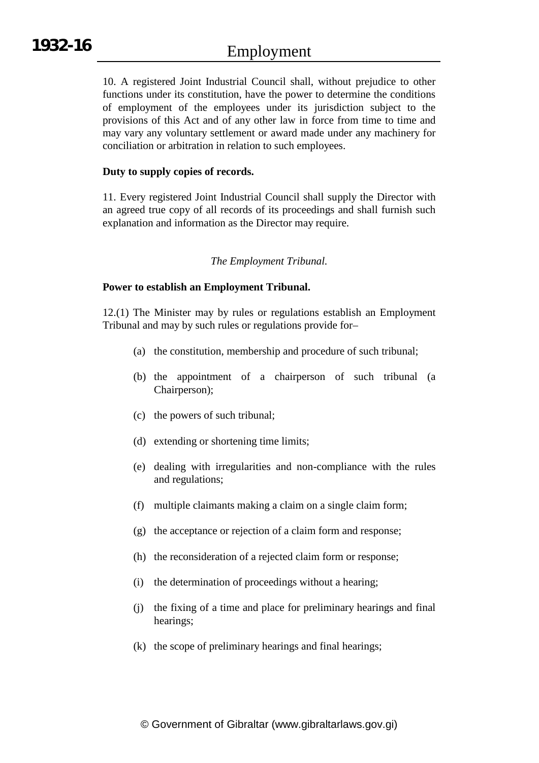10. A registered Joint Industrial Council shall, without prejudice to other functions under its constitution, have the power to determine the conditions of employment of the employees under its jurisdiction subject to the provisions of this Act and of any other law in force from time to time and may vary any voluntary settlement or award made under any machinery for conciliation or arbitration in relation to such employees.

#### **Duty to supply copies of records.**

11. Every registered Joint Industrial Council shall supply the Director with an agreed true copy of all records of its proceedings and shall furnish such explanation and information as the Director may require.

## *The Employment Tribunal.*

## **Power to establish an Employment Tribunal.**

12.(1) The Minister may by rules or regulations establish an Employment Tribunal and may by such rules or regulations provide for–

- (a) the constitution, membership and procedure of such tribunal;
- (b) the appointment of a chairperson of such tribunal (a Chairperson);
- (c) the powers of such tribunal;
- (d) extending or shortening time limits;
- (e) dealing with irregularities and non-compliance with the rules and regulations;
- (f) multiple claimants making a claim on a single claim form;
- (g) the acceptance or rejection of a claim form and response;
- (h) the reconsideration of a rejected claim form or response;
- (i) the determination of proceedings without a hearing;
- (j) the fixing of a time and place for preliminary hearings and final hearings;
- (k) the scope of preliminary hearings and final hearings;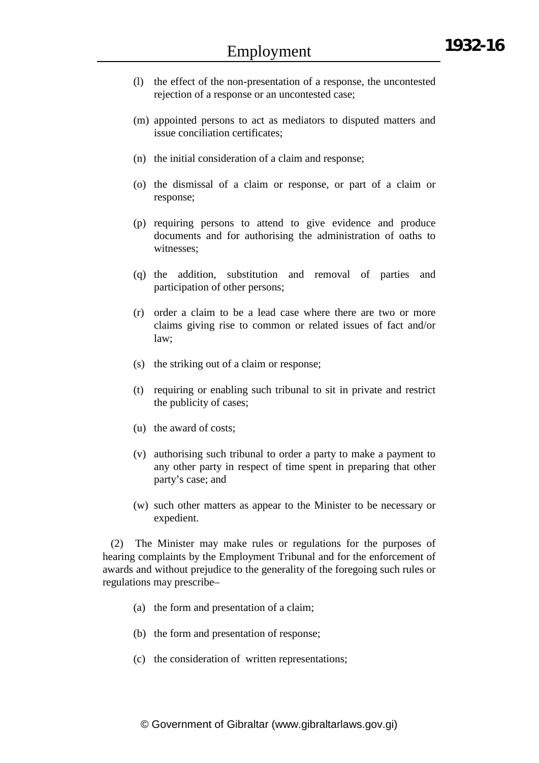- (l) the effect of the non-presentation of a response, the uncontested rejection of a response or an uncontested case;
- (m) appointed persons to act as mediators to disputed matters and issue conciliation certificates;
- (n) the initial consideration of a claim and response;
- (o) the dismissal of a claim or response, or part of a claim or response;
- (p) requiring persons to attend to give evidence and produce documents and for authorising the administration of oaths to witnesses;
- (q) the addition, substitution and removal of parties and participation of other persons;
- (r) order a claim to be a lead case where there are two or more claims giving rise to common or related issues of fact and/or law;
- (s) the striking out of a claim or response;
- (t) requiring or enabling such tribunal to sit in private and restrict the publicity of cases;
- (u) the award of costs;
- (v) authorising such tribunal to order a party to make a payment to any other party in respect of time spent in preparing that other party's case; and
- (w) such other matters as appear to the Minister to be necessary or expedient.

(2) The Minister may make rules or regulations for the purposes of hearing complaints by the Employment Tribunal and for the enforcement of awards and without prejudice to the generality of the foregoing such rules or regulations may prescribe–

- (a) the form and presentation of a claim;
- (b) the form and presentation of response;
- (c) the consideration of written representations;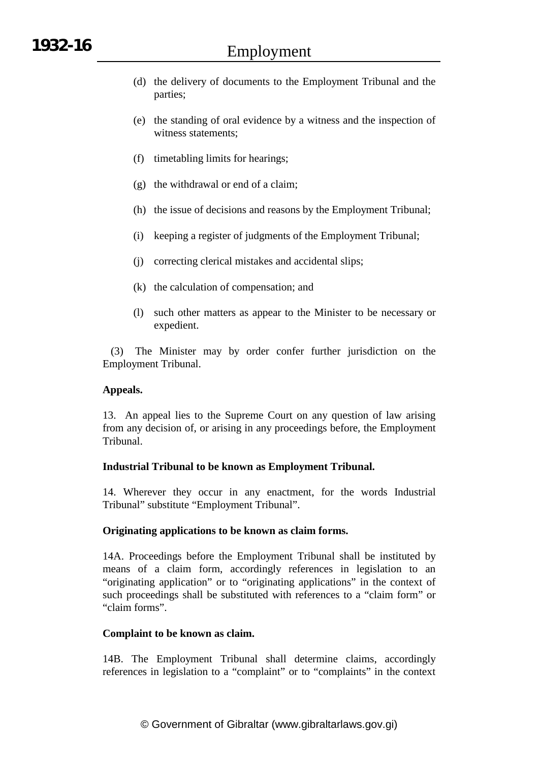- (d) the delivery of documents to the Employment Tribunal and the parties;
- (e) the standing of oral evidence by a witness and the inspection of witness statements;
- (f) timetabling limits for hearings;
- (g) the withdrawal or end of a claim;
- (h) the issue of decisions and reasons by the Employment Tribunal;
- (i) keeping a register of judgments of the Employment Tribunal;
- (j) correcting clerical mistakes and accidental slips;
- (k) the calculation of compensation; and
- (l) such other matters as appear to the Minister to be necessary or expedient.

(3) The Minister may by order confer further jurisdiction on the Employment Tribunal.

#### **Appeals.**

13. An appeal lies to the Supreme Court on any question of law arising from any decision of, or arising in any proceedings before, the Employment Tribunal.

#### **Industrial Tribunal to be known as Employment Tribunal.**

14. Wherever they occur in any enactment, for the words Industrial Tribunal" substitute "Employment Tribunal".

#### **Originating applications to be known as claim forms.**

14A. Proceedings before the Employment Tribunal shall be instituted by means of a claim form, accordingly references in legislation to an "originating application" or to "originating applications" in the context of such proceedings shall be substituted with references to a "claim form" or "claim forms".

#### **Complaint to be known as claim.**

14B. The Employment Tribunal shall determine claims, accordingly references in legislation to a "complaint" or to "complaints" in the context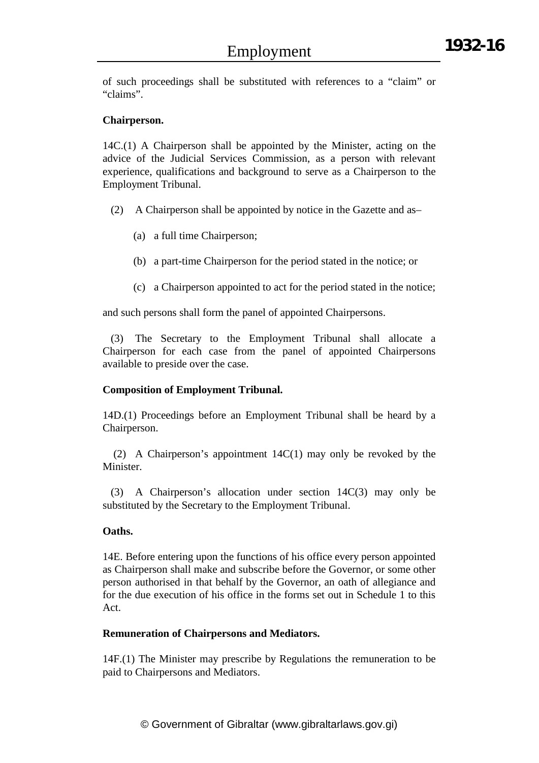of such proceedings shall be substituted with references to a "claim" or "claims".

## **Chairperson.**

14C.(1) A Chairperson shall be appointed by the Minister, acting on the advice of the Judicial Services Commission, as a person with relevant experience, qualifications and background to serve as a Chairperson to the Employment Tribunal.

- (2) A Chairperson shall be appointed by notice in the Gazette and as–
	- (a) a full time Chairperson;
	- (b) a part-time Chairperson for the period stated in the notice; or
	- (c) a Chairperson appointed to act for the period stated in the notice;

and such persons shall form the panel of appointed Chairpersons.

(3) The Secretary to the Employment Tribunal shall allocate a Chairperson for each case from the panel of appointed Chairpersons available to preside over the case.

#### **Composition of Employment Tribunal.**

14D.(1) Proceedings before an Employment Tribunal shall be heard by a Chairperson.

(2) A Chairperson's appointment 14C(1) may only be revoked by the Minister.

(3) A Chairperson's allocation under section 14C(3) may only be substituted by the Secretary to the Employment Tribunal.

#### **Oaths.**

14E. Before entering upon the functions of his office every person appointed as Chairperson shall make and subscribe before the Governor, or some other person authorised in that behalf by the Governor, an oath of allegiance and for the due execution of his office in the forms set out in Schedule 1 to this Act.

#### **Remuneration of Chairpersons and Mediators.**

14F.(1) The Minister may prescribe by Regulations the remuneration to be paid to Chairpersons and Mediators.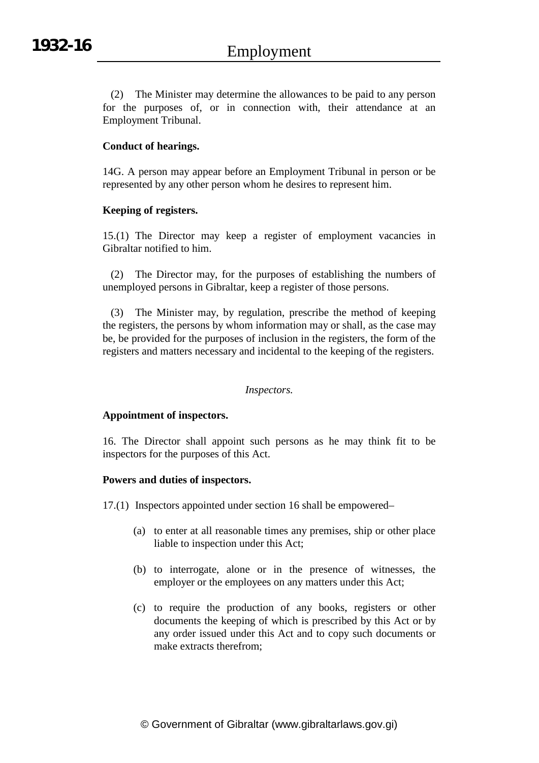(2) The Minister may determine the allowances to be paid to any person for the purposes of, or in connection with, their attendance at an Employment Tribunal.

### **Conduct of hearings.**

14G. A person may appear before an Employment Tribunal in person or be represented by any other person whom he desires to represent him.

#### **Keeping of registers.**

15.(1) The Director may keep a register of employment vacancies in Gibraltar notified to him.

(2) The Director may, for the purposes of establishing the numbers of unemployed persons in Gibraltar, keep a register of those persons.

(3) The Minister may, by regulation, prescribe the method of keeping the registers, the persons by whom information may or shall, as the case may be, be provided for the purposes of inclusion in the registers, the form of the registers and matters necessary and incidental to the keeping of the registers.

#### *Inspectors.*

#### **Appointment of inspectors.**

16. The Director shall appoint such persons as he may think fit to be inspectors for the purposes of this Act.

#### **Powers and duties of inspectors.**

17.(1) Inspectors appointed under section 16 shall be empowered–

- (a) to enter at all reasonable times any premises, ship or other place liable to inspection under this Act;
- (b) to interrogate, alone or in the presence of witnesses, the employer or the employees on any matters under this Act;
- (c) to require the production of any books, registers or other documents the keeping of which is prescribed by this Act or by any order issued under this Act and to copy such documents or make extracts therefrom;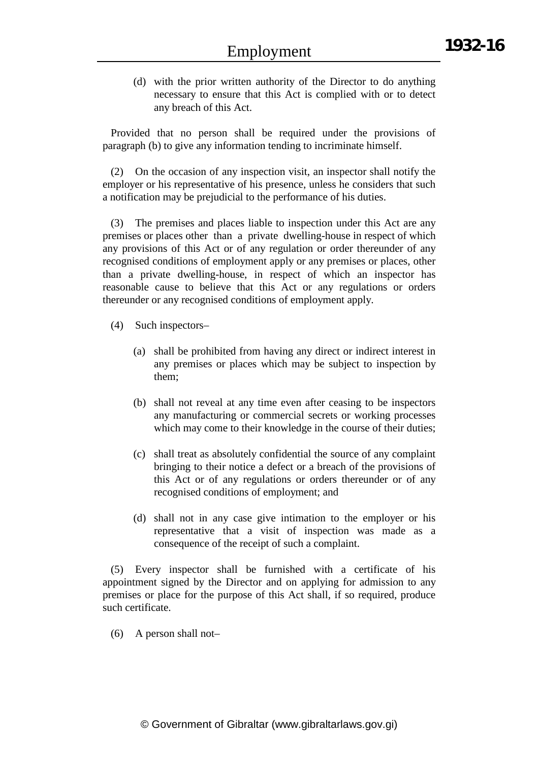(d) with the prior written authority of the Director to do anything necessary to ensure that this Act is complied with or to detect any breach of this Act.

Provided that no person shall be required under the provisions of paragraph (b) to give any information tending to incriminate himself.

(2) On the occasion of any inspection visit, an inspector shall notify the employer or his representative of his presence, unless he considers that such a notification may be prejudicial to the performance of his duties.

(3) The premises and places liable to inspection under this Act are any premises or places other than a private dwelling-house in respect of which any provisions of this Act or of any regulation or order thereunder of any recognised conditions of employment apply or any premises or places, other than a private dwelling-house, in respect of which an inspector has reasonable cause to believe that this Act or any regulations or orders thereunder or any recognised conditions of employment apply.

- (4) Such inspectors–
	- (a) shall be prohibited from having any direct or indirect interest in any premises or places which may be subject to inspection by them;
	- (b) shall not reveal at any time even after ceasing to be inspectors any manufacturing or commercial secrets or working processes which may come to their knowledge in the course of their duties;
	- (c) shall treat as absolutely confidential the source of any complaint bringing to their notice a defect or a breach of the provisions of this Act or of any regulations or orders thereunder or of any recognised conditions of employment; and
	- (d) shall not in any case give intimation to the employer or his representative that a visit of inspection was made as a consequence of the receipt of such a complaint.

(5) Every inspector shall be furnished with a certificate of his appointment signed by the Director and on applying for admission to any premises or place for the purpose of this Act shall, if so required, produce such certificate.

(6) A person shall not–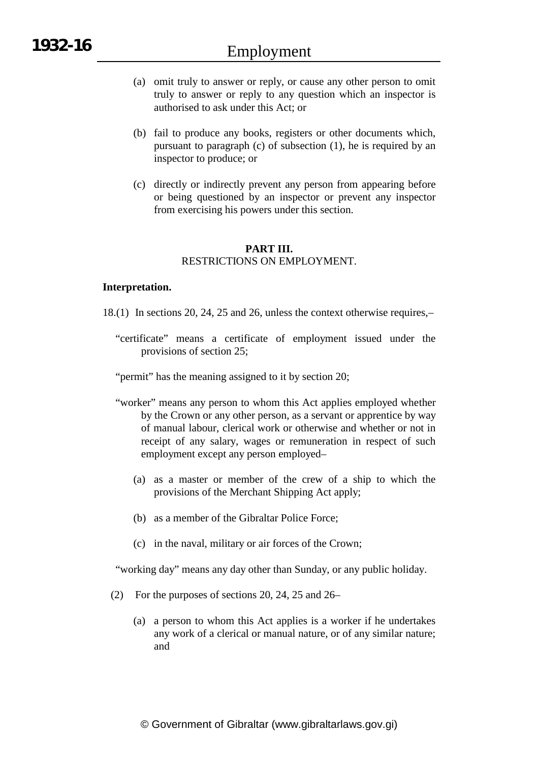- (a) omit truly to answer or reply, or cause any other person to omit truly to answer or reply to any question which an inspector is authorised to ask under this Act; or
- (b) fail to produce any books, registers or other documents which, pursuant to paragraph (c) of subsection (1), he is required by an inspector to produce; or
- (c) directly or indirectly prevent any person from appearing before or being questioned by an inspector or prevent any inspector from exercising his powers under this section.

## **PART III.** RESTRICTIONS ON EMPLOYMENT.

#### **Interpretation.**

- 18.(1) In sections 20, 24, 25 and 26, unless the context otherwise requires,–
	- "certificate" means a certificate of employment issued under the provisions of section 25;
	- "permit" has the meaning assigned to it by section 20;
	- "worker" means any person to whom this Act applies employed whether by the Crown or any other person, as a servant or apprentice by way of manual labour, clerical work or otherwise and whether or not in receipt of any salary, wages or remuneration in respect of such employment except any person employed–
		- (a) as a master or member of the crew of a ship to which the provisions of the Merchant Shipping Act apply;
		- (b) as a member of the Gibraltar Police Force;
		- (c) in the naval, military or air forces of the Crown;

"working day" means any day other than Sunday, or any public holiday.

- (2) For the purposes of sections 20, 24, 25 and 26–
	- (a) a person to whom this Act applies is a worker if he undertakes any work of a clerical or manual nature, or of any similar nature; and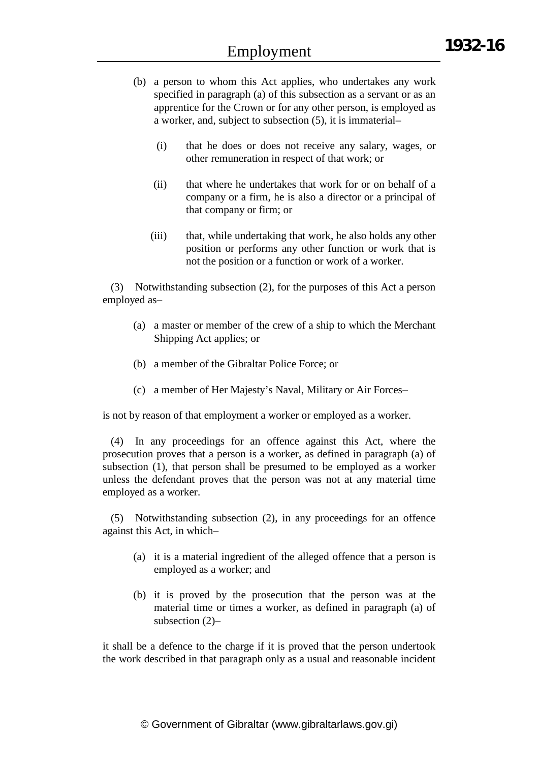- (b) a person to whom this Act applies, who undertakes any work specified in paragraph (a) of this subsection as a servant or as an apprentice for the Crown or for any other person, is employed as a worker, and, subject to subsection (5), it is immaterial–
	- (i) that he does or does not receive any salary, wages, or other remuneration in respect of that work; or
	- (ii) that where he undertakes that work for or on behalf of a company or a firm, he is also a director or a principal of that company or firm; or
	- (iii) that, while undertaking that work, he also holds any other position or performs any other function or work that is not the position or a function or work of a worker.

(3) Notwithstanding subsection (2), for the purposes of this Act a person employed as–

- (a) a master or member of the crew of a ship to which the Merchant Shipping Act applies; or
- (b) a member of the Gibraltar Police Force; or
- (c) a member of Her Majesty's Naval, Military or Air Forces–

is not by reason of that employment a worker or employed as a worker.

(4) In any proceedings for an offence against this Act, where the prosecution proves that a person is a worker, as defined in paragraph (a) of subsection (1), that person shall be presumed to be employed as a worker unless the defendant proves that the person was not at any material time employed as a worker.

(5) Notwithstanding subsection (2), in any proceedings for an offence against this Act, in which–

- (a) it is a material ingredient of the alleged offence that a person is employed as a worker; and
- (b) it is proved by the prosecution that the person was at the material time or times a worker, as defined in paragraph (a) of subsection (2)–

it shall be a defence to the charge if it is proved that the person undertook the work described in that paragraph only as a usual and reasonable incident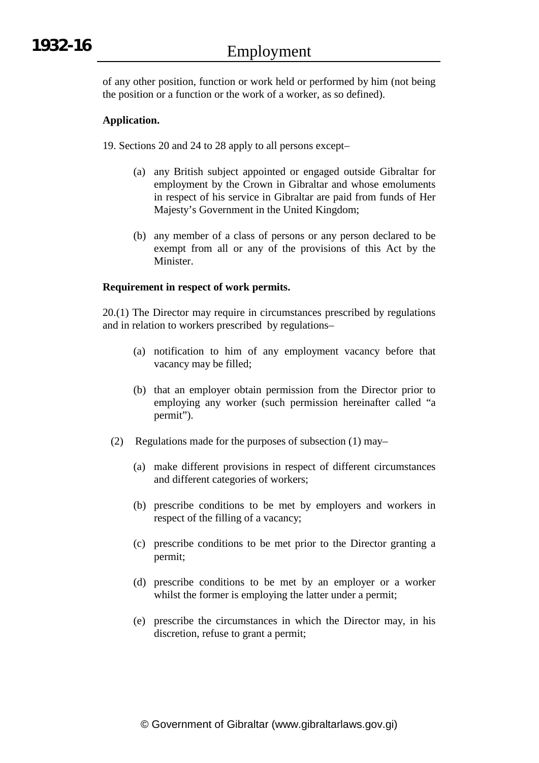of any other position, function or work held or performed by him (not being the position or a function or the work of a worker, as so defined).

### **Application.**

19. Sections 20 and 24 to 28 apply to all persons except–

- (a) any British subject appointed or engaged outside Gibraltar for employment by the Crown in Gibraltar and whose emoluments in respect of his service in Gibraltar are paid from funds of Her Majesty's Government in the United Kingdom;
- (b) any member of a class of persons or any person declared to be exempt from all or any of the provisions of this Act by the Minister.

#### **Requirement in respect of work permits.**

20.(1) The Director may require in circumstances prescribed by regulations and in relation to workers prescribed by regulations–

- (a) notification to him of any employment vacancy before that vacancy may be filled;
- (b) that an employer obtain permission from the Director prior to employing any worker (such permission hereinafter called "a permit").
- (2) Regulations made for the purposes of subsection (1) may–
	- (a) make different provisions in respect of different circumstances and different categories of workers;
	- (b) prescribe conditions to be met by employers and workers in respect of the filling of a vacancy;
	- (c) prescribe conditions to be met prior to the Director granting a permit;
	- (d) prescribe conditions to be met by an employer or a worker whilst the former is employing the latter under a permit;
	- (e) prescribe the circumstances in which the Director may, in his discretion, refuse to grant a permit;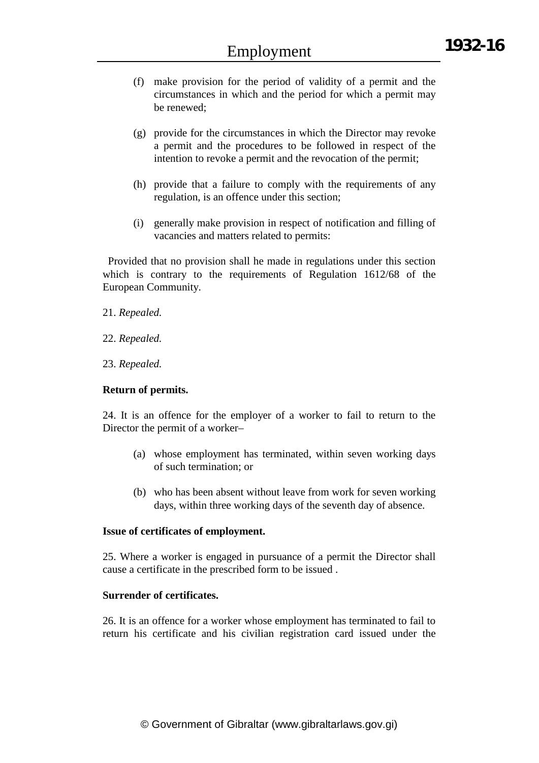- (f) make provision for the period of validity of a permit and the circumstances in which and the period for which a permit may be renewed;
- (g) provide for the circumstances in which the Director may revoke a permit and the procedures to be followed in respect of the intention to revoke a permit and the revocation of the permit;
- (h) provide that a failure to comply with the requirements of any regulation, is an offence under this section;
- (i) generally make provision in respect of notification and filling of vacancies and matters related to permits:

Provided that no provision shall he made in regulations under this section which is contrary to the requirements of Regulation 1612/68 of the European Community.

21. *Repealed.*

22. *Repealed.*

23. *Repealed.*

#### **Return of permits.**

24. It is an offence for the employer of a worker to fail to return to the Director the permit of a worker–

- (a) whose employment has terminated, within seven working days of such termination; or
- (b) who has been absent without leave from work for seven working days, within three working days of the seventh day of absence.

#### **Issue of certificates of employment.**

25. Where a worker is engaged in pursuance of a permit the Director shall cause a certificate in the prescribed form to be issued .

#### **Surrender of certificates.**

26. It is an offence for a worker whose employment has terminated to fail to return his certificate and his civilian registration card issued under the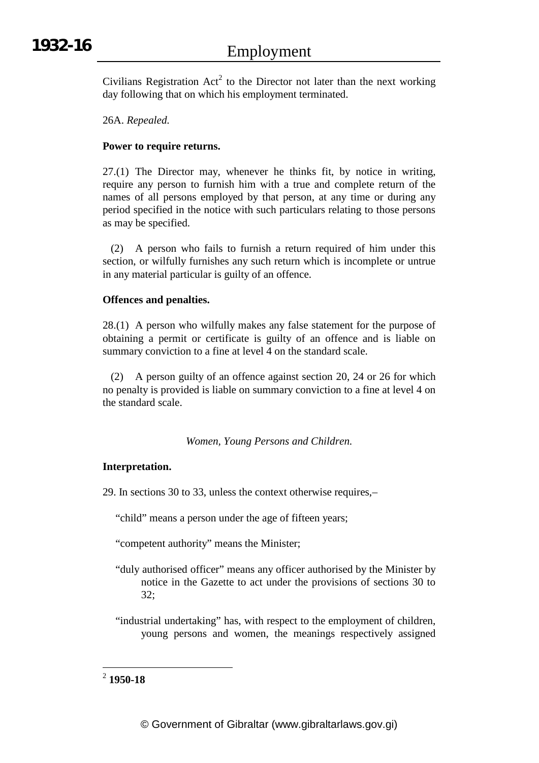Civilians Registration  $Act^2$  to the Director not later than the next working day following that on which his employment terminated.

26A. *Repealed.*

## **Power to require returns.**

27.(1) The Director may, whenever he thinks fit, by notice in writing, require any person to furnish him with a true and complete return of the names of all persons employed by that person, at any time or during any period specified in the notice with such particulars relating to those persons as may be specified.

(2) A person who fails to furnish a return required of him under this section, or wilfully furnishes any such return which is incomplete or untrue in any material particular is guilty of an offence.

## **Offences and penalties.**

28.(1) A person who wilfully makes any false statement for the purpose of obtaining a permit or certificate is guilty of an offence and is liable on summary conviction to a fine at level 4 on the standard scale.

(2) A person guilty of an offence against section 20, 24 or 26 for which no penalty is provided is liable on summary conviction to a fine at level 4 on the standard scale.

*Women, Young Persons and Children.*

#### **Interpretation.**

29. In sections 30 to 33, unless the context otherwise requires,–

"child" means a person under the age of fifteen years;

"competent authority" means the Minister;

- "duly authorised officer" means any officer authorised by the Minister by notice in the Gazette to act under the provisions of sections 30 to 32;
- "industrial undertaking" has, with respect to the employment of children, young persons and women, the meanings respectively assigned

<sup>2</sup> **1950-18**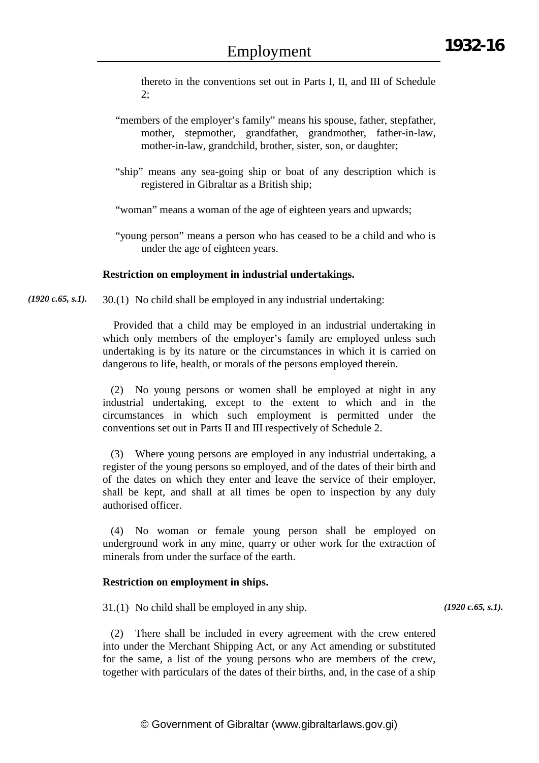thereto in the conventions set out in Parts I, II, and III of Schedule 2;

- "members of the employer's family" means his spouse, father, stepfather, mother, stepmother, grandfather, grandmother, father-in-law, mother-in-law, grandchild, brother, sister, son, or daughter;
- "ship" means any sea-going ship or boat of any description which is registered in Gibraltar as a British ship;
- "woman" means a woman of the age of eighteen years and upwards;
- "young person" means a person who has ceased to be a child and who is under the age of eighteen years.

## **Restriction on employment in industrial undertakings.**

30.(1) No child shall be employed in any industrial undertaking: *(1920 c.65, s.1).*

> Provided that a child may be employed in an industrial undertaking in which only members of the employer's family are employed unless such undertaking is by its nature or the circumstances in which it is carried on dangerous to life, health, or morals of the persons employed therein.

> (2) No young persons or women shall be employed at night in any industrial undertaking, except to the extent to which and in the circumstances in which such employment is permitted under the conventions set out in Parts II and III respectively of Schedule 2.

> (3) Where young persons are employed in any industrial undertaking, a register of the young persons so employed, and of the dates of their birth and of the dates on which they enter and leave the service of their employer, shall be kept, and shall at all times be open to inspection by any duly authorised officer.

> (4) No woman or female young person shall be employed on underground work in any mine, quarry or other work for the extraction of minerals from under the surface of the earth.

#### **Restriction on employment in ships.**

31.(1) No child shall be employed in any ship.

*(1920 c.65, s.1).*

(2) There shall be included in every agreement with the crew entered into under the Merchant Shipping Act, or any Act amending or substituted for the same, a list of the young persons who are members of the crew, together with particulars of the dates of their births, and, in the case of a ship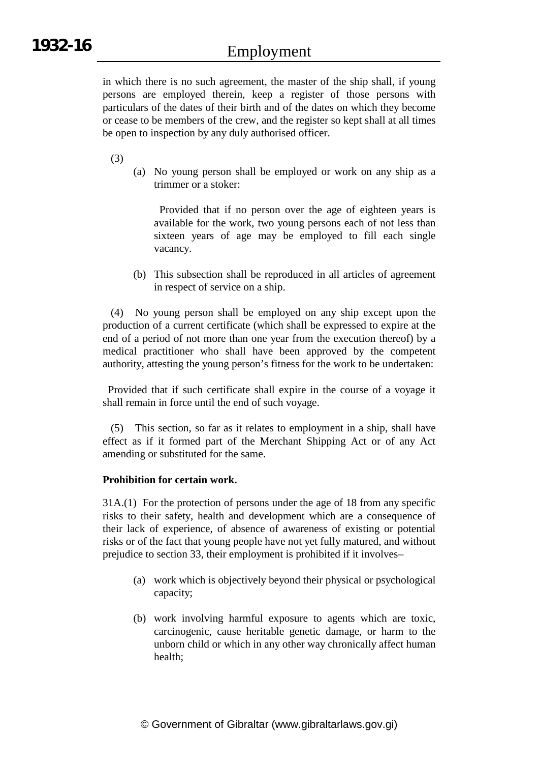in which there is no such agreement, the master of the ship shall, if young persons are employed therein, keep a register of those persons with particulars of the dates of their birth and of the dates on which they become or cease to be members of the crew, and the register so kept shall at all times be open to inspection by any duly authorised officer.

(3)

(a) No young person shall be employed or work on any ship as a trimmer or a stoker:

Provided that if no person over the age of eighteen years is available for the work, two young persons each of not less than sixteen years of age may be employed to fill each single vacancy.

(b) This subsection shall be reproduced in all articles of agreement in respect of service on a ship.

(4) No young person shall be employed on any ship except upon the production of a current certificate (which shall be expressed to expire at the end of a period of not more than one year from the execution thereof) by a medical practitioner who shall have been approved by the competent authority, attesting the young person's fitness for the work to be undertaken:

Provided that if such certificate shall expire in the course of a voyage it shall remain in force until the end of such voyage.

(5) This section, so far as it relates to employment in a ship, shall have effect as if it formed part of the Merchant Shipping Act or of any Act amending or substituted for the same.

#### **Prohibition for certain work.**

31A.(1) For the protection of persons under the age of 18 from any specific risks to their safety, health and development which are a consequence of their lack of experience, of absence of awareness of existing or potential risks or of the fact that young people have not yet fully matured, and without prejudice to section 33, their employment is prohibited if it involves–

- (a) work which is objectively beyond their physical or psychological capacity;
- (b) work involving harmful exposure to agents which are toxic, carcinogenic, cause heritable genetic damage, or harm to the unborn child or which in any other way chronically affect human health;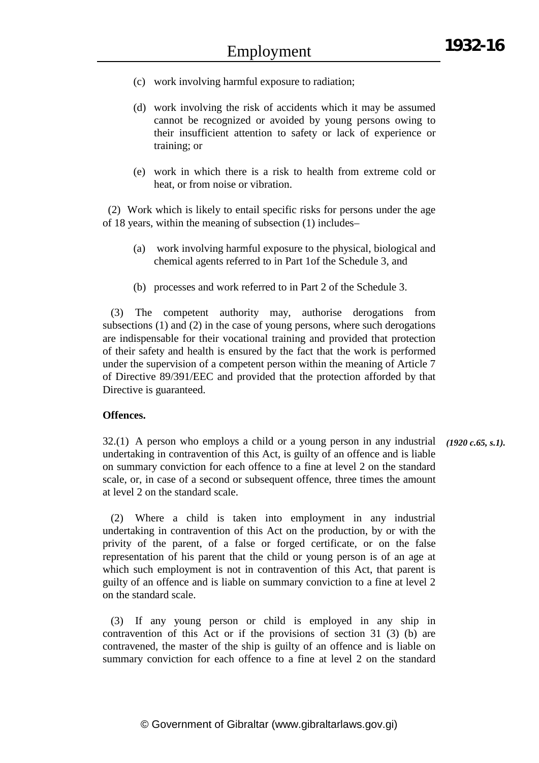- (c) work involving harmful exposure to radiation;
- (d) work involving the risk of accidents which it may be assumed cannot be recognized or avoided by young persons owing to their insufficient attention to safety or lack of experience or training; or
- (e) work in which there is a risk to health from extreme cold or heat, or from noise or vibration.

(2) Work which is likely to entail specific risks for persons under the age of 18 years, within the meaning of subsection (1) includes–

- (a) work involving harmful exposure to the physical, biological and chemical agents referred to in Part 1of the Schedule 3, and
- (b) processes and work referred to in Part 2 of the Schedule 3.

(3) The competent authority may, authorise derogations from subsections (1) and (2) in the case of young persons, where such derogations are indispensable for their vocational training and provided that protection of their safety and health is ensured by the fact that the work is performed under the supervision of a competent person within the meaning of Article 7 of Directive 89/391/EEC and provided that the protection afforded by that Directive is guaranteed.

#### **Offences.**

32.(1) A person who employs a child or a young person in any industrial *(1920 c.65, s.1).*undertaking in contravention of this Act, is guilty of an offence and is liable on summary conviction for each offence to a fine at level 2 on the standard scale, or, in case of a second or subsequent offence, three times the amount at level 2 on the standard scale.

(2) Where a child is taken into employment in any industrial undertaking in contravention of this Act on the production, by or with the privity of the parent, of a false or forged certificate, or on the false representation of his parent that the child or young person is of an age at which such employment is not in contravention of this Act, that parent is guilty of an offence and is liable on summary conviction to a fine at level 2 on the standard scale.

(3) If any young person or child is employed in any ship in contravention of this Act or if the provisions of section 31 (3) (b) are contravened, the master of the ship is guilty of an offence and is liable on summary conviction for each offence to a fine at level 2 on the standard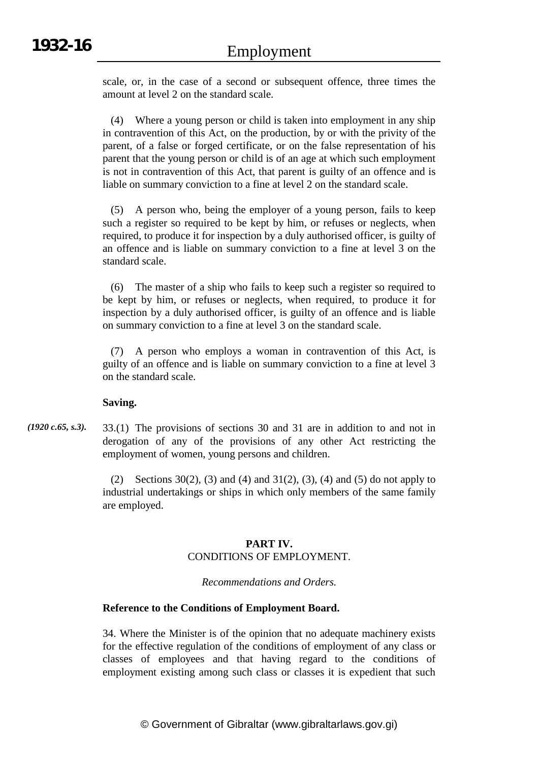scale, or, in the case of a second or subsequent offence, three times the amount at level 2 on the standard scale.

(4) Where a young person or child is taken into employment in any ship in contravention of this Act, on the production, by or with the privity of the parent, of a false or forged certificate, or on the false representation of his parent that the young person or child is of an age at which such employment is not in contravention of this Act, that parent is guilty of an offence and is liable on summary conviction to a fine at level 2 on the standard scale.

(5) A person who, being the employer of a young person, fails to keep such a register so required to be kept by him, or refuses or neglects, when required, to produce it for inspection by a duly authorised officer, is guilty of an offence and is liable on summary conviction to a fine at level 3 on the standard scale.

(6) The master of a ship who fails to keep such a register so required to be kept by him, or refuses or neglects, when required, to produce it for inspection by a duly authorised officer, is guilty of an offence and is liable on summary conviction to a fine at level 3 on the standard scale.

(7) A person who employs a woman in contravention of this Act, is guilty of an offence and is liable on summary conviction to a fine at level 3 on the standard scale.

#### **Saving.**

33.(1) The provisions of sections 30 and 31 are in addition to and not in derogation of any of the provisions of any other Act restricting the employment of women, young persons and children. *(1920 c.65, s.3).*

> (2) Sections 30(2), (3) and (4) and 31(2), (3), (4) and (5) do not apply to industrial undertakings or ships in which only members of the same family are employed.

#### **PART IV.** CONDITIONS OF EMPLOYMENT.

#### *Recommendations and Orders.*

#### **Reference to the Conditions of Employment Board.**

34. Where the Minister is of the opinion that no adequate machinery exists for the effective regulation of the conditions of employment of any class or classes of employees and that having regard to the conditions of employment existing among such class or classes it is expedient that such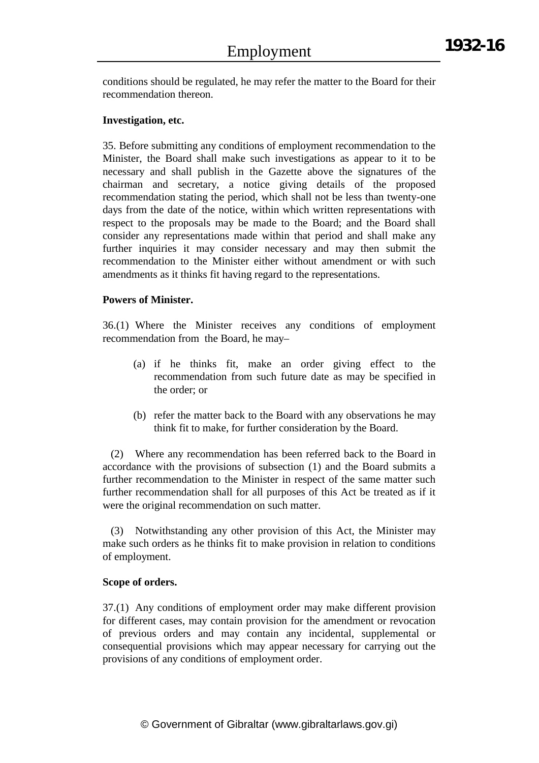conditions should be regulated, he may refer the matter to the Board for their recommendation thereon.

#### **Investigation, etc.**

35. Before submitting any conditions of employment recommendation to the Minister, the Board shall make such investigations as appear to it to be necessary and shall publish in the Gazette above the signatures of the chairman and secretary, a notice giving details of the proposed recommendation stating the period, which shall not be less than twenty-one days from the date of the notice, within which written representations with respect to the proposals may be made to the Board; and the Board shall consider any representations made within that period and shall make any further inquiries it may consider necessary and may then submit the recommendation to the Minister either without amendment or with such amendments as it thinks fit having regard to the representations.

#### **Powers of Minister.**

36.(1) Where the Minister receives any conditions of employment recommendation from the Board, he may–

- (a) if he thinks fit, make an order giving effect to the recommendation from such future date as may be specified in the order; or
- (b) refer the matter back to the Board with any observations he may think fit to make, for further consideration by the Board.

(2) Where any recommendation has been referred back to the Board in accordance with the provisions of subsection (1) and the Board submits a further recommendation to the Minister in respect of the same matter such further recommendation shall for all purposes of this Act be treated as if it were the original recommendation on such matter.

(3) Notwithstanding any other provision of this Act, the Minister may make such orders as he thinks fit to make provision in relation to conditions of employment.

#### **Scope of orders.**

37.(1) Any conditions of employment order may make different provision for different cases, may contain provision for the amendment or revocation of previous orders and may contain any incidental, supplemental or consequential provisions which may appear necessary for carrying out the provisions of any conditions of employment order.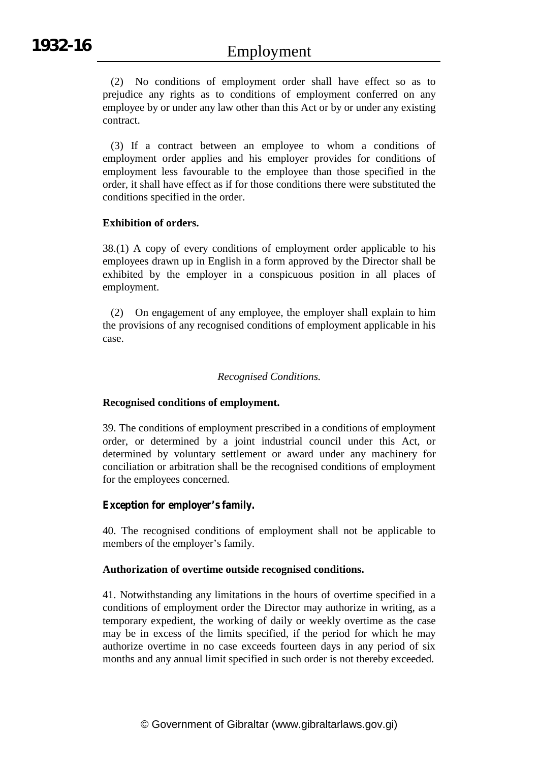(2) No conditions of employment order shall have effect so as to prejudice any rights as to conditions of employment conferred on any employee by or under any law other than this Act or by or under any existing contract.

(3) If a contract between an employee to whom a conditions of employment order applies and his employer provides for conditions of employment less favourable to the employee than those specified in the order, it shall have effect as if for those conditions there were substituted the conditions specified in the order.

## **Exhibition of orders.**

38.(1) A copy of every conditions of employment order applicable to his employees drawn up in English in a form approved by the Director shall be exhibited by the employer in a conspicuous position in all places of employment.

(2) On engagement of any employee, the employer shall explain to him the provisions of any recognised conditions of employment applicable in his case.

## *Recognised Conditions.*

## **Recognised conditions of employment.**

39. The conditions of employment prescribed in a conditions of employment order, or determined by a joint industrial council under this Act, or determined by voluntary settlement or award under any machinery for conciliation or arbitration shall be the recognised conditions of employment for the employees concerned.

#### **Exception for employer's family.**

40. The recognised conditions of employment shall not be applicable to members of the employer's family.

#### **Authorization of overtime outside recognised conditions.**

41. Notwithstanding any limitations in the hours of overtime specified in a conditions of employment order the Director may authorize in writing, as a temporary expedient, the working of daily or weekly overtime as the case may be in excess of the limits specified, if the period for which he may authorize overtime in no case exceeds fourteen days in any period of six months and any annual limit specified in such order is not thereby exceeded.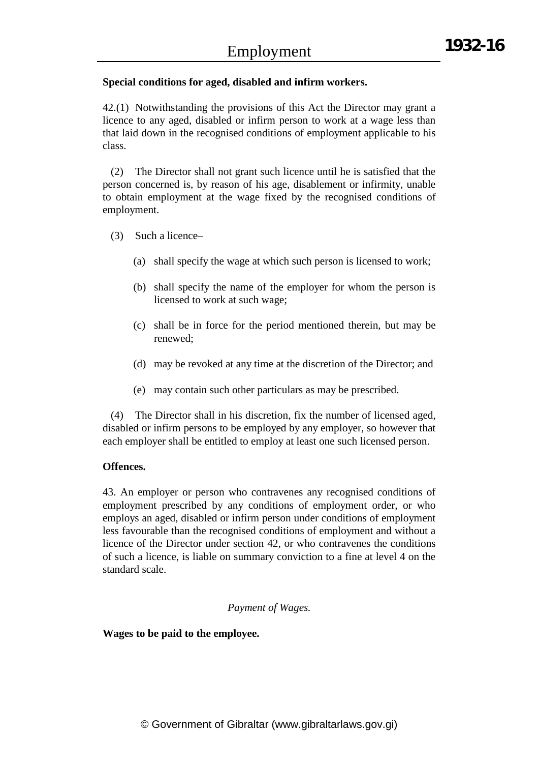### **Special conditions for aged, disabled and infirm workers.**

42.(1) Notwithstanding the provisions of this Act the Director may grant a licence to any aged, disabled or infirm person to work at a wage less than that laid down in the recognised conditions of employment applicable to his class.

(2) The Director shall not grant such licence until he is satisfied that the person concerned is, by reason of his age, disablement or infirmity, unable to obtain employment at the wage fixed by the recognised conditions of employment.

- (3) Such a licence–
	- (a) shall specify the wage at which such person is licensed to work;
	- (b) shall specify the name of the employer for whom the person is licensed to work at such wage;
	- (c) shall be in force for the period mentioned therein, but may be renewed;
	- (d) may be revoked at any time at the discretion of the Director; and
	- (e) may contain such other particulars as may be prescribed.

(4) The Director shall in his discretion, fix the number of licensed aged, disabled or infirm persons to be employed by any employer, so however that each employer shall be entitled to employ at least one such licensed person.

#### **Offences.**

43. An employer or person who contravenes any recognised conditions of employment prescribed by any conditions of employment order, or who employs an aged, disabled or infirm person under conditions of employment less favourable than the recognised conditions of employment and without a licence of the Director under section 42, or who contravenes the conditions of such a licence, is liable on summary conviction to a fine at level 4 on the standard scale.

#### *Payment of Wages.*

**Wages to be paid to the employee.**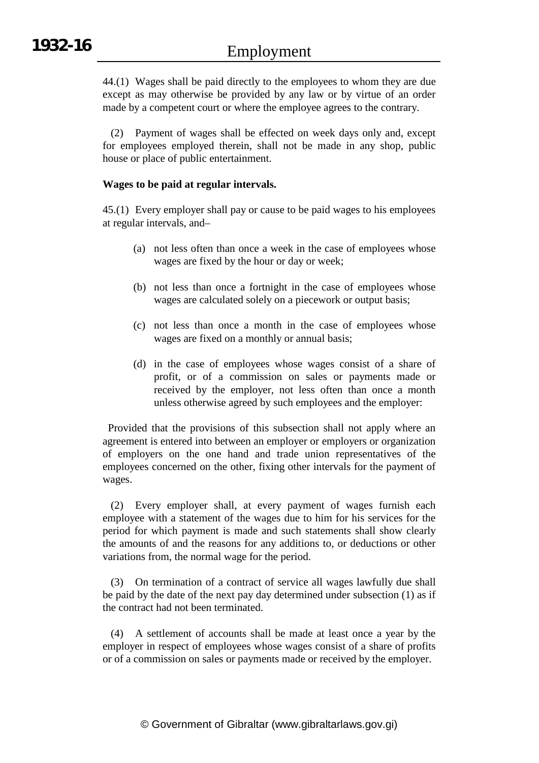44.(1) Wages shall be paid directly to the employees to whom they are due except as may otherwise be provided by any law or by virtue of an order made by a competent court or where the employee agrees to the contrary.

(2) Payment of wages shall be effected on week days only and, except for employees employed therein, shall not be made in any shop, public house or place of public entertainment.

#### **Wages to be paid at regular intervals.**

45.(1) Every employer shall pay or cause to be paid wages to his employees at regular intervals, and–

- (a) not less often than once a week in the case of employees whose wages are fixed by the hour or day or week;
- (b) not less than once a fortnight in the case of employees whose wages are calculated solely on a piecework or output basis;
- (c) not less than once a month in the case of employees whose wages are fixed on a monthly or annual basis;
- (d) in the case of employees whose wages consist of a share of profit, or of a commission on sales or payments made or received by the employer, not less often than once a month unless otherwise agreed by such employees and the employer:

Provided that the provisions of this subsection shall not apply where an agreement is entered into between an employer or employers or organization of employers on the one hand and trade union representatives of the employees concerned on the other, fixing other intervals for the payment of wages.

(2) Every employer shall, at every payment of wages furnish each employee with a statement of the wages due to him for his services for the period for which payment is made and such statements shall show clearly the amounts of and the reasons for any additions to, or deductions or other variations from, the normal wage for the period.

(3) On termination of a contract of service all wages lawfully due shall be paid by the date of the next pay day determined under subsection (1) as if the contract had not been terminated.

(4) A settlement of accounts shall be made at least once a year by the employer in respect of employees whose wages consist of a share of profits or of a commission on sales or payments made or received by the employer.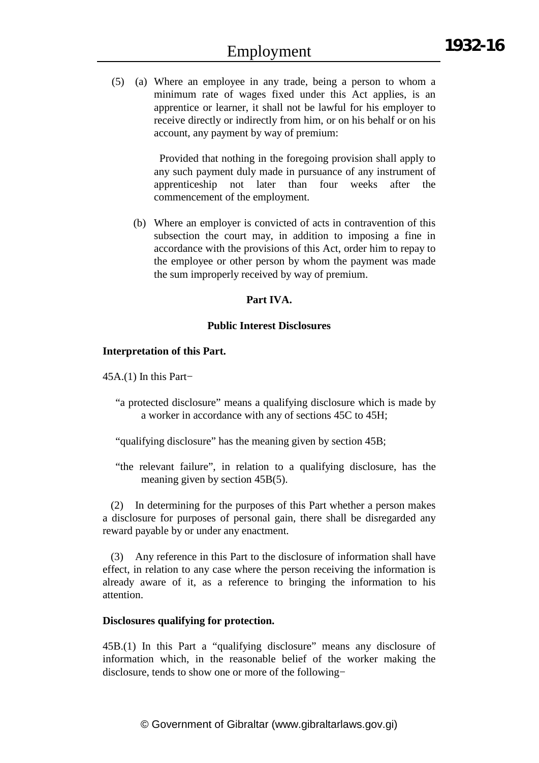(5) (a) Where an employee in any trade, being a person to whom a minimum rate of wages fixed under this Act applies, is an apprentice or learner, it shall not be lawful for his employer to receive directly or indirectly from him, or on his behalf or on his account, any payment by way of premium:

> Provided that nothing in the foregoing provision shall apply to any such payment duly made in pursuance of any instrument of apprenticeship not later than four weeks after the commencement of the employment.

(b) Where an employer is convicted of acts in contravention of this subsection the court may, in addition to imposing a fine in accordance with the provisions of this Act, order him to repay to the employee or other person by whom the payment was made the sum improperly received by way of premium.

# **Part IVA.**

# **Public Interest Disclosures**

# **Interpretation of this Part.**

45A.(1) In this Part−

- "a protected disclosure" means a qualifying disclosure which is made by a worker in accordance with any of sections 45C to 45H;
- "qualifying disclosure" has the meaning given by section 45B;
- "the relevant failure", in relation to a qualifying disclosure, has the meaning given by section 45B(5).

(2) In determining for the purposes of this Part whether a person makes a disclosure for purposes of personal gain, there shall be disregarded any reward payable by or under any enactment.

(3) Any reference in this Part to the disclosure of information shall have effect, in relation to any case where the person receiving the information is already aware of it, as a reference to bringing the information to his attention.

# **Disclosures qualifying for protection.**

45B.(1) In this Part a "qualifying disclosure" means any disclosure of information which, in the reasonable belief of the worker making the disclosure, tends to show one or more of the following−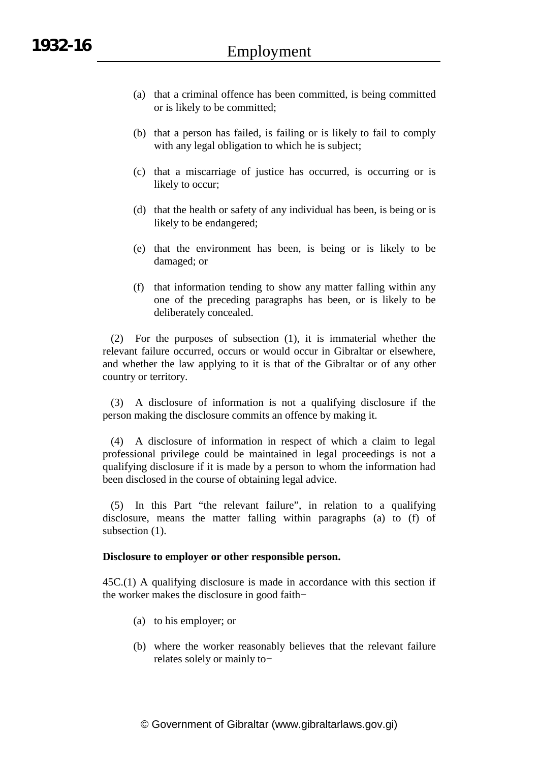- (a) that a criminal offence has been committed, is being committed or is likely to be committed;
- (b) that a person has failed, is failing or is likely to fail to comply with any legal obligation to which he is subject;
- (c) that a miscarriage of justice has occurred, is occurring or is likely to occur;
- (d) that the health or safety of any individual has been, is being or is likely to be endangered;
- (e) that the environment has been, is being or is likely to be damaged; or
- (f) that information tending to show any matter falling within any one of the preceding paragraphs has been, or is likely to be deliberately concealed.

(2) For the purposes of subsection (1), it is immaterial whether the relevant failure occurred, occurs or would occur in Gibraltar or elsewhere, and whether the law applying to it is that of the Gibraltar or of any other country or territory.

(3) A disclosure of information is not a qualifying disclosure if the person making the disclosure commits an offence by making it.

(4) A disclosure of information in respect of which a claim to legal professional privilege could be maintained in legal proceedings is not a qualifying disclosure if it is made by a person to whom the information had been disclosed in the course of obtaining legal advice.

(5) In this Part "the relevant failure", in relation to a qualifying disclosure, means the matter falling within paragraphs (a) to (f) of subsection  $(1)$ .

#### **Disclosure to employer or other responsible person.**

45C.(1) A qualifying disclosure is made in accordance with this section if the worker makes the disclosure in good faith−

- (a) to his employer; or
- (b) where the worker reasonably believes that the relevant failure relates solely or mainly to−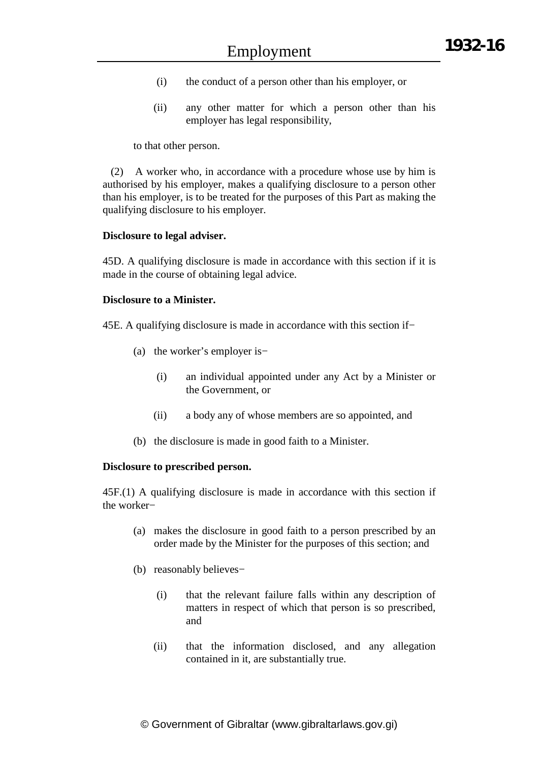- (i) the conduct of a person other than his employer, or
- (ii) any other matter for which a person other than his employer has legal responsibility,

to that other person.

(2) A worker who, in accordance with a procedure whose use by him is authorised by his employer, makes a qualifying disclosure to a person other than his employer, is to be treated for the purposes of this Part as making the qualifying disclosure to his employer.

#### **Disclosure to legal adviser.**

45D. A qualifying disclosure is made in accordance with this section if it is made in the course of obtaining legal advice.

#### **Disclosure to a Minister.**

45E. A qualifying disclosure is made in accordance with this section if−

- (a) the worker's employer is−
	- (i) an individual appointed under any Act by a Minister or the Government, or
	- (ii) a body any of whose members are so appointed, and
- (b) the disclosure is made in good faith to a Minister.

#### **Disclosure to prescribed person.**

45F.(1) A qualifying disclosure is made in accordance with this section if the worker−

- (a) makes the disclosure in good faith to a person prescribed by an order made by the Minister for the purposes of this section; and
- (b) reasonably believes−
	- (i) that the relevant failure falls within any description of matters in respect of which that person is so prescribed, and
	- (ii) that the information disclosed, and any allegation contained in it, are substantially true.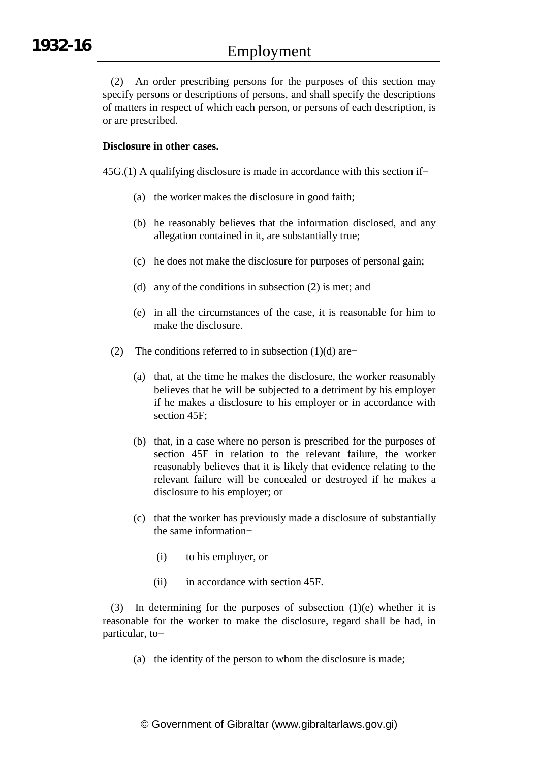(2) An order prescribing persons for the purposes of this section may specify persons or descriptions of persons, and shall specify the descriptions of matters in respect of which each person, or persons of each description, is or are prescribed.

# **Disclosure in other cases.**

45G.(1) A qualifying disclosure is made in accordance with this section if−

- (a) the worker makes the disclosure in good faith;
- (b) he reasonably believes that the information disclosed, and any allegation contained in it, are substantially true;
- (c) he does not make the disclosure for purposes of personal gain;
- (d) any of the conditions in subsection (2) is met; and
- (e) in all the circumstances of the case, it is reasonable for him to make the disclosure.
- (2) The conditions referred to in subsection (1)(d) are−
	- (a) that, at the time he makes the disclosure, the worker reasonably believes that he will be subjected to a detriment by his employer if he makes a disclosure to his employer or in accordance with section 45F;
	- (b) that, in a case where no person is prescribed for the purposes of section 45F in relation to the relevant failure, the worker reasonably believes that it is likely that evidence relating to the relevant failure will be concealed or destroyed if he makes a disclosure to his employer; or
	- (c) that the worker has previously made a disclosure of substantially the same information−
		- (i) to his employer, or
		- (ii) in accordance with section 45F.

(3) In determining for the purposes of subsection (1)(e) whether it is reasonable for the worker to make the disclosure, regard shall be had, in particular, to−

(a) the identity of the person to whom the disclosure is made;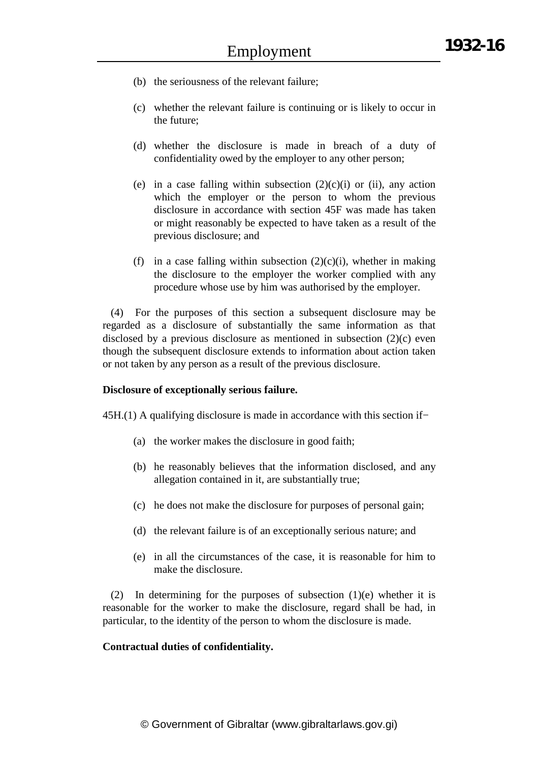- (b) the seriousness of the relevant failure;
- (c) whether the relevant failure is continuing or is likely to occur in the future;
- (d) whether the disclosure is made in breach of a duty of confidentiality owed by the employer to any other person;
- (e) in a case falling within subsection  $(2)(c)(i)$  or (ii), any action which the employer or the person to whom the previous disclosure in accordance with section 45F was made has taken or might reasonably be expected to have taken as a result of the previous disclosure; and
- (f) in a case falling within subsection  $(2)(c)(i)$ , whether in making the disclosure to the employer the worker complied with any procedure whose use by him was authorised by the employer.

(4) For the purposes of this section a subsequent disclosure may be regarded as a disclosure of substantially the same information as that disclosed by a previous disclosure as mentioned in subsection (2)(c) even though the subsequent disclosure extends to information about action taken or not taken by any person as a result of the previous disclosure.

# **Disclosure of exceptionally serious failure.**

45H.(1) A qualifying disclosure is made in accordance with this section if−

- (a) the worker makes the disclosure in good faith;
- (b) he reasonably believes that the information disclosed, and any allegation contained in it, are substantially true;
- (c) he does not make the disclosure for purposes of personal gain;
- (d) the relevant failure is of an exceptionally serious nature; and
- (e) in all the circumstances of the case, it is reasonable for him to make the disclosure.

(2) In determining for the purposes of subsection  $(1)(e)$  whether it is reasonable for the worker to make the disclosure, regard shall be had, in particular, to the identity of the person to whom the disclosure is made.

# **Contractual duties of confidentiality.**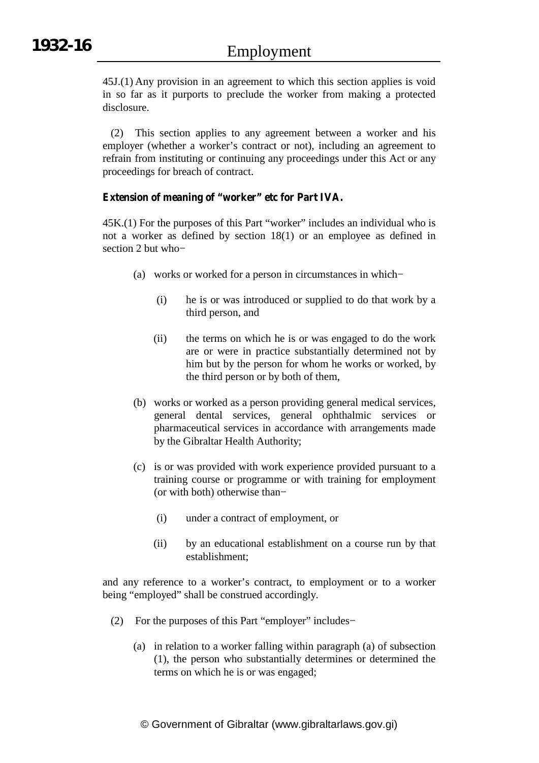45J.(1) Any provision in an agreement to which this section applies is void in so far as it purports to preclude the worker from making a protected disclosure.

(2) This section applies to any agreement between a worker and his employer (whether a worker's contract or not), including an agreement to refrain from instituting or continuing any proceedings under this Act or any proceedings for breach of contract.

# **Extension of meaning of "worker" etc for Part IVA.**

45K.(1) For the purposes of this Part "worker" includes an individual who is not a worker as defined by section 18(1) or an employee as defined in section 2 but who−

- (a) works or worked for a person in circumstances in which−
	- (i) he is or was introduced or supplied to do that work by a third person, and
	- (ii) the terms on which he is or was engaged to do the work are or were in practice substantially determined not by him but by the person for whom he works or worked, by the third person or by both of them,
- (b) works or worked as a person providing general medical services*,* general dental services, general ophthalmic services or pharmaceutical services in accordance with arrangements made by the Gibraltar Health Authority;
- (c) is or was provided with work experience provided pursuant to a training course or programme or with training for employment (or with both) otherwise than−
	- (i) under a contract of employment, or
	- (ii) by an educational establishment on a course run by that establishment;

and any reference to a worker's contract, to employment or to a worker being "employed" shall be construed accordingly.

- (2) For the purposes of this Part "employer" includes−
	- (a) in relation to a worker falling within paragraph (a) of subsection (1), the person who substantially determines or determined the terms on which he is or was engaged;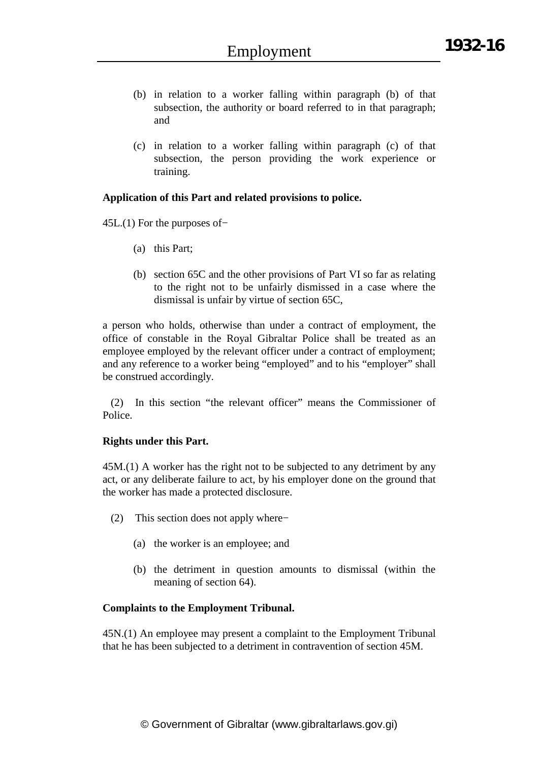- (b) in relation to a worker falling within paragraph (b) of that subsection, the authority or board referred to in that paragraph; and
- (c) in relation to a worker falling within paragraph (c) of that subsection, the person providing the work experience or training.

# **Application of this Part and related provisions to police.**

45L.(1) For the purposes of−

- (a) this Part;
- (b) section 65C and the other provisions of Part VI so far as relating to the right not to be unfairly dismissed in a case where the dismissal is unfair by virtue of section 65C,

a person who holds, otherwise than under a contract of employment, the office of constable in the Royal Gibraltar Police shall be treated as an employee employed by the relevant officer under a contract of employment; and any reference to a worker being "employed" and to his "employer" shall be construed accordingly.

(2) In this section "the relevant officer" means the Commissioner of Police.

# **Rights under this Part.**

45M.(1) A worker has the right not to be subjected to any detriment by any act, or any deliberate failure to act, by his employer done on the ground that the worker has made a protected disclosure.

- (2) This section does not apply where−
	- (a) the worker is an employee; and
	- (b) the detriment in question amounts to dismissal (within the meaning of section 64).

# **Complaints to the Employment Tribunal.**

45N.(1) An employee may present a complaint to the Employment Tribunal that he has been subjected to a detriment in contravention of section 45M.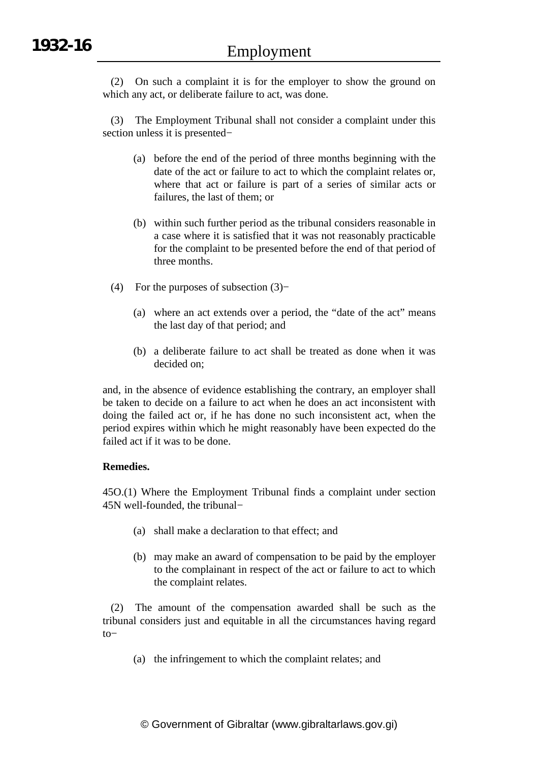(2) On such a complaint it is for the employer to show the ground on which any act, or deliberate failure to act, was done.

(3) The Employment Tribunal shall not consider a complaint under this section unless it is presented−

- (a) before the end of the period of three months beginning with the date of the act or failure to act to which the complaint relates or, where that act or failure is part of a series of similar acts or failures, the last of them; or
- (b) within such further period as the tribunal considers reasonable in a case where it is satisfied that it was not reasonably practicable for the complaint to be presented before the end of that period of three months.
- (4) For the purposes of subsection (3)−
	- (a) where an act extends over a period, the "date of the act" means the last day of that period; and
	- (b) a deliberate failure to act shall be treated as done when it was decided on;

and, in the absence of evidence establishing the contrary, an employer shall be taken to decide on a failure to act when he does an act inconsistent with doing the failed act or, if he has done no such inconsistent act, when the period expires within which he might reasonably have been expected do the failed act if it was to be done.

# **Remedies.**

45O.(1) Where the Employment Tribunal finds a complaint under section 45N well-founded, the tribunal−

- (a) shall make a declaration to that effect; and
- (b) may make an award of compensation to be paid by the employer to the complainant in respect of the act or failure to act to which the complaint relates.

(2) The amount of the compensation awarded shall be such as the tribunal considers just and equitable in all the circumstances having regard to−

(a) the infringement to which the complaint relates; and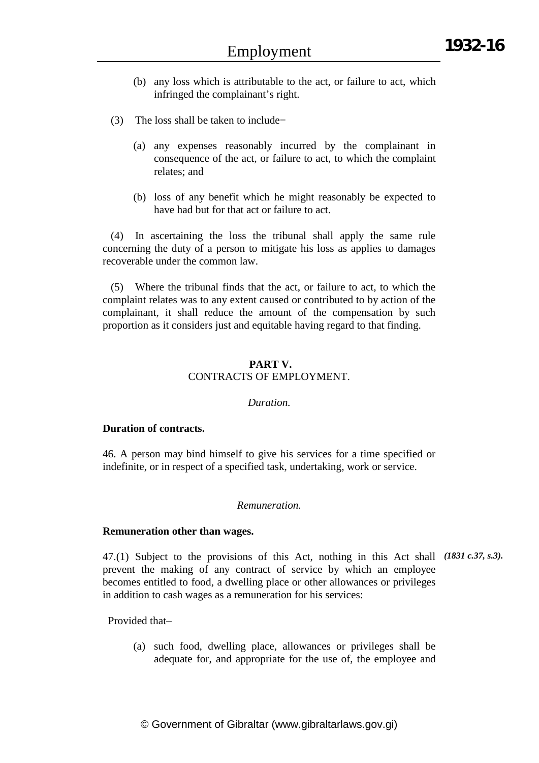- (b) any loss which is attributable to the act, or failure to act, which infringed the complainant's right.
- (3) The loss shall be taken to include−
	- (a) any expenses reasonably incurred by the complainant in consequence of the act, or failure to act, to which the complaint relates; and
	- (b) loss of any benefit which he might reasonably be expected to have had but for that act or failure to act.

(4) In ascertaining the loss the tribunal shall apply the same rule concerning the duty of a person to mitigate his loss as applies to damages recoverable under the common law.

(5) Where the tribunal finds that the act, or failure to act, to which the complaint relates was to any extent caused or contributed to by action of the complainant, it shall reduce the amount of the compensation by such proportion as it considers just and equitable having regard to that finding.

# **PART V.** CONTRACTS OF EMPLOYMENT.

*Duration.*

# **Duration of contracts.**

46. A person may bind himself to give his services for a time specified or indefinite, or in respect of a specified task, undertaking, work or service.

# *Remuneration.*

# **Remuneration other than wages.**

47.(1) Subject to the provisions of this Act, nothing in this Act shall *(1831 c.37, s.3).*prevent the making of any contract of service by which an employee becomes entitled to food, a dwelling place or other allowances or privileges in addition to cash wages as a remuneration for his services:

Provided that–

(a) such food, dwelling place, allowances or privileges shall be adequate for, and appropriate for the use of, the employee and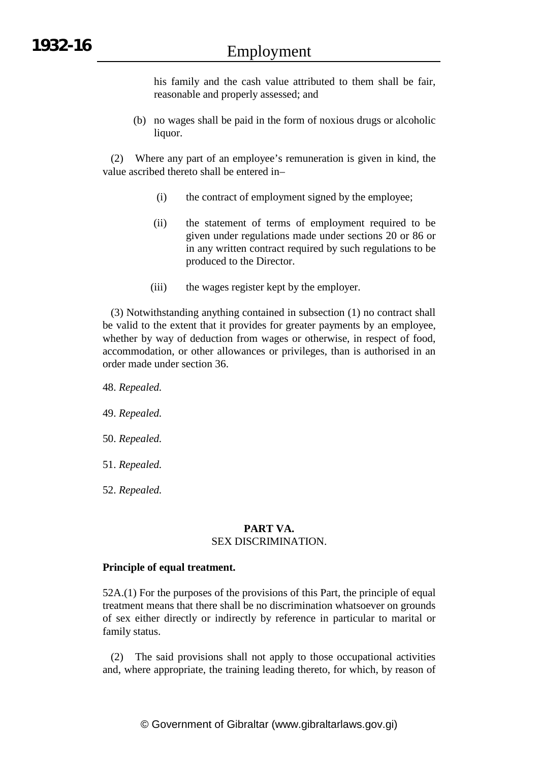his family and the cash value attributed to them shall be fair, reasonable and properly assessed; and

(b) no wages shall be paid in the form of noxious drugs or alcoholic liquor.

(2) Where any part of an employee's remuneration is given in kind, the value ascribed thereto shall be entered in–

- (i) the contract of employment signed by the employee;
- (ii) the statement of terms of employment required to be given under regulations made under sections 20 or 86 or in any written contract required by such regulations to be produced to the Director.
- (iii) the wages register kept by the employer.

(3) Notwithstanding anything contained in subsection (1) no contract shall be valid to the extent that it provides for greater payments by an employee, whether by way of deduction from wages or otherwise, in respect of food, accommodation, or other allowances or privileges, than is authorised in an order made under section 36.

48. *Repealed.*

49. *Repealed.*

- 50. *Repealed.*
- 51. *Repealed.*

52. *Repealed.*

#### **PART VA.** SEX DISCRIMINATION.

# **Principle of equal treatment.**

52A.(1) For the purposes of the provisions of this Part, the principle of equal treatment means that there shall be no discrimination whatsoever on grounds of sex either directly or indirectly by reference in particular to marital or family status.

(2) The said provisions shall not apply to those occupational activities and, where appropriate, the training leading thereto, for which, by reason of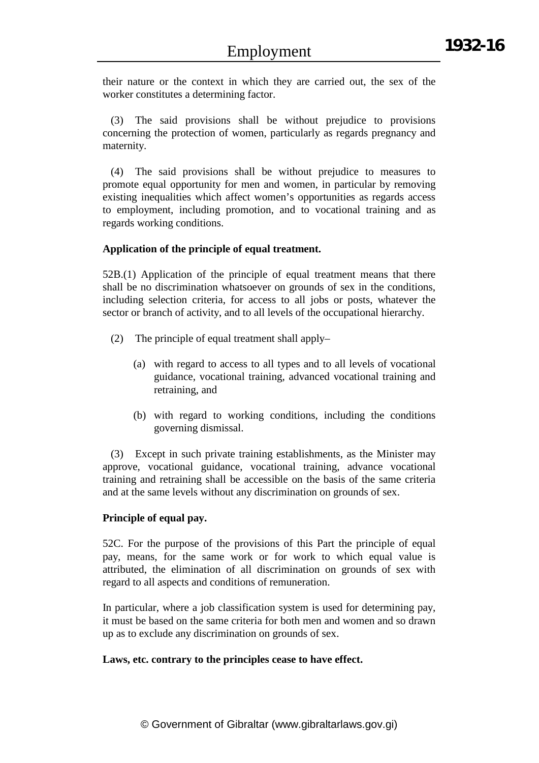their nature or the context in which they are carried out, the sex of the worker constitutes a determining factor.

(3) The said provisions shall be without prejudice to provisions concerning the protection of women, particularly as regards pregnancy and maternity.

(4) The said provisions shall be without prejudice to measures to promote equal opportunity for men and women, in particular by removing existing inequalities which affect women's opportunities as regards access to employment, including promotion, and to vocational training and as regards working conditions.

# **Application of the principle of equal treatment.**

52B.(1) Application of the principle of equal treatment means that there shall be no discrimination whatsoever on grounds of sex in the conditions, including selection criteria, for access to all jobs or posts, whatever the sector or branch of activity, and to all levels of the occupational hierarchy.

- (2) The principle of equal treatment shall apply–
	- (a) with regard to access to all types and to all levels of vocational guidance, vocational training, advanced vocational training and retraining, and
	- (b) with regard to working conditions, including the conditions governing dismissal.

(3) Except in such private training establishments, as the Minister may approve, vocational guidance, vocational training, advance vocational training and retraining shall be accessible on the basis of the same criteria and at the same levels without any discrimination on grounds of sex.

# **Principle of equal pay.**

52C. For the purpose of the provisions of this Part the principle of equal pay, means, for the same work or for work to which equal value is attributed, the elimination of all discrimination on grounds of sex with regard to all aspects and conditions of remuneration.

In particular, where a job classification system is used for determining pay, it must be based on the same criteria for both men and women and so drawn up as to exclude any discrimination on grounds of sex.

# **Laws, etc. contrary to the principles cease to have effect.**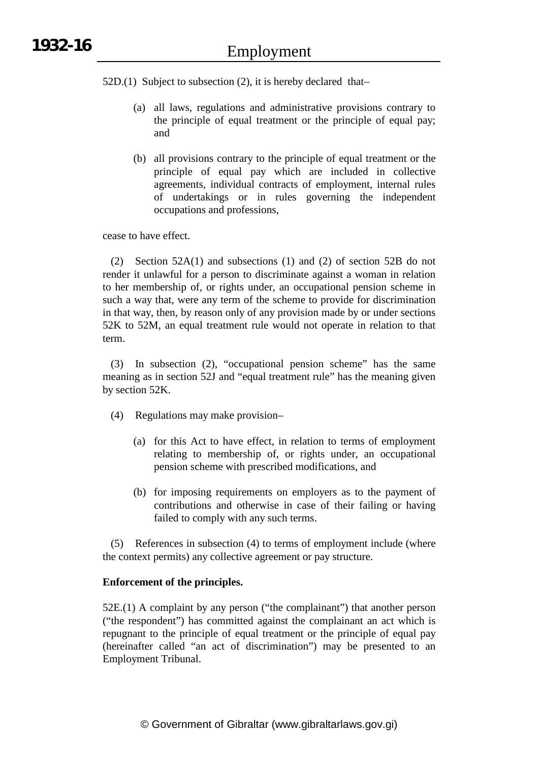52D.(1) Subject to subsection (2), it is hereby declared that–

- (a) all laws, regulations and administrative provisions contrary to the principle of equal treatment or the principle of equal pay; and
- (b) all provisions contrary to the principle of equal treatment or the principle of equal pay which are included in collective agreements, individual contracts of employment, internal rules of undertakings or in rules governing the independent occupations and professions,

cease to have effect.

(2) Section 52A(1) and subsections (1) and (2) of section 52B do not render it unlawful for a person to discriminate against a woman in relation to her membership of, or rights under, an occupational pension scheme in such a way that, were any term of the scheme to provide for discrimination in that way, then, by reason only of any provision made by or under sections 52K to 52M, an equal treatment rule would not operate in relation to that term.

(3) In subsection (2), "occupational pension scheme" has the same meaning as in section 52J and "equal treatment rule" has the meaning given by section 52K.

- (4) Regulations may make provision–
	- (a) for this Act to have effect, in relation to terms of employment relating to membership of, or rights under, an occupational pension scheme with prescribed modifications, and
	- (b) for imposing requirements on employers as to the payment of contributions and otherwise in case of their failing or having failed to comply with any such terms.

(5) References in subsection (4) to terms of employment include (where the context permits) any collective agreement or pay structure.

#### **Enforcement of the principles.**

52E.(1) A complaint by any person ("the complainant") that another person ("the respondent") has committed against the complainant an act which is repugnant to the principle of equal treatment or the principle of equal pay (hereinafter called "an act of discrimination") may be presented to an Employment Tribunal.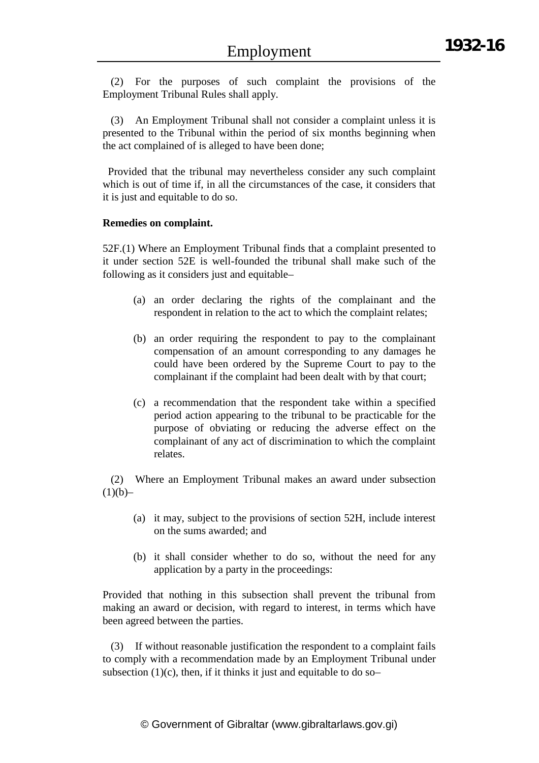(2) For the purposes of such complaint the provisions of the Employment Tribunal Rules shall apply.

(3) An Employment Tribunal shall not consider a complaint unless it is presented to the Tribunal within the period of six months beginning when the act complained of is alleged to have been done;

Provided that the tribunal may nevertheless consider any such complaint which is out of time if, in all the circumstances of the case, it considers that it is just and equitable to do so.

# **Remedies on complaint.**

52F.(1) Where an Employment Tribunal finds that a complaint presented to it under section 52E is well-founded the tribunal shall make such of the following as it considers just and equitable–

- (a) an order declaring the rights of the complainant and the respondent in relation to the act to which the complaint relates;
- (b) an order requiring the respondent to pay to the complainant compensation of an amount corresponding to any damages he could have been ordered by the Supreme Court to pay to the complainant if the complaint had been dealt with by that court;
- (c) a recommendation that the respondent take within a specified period action appearing to the tribunal to be practicable for the purpose of obviating or reducing the adverse effect on the complainant of any act of discrimination to which the complaint relates.

(2) Where an Employment Tribunal makes an award under subsection  $(1)(b)$ –

- (a) it may, subject to the provisions of section 52H, include interest on the sums awarded; and
- (b) it shall consider whether to do so, without the need for any application by a party in the proceedings:

Provided that nothing in this subsection shall prevent the tribunal from making an award or decision, with regard to interest, in terms which have been agreed between the parties.

(3) If without reasonable justification the respondent to a complaint fails to comply with a recommendation made by an Employment Tribunal under subsection  $(1)(c)$ , then, if it thinks it just and equitable to do so–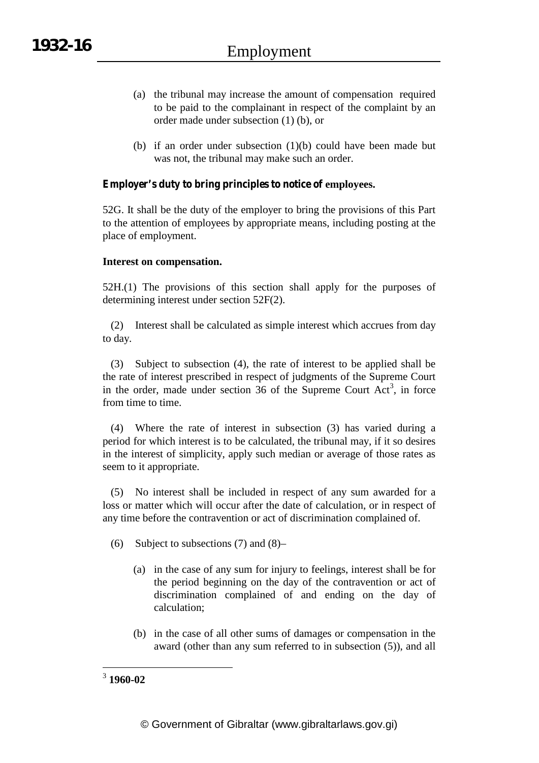- (a) the tribunal may increase the amount of compensation required to be paid to the complainant in respect of the complaint by an order made under subsection (1) (b), or
- (b) if an order under subsection (1)(b) could have been made but was not, the tribunal may make such an order.

# **Employer's duty to bring principles to notice of employees.**

52G. It shall be the duty of the employer to bring the provisions of this Part to the attention of employees by appropriate means, including posting at the place of employment.

# **Interest on compensation.**

52H.(1) The provisions of this section shall apply for the purposes of determining interest under section 52F(2).

(2) Interest shall be calculated as simple interest which accrues from day to day.

(3) Subject to subsection (4), the rate of interest to be applied shall be the rate of interest prescribed in respect of judgments of the Supreme Court in the order, made under section  $36$  of the Supreme Court  $Act^3$ , in force from time to time.

(4) Where the rate of interest in subsection (3) has varied during a period for which interest is to be calculated, the tribunal may, if it so desires in the interest of simplicity, apply such median or average of those rates as seem to it appropriate.

(5) No interest shall be included in respect of any sum awarded for a loss or matter which will occur after the date of calculation, or in respect of any time before the contravention or act of discrimination complained of.

- (6) Subject to subsections (7) and (8)–
	- (a) in the case of any sum for injury to feelings, interest shall be for the period beginning on the day of the contravention or act of discrimination complained of and ending on the day of calculation;
	- (b) in the case of all other sums of damages or compensation in the award (other than any sum referred to in subsection (5)), and all

<sup>3</sup> **1960-02**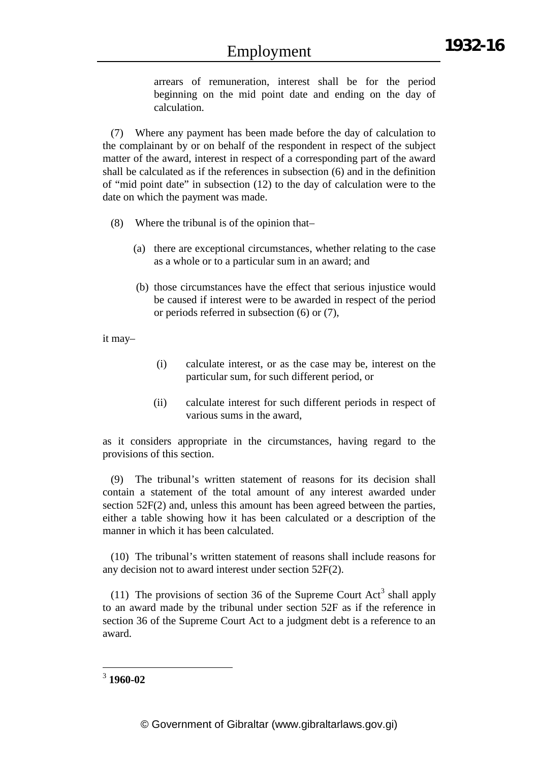arrears of remuneration, interest shall be for the period beginning on the mid point date and ending on the day of calculation.

(7) Where any payment has been made before the day of calculation to the complainant by or on behalf of the respondent in respect of the subject matter of the award, interest in respect of a corresponding part of the award shall be calculated as if the references in subsection (6) and in the definition of "mid point date" in subsection (12) to the day of calculation were to the date on which the payment was made.

- (8) Where the tribunal is of the opinion that–
	- (a) there are exceptional circumstances, whether relating to the case as a whole or to a particular sum in an award; and
	- (b) those circumstances have the effect that serious injustice would be caused if interest were to be awarded in respect of the period or periods referred in subsection (6) or (7),

it may–

- (i) calculate interest, or as the case may be, interest on the particular sum, for such different period, or
- (ii) calculate interest for such different periods in respect of various sums in the award,

as it considers appropriate in the circumstances, having regard to the provisions of this section.

(9) The tribunal's written statement of reasons for its decision shall contain a statement of the total amount of any interest awarded under section 52F(2) and, unless this amount has been agreed between the parties, either a table showing how it has been calculated or a description of the manner in which it has been calculated.

(10) The tribunal's written statement of reasons shall include reasons for any decision not to award interest under section 52F(2).

(11) The provisions of section 36 of the Supreme Court  $Act<sup>3</sup>$  shall apply to an award made by the tribunal under section 52F as if the reference in section 36 of the Supreme Court Act to a judgment debt is a reference to an award.

<sup>3</sup> **1960-02**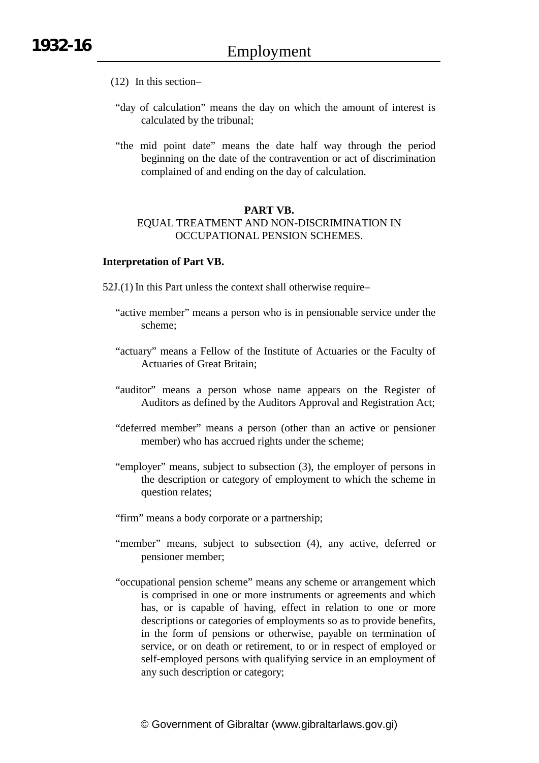- (12) In this section–
- "day of calculation" means the day on which the amount of interest is calculated by the tribunal;
- "the mid point date" means the date half way through the period beginning on the date of the contravention or act of discrimination complained of and ending on the day of calculation.

# **PART VB.** EQUAL TREATMENT AND NON-DISCRIMINATION IN OCCUPATIONAL PENSION SCHEMES.

#### **Interpretation of Part VB.**

- 52J.(1) In this Part unless the context shall otherwise require–
	- "active member" means a person who is in pensionable service under the scheme;
	- "actuary" means a Fellow of the Institute of Actuaries or the Faculty of Actuaries of Great Britain;
	- "auditor" means a person whose name appears on the Register of Auditors as defined by the Auditors Approval and Registration Act;
	- "deferred member" means a person (other than an active or pensioner member) who has accrued rights under the scheme;
	- "employer" means, subject to subsection (3), the employer of persons in the description or category of employment to which the scheme in question relates;
	- "firm" means a body corporate or a partnership;
	- "member" means, subject to subsection (4), any active, deferred or pensioner member;
	- "occupational pension scheme" means any scheme or arrangement which is comprised in one or more instruments or agreements and which has, or is capable of having, effect in relation to one or more descriptions or categories of employments so as to provide benefits, in the form of pensions or otherwise, payable on termination of service, or on death or retirement, to or in respect of employed or self-employed persons with qualifying service in an employment of any such description or category;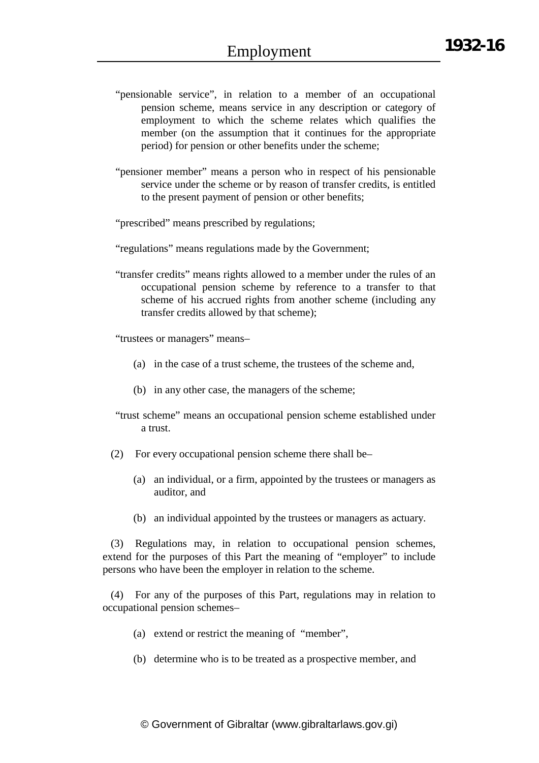- "pensionable service", in relation to a member of an occupational pension scheme, means service in any description or category of employment to which the scheme relates which qualifies the member (on the assumption that it continues for the appropriate period) for pension or other benefits under the scheme;
- "pensioner member" means a person who in respect of his pensionable service under the scheme or by reason of transfer credits, is entitled to the present payment of pension or other benefits;

"prescribed" means prescribed by regulations;

"regulations" means regulations made by the Government;

"transfer credits" means rights allowed to a member under the rules of an occupational pension scheme by reference to a transfer to that scheme of his accrued rights from another scheme (including any transfer credits allowed by that scheme);

"trustees or managers" means–

- (a) in the case of a trust scheme, the trustees of the scheme and,
- (b) in any other case, the managers of the scheme;
- "trust scheme" means an occupational pension scheme established under a trust.
- (2) For every occupational pension scheme there shall be–
	- (a) an individual, or a firm, appointed by the trustees or managers as auditor, and
	- (b) an individual appointed by the trustees or managers as actuary.

(3) Regulations may, in relation to occupational pension schemes, extend for the purposes of this Part the meaning of "employer" to include persons who have been the employer in relation to the scheme.

(4) For any of the purposes of this Part, regulations may in relation to occupational pension schemes–

- (a) extend or restrict the meaning of "member",
- (b) determine who is to be treated as a prospective member, and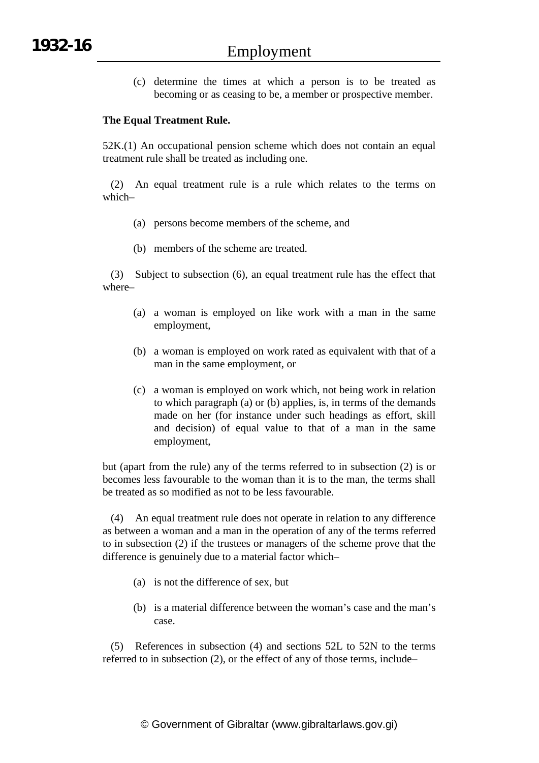(c) determine the times at which a person is to be treated as becoming or as ceasing to be, a member or prospective member.

### **The Equal Treatment Rule.**

52K.(1) An occupational pension scheme which does not contain an equal treatment rule shall be treated as including one.

(2) An equal treatment rule is a rule which relates to the terms on which–

- (a) persons become members of the scheme, and
- (b) members of the scheme are treated.

(3) Subject to subsection (6), an equal treatment rule has the effect that where–

- (a) a woman is employed on like work with a man in the same employment,
- (b) a woman is employed on work rated as equivalent with that of a man in the same employment, or
- (c) a woman is employed on work which, not being work in relation to which paragraph (a) or (b) applies, is, in terms of the demands made on her (for instance under such headings as effort, skill and decision) of equal value to that of a man in the same employment,

but (apart from the rule) any of the terms referred to in subsection (2) is or becomes less favourable to the woman than it is to the man, the terms shall be treated as so modified as not to be less favourable.

(4) An equal treatment rule does not operate in relation to any difference as between a woman and a man in the operation of any of the terms referred to in subsection (2) if the trustees or managers of the scheme prove that the difference is genuinely due to a material factor which–

- (a) is not the difference of sex, but
- (b) is a material difference between the woman's case and the man's case.

(5) References in subsection (4) and sections 52L to 52N to the terms referred to in subsection (2), or the effect of any of those terms, include–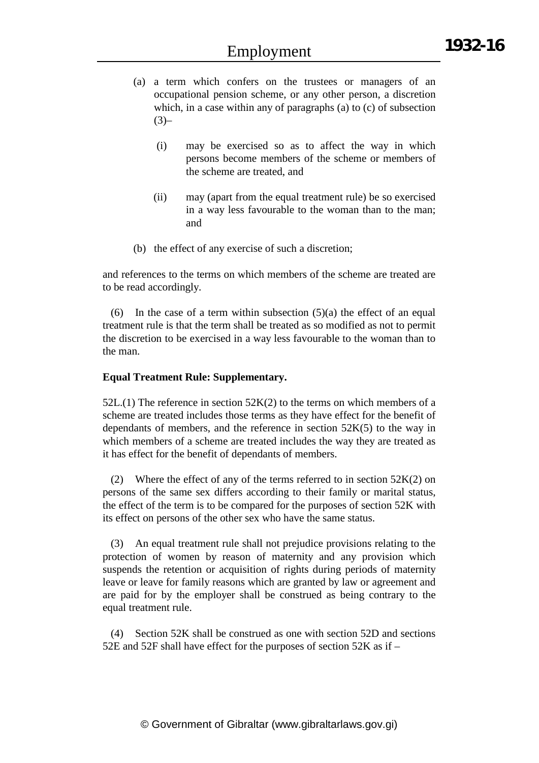- (a) a term which confers on the trustees or managers of an occupational pension scheme, or any other person, a discretion which, in a case within any of paragraphs (a) to (c) of subsection  $(3)$ 
	- (i) may be exercised so as to affect the way in which persons become members of the scheme or members of the scheme are treated, and
	- (ii) may (apart from the equal treatment rule) be so exercised in a way less favourable to the woman than to the man; and
- (b) the effect of any exercise of such a discretion;

and references to the terms on which members of the scheme are treated are to be read accordingly.

(6) In the case of a term within subsection  $(5)(a)$  the effect of an equal treatment rule is that the term shall be treated as so modified as not to permit the discretion to be exercised in a way less favourable to the woman than to the man.

# **Equal Treatment Rule: Supplementary.**

52L.(1) The reference in section 52K(2) to the terms on which members of a scheme are treated includes those terms as they have effect for the benefit of dependants of members, and the reference in section  $52K(5)$  to the way in which members of a scheme are treated includes the way they are treated as it has effect for the benefit of dependants of members.

(2) Where the effect of any of the terms referred to in section  $52K(2)$  on persons of the same sex differs according to their family or marital status, the effect of the term is to be compared for the purposes of section 52K with its effect on persons of the other sex who have the same status.

(3) An equal treatment rule shall not prejudice provisions relating to the protection of women by reason of maternity and any provision which suspends the retention or acquisition of rights during periods of maternity leave or leave for family reasons which are granted by law or agreement and are paid for by the employer shall be construed as being contrary to the equal treatment rule.

(4) Section 52K shall be construed as one with section 52D and sections 52E and 52F shall have effect for the purposes of section 52K as if –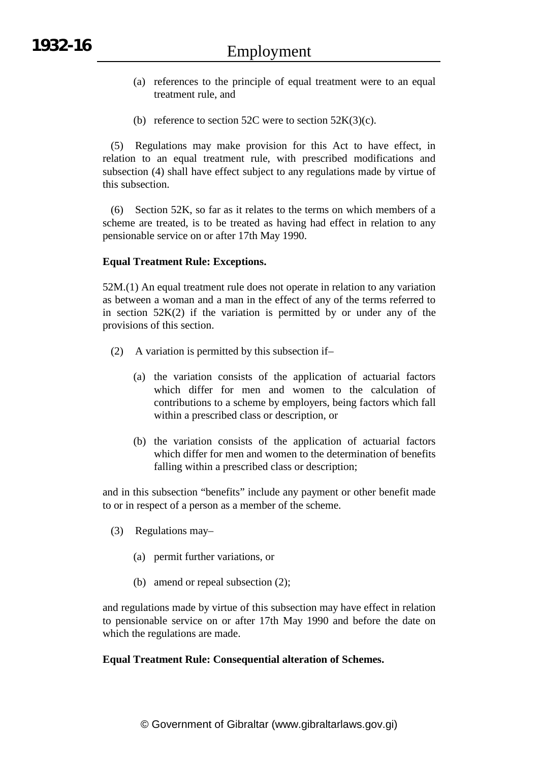- (a) references to the principle of equal treatment were to an equal treatment rule, and
- (b) reference to section 52C were to section  $52K(3)(c)$ .

(5) Regulations may make provision for this Act to have effect, in relation to an equal treatment rule, with prescribed modifications and subsection (4) shall have effect subject to any regulations made by virtue of this subsection.

(6) Section 52K, so far as it relates to the terms on which members of a scheme are treated, is to be treated as having had effect in relation to any pensionable service on or after 17th May 1990.

# **Equal Treatment Rule: Exceptions.**

52M.(1) An equal treatment rule does not operate in relation to any variation as between a woman and a man in the effect of any of the terms referred to in section 52K(2) if the variation is permitted by or under any of the provisions of this section.

- (2) A variation is permitted by this subsection if–
	- (a) the variation consists of the application of actuarial factors which differ for men and women to the calculation of contributions to a scheme by employers, being factors which fall within a prescribed class or description, or
	- (b) the variation consists of the application of actuarial factors which differ for men and women to the determination of benefits falling within a prescribed class or description;

and in this subsection "benefits" include any payment or other benefit made to or in respect of a person as a member of the scheme.

- (3) Regulations may–
	- (a) permit further variations, or
	- (b) amend or repeal subsection (2);

and regulations made by virtue of this subsection may have effect in relation to pensionable service on or after 17th May 1990 and before the date on which the regulations are made.

# **Equal Treatment Rule: Consequential alteration of Schemes.**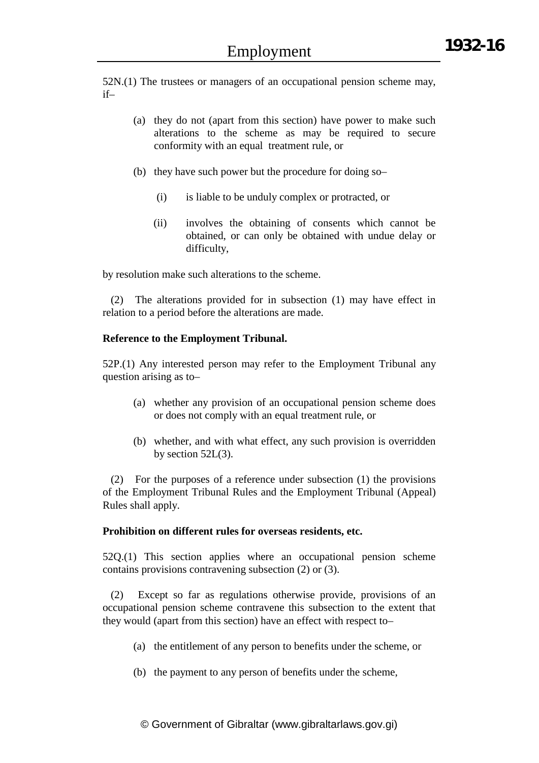52N.(1) The trustees or managers of an occupational pension scheme may, if–

- (a) they do not (apart from this section) have power to make such alterations to the scheme as may be required to secure conformity with an equal treatment rule, or
- (b) they have such power but the procedure for doing so–
	- (i) is liable to be unduly complex or protracted, or
	- (ii) involves the obtaining of consents which cannot be obtained, or can only be obtained with undue delay or difficulty,

by resolution make such alterations to the scheme.

(2) The alterations provided for in subsection (1) may have effect in relation to a period before the alterations are made.

# **Reference to the Employment Tribunal.**

52P.(1) Any interested person may refer to the Employment Tribunal any question arising as to–

- (a) whether any provision of an occupational pension scheme does or does not comply with an equal treatment rule, or
- (b) whether, and with what effect, any such provision is overridden by section 52L(3).

(2) For the purposes of a reference under subsection (1) the provisions of the Employment Tribunal Rules and the Employment Tribunal (Appeal) Rules shall apply.

# **Prohibition on different rules for overseas residents, etc.**

52Q.(1) This section applies where an occupational pension scheme contains provisions contravening subsection (2) or (3).

(2) Except so far as regulations otherwise provide, provisions of an occupational pension scheme contravene this subsection to the extent that they would (apart from this section) have an effect with respect to–

- (a) the entitlement of any person to benefits under the scheme, or
- (b) the payment to any person of benefits under the scheme,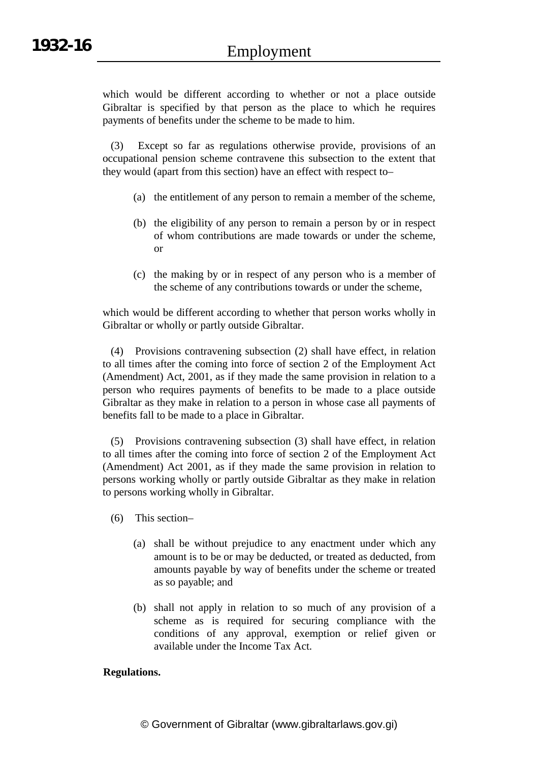which would be different according to whether or not a place outside Gibraltar is specified by that person as the place to which he requires payments of benefits under the scheme to be made to him.

(3) Except so far as regulations otherwise provide, provisions of an occupational pension scheme contravene this subsection to the extent that they would (apart from this section) have an effect with respect to–

- (a) the entitlement of any person to remain a member of the scheme,
- (b) the eligibility of any person to remain a person by or in respect of whom contributions are made towards or under the scheme, or
- (c) the making by or in respect of any person who is a member of the scheme of any contributions towards or under the scheme,

which would be different according to whether that person works wholly in Gibraltar or wholly or partly outside Gibraltar.

(4) Provisions contravening subsection (2) shall have effect, in relation to all times after the coming into force of section 2 of the Employment Act (Amendment) Act, 2001, as if they made the same provision in relation to a person who requires payments of benefits to be made to a place outside Gibraltar as they make in relation to a person in whose case all payments of benefits fall to be made to a place in Gibraltar.

(5) Provisions contravening subsection (3) shall have effect, in relation to all times after the coming into force of section 2 of the Employment Act (Amendment) Act 2001, as if they made the same provision in relation to persons working wholly or partly outside Gibraltar as they make in relation to persons working wholly in Gibraltar.

- (6) This section–
	- (a) shall be without prejudice to any enactment under which any amount is to be or may be deducted, or treated as deducted, from amounts payable by way of benefits under the scheme or treated as so payable; and
	- (b) shall not apply in relation to so much of any provision of a scheme as is required for securing compliance with the conditions of any approval, exemption or relief given or available under the Income Tax Act.

# **Regulations.**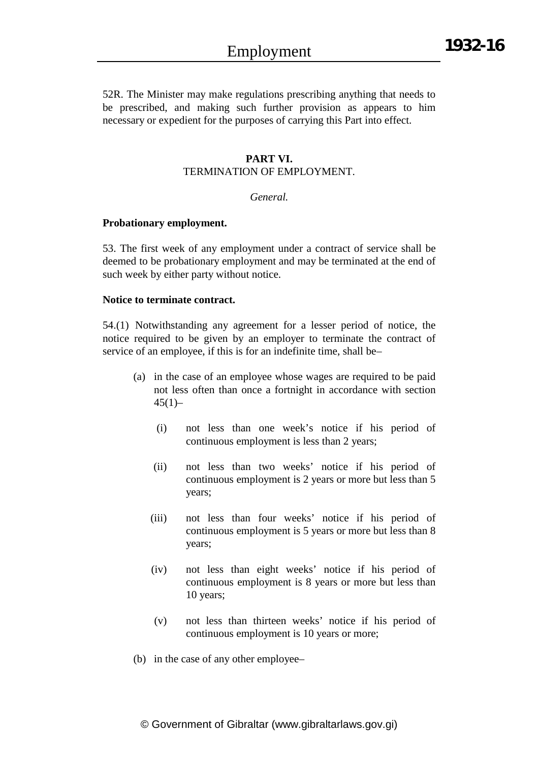52R. The Minister may make regulations prescribing anything that needs to be prescribed, and making such further provision as appears to him necessary or expedient for the purposes of carrying this Part into effect.

### **PART VI.**

### TERMINATION OF EMPLOYMENT.

### *General.*

#### **Probationary employment.**

53. The first week of any employment under a contract of service shall be deemed to be probationary employment and may be terminated at the end of such week by either party without notice.

#### **Notice to terminate contract.**

54.(1) Notwithstanding any agreement for a lesser period of notice, the notice required to be given by an employer to terminate the contract of service of an employee, if this is for an indefinite time, shall be–

- (a) in the case of an employee whose wages are required to be paid not less often than once a fortnight in accordance with section  $45(1)$ 
	- (i) not less than one week's notice if his period of continuous employment is less than 2 years;
	- (ii) not less than two weeks' notice if his period of continuous employment is 2 years or more but less than 5 years;
	- (iii) not less than four weeks' notice if his period of continuous employment is 5 years or more but less than 8 years;
	- (iv) not less than eight weeks' notice if his period of continuous employment is 8 years or more but less than 10 years;
	- (v) not less than thirteen weeks' notice if his period of continuous employment is 10 years or more;
- (b) in the case of any other employee–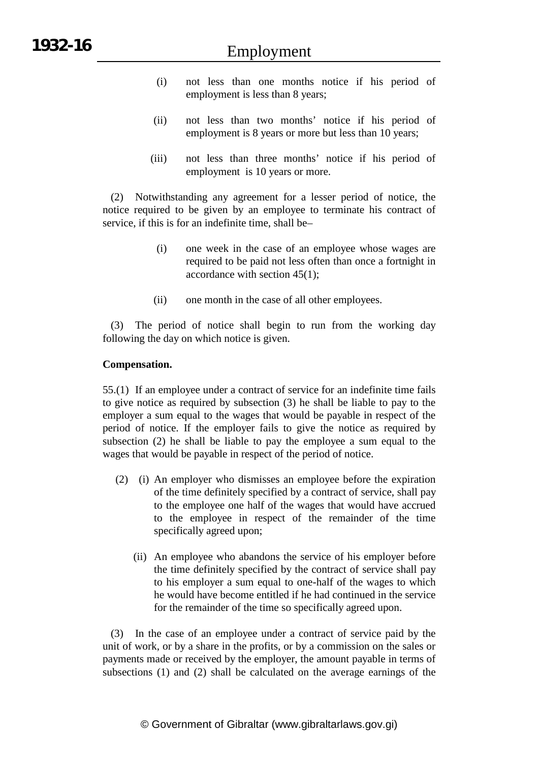- (i) not less than one months notice if his period of employment is less than 8 years;
- (ii) not less than two months' notice if his period of employment is 8 years or more but less than 10 years;
- (iii) not less than three months' notice if his period of employment is 10 years or more.

(2) Notwithstanding any agreement for a lesser period of notice, the notice required to be given by an employee to terminate his contract of service, if this is for an indefinite time, shall be–

- (i) one week in the case of an employee whose wages are required to be paid not less often than once a fortnight in accordance with section 45(1);
- (ii) one month in the case of all other employees.

(3) The period of notice shall begin to run from the working day following the day on which notice is given.

# **Compensation.**

55.(1) If an employee under a contract of service for an indefinite time fails to give notice as required by subsection (3) he shall be liable to pay to the employer a sum equal to the wages that would be payable in respect of the period of notice. If the employer fails to give the notice as required by subsection (2) he shall be liable to pay the employee a sum equal to the wages that would be payable in respect of the period of notice.

- (2) (i) An employer who dismisses an employee before the expiration of the time definitely specified by a contract of service, shall pay to the employee one half of the wages that would have accrued to the employee in respect of the remainder of the time specifically agreed upon;
	- (ii) An employee who abandons the service of his employer before the time definitely specified by the contract of service shall pay to his employer a sum equal to one-half of the wages to which he would have become entitled if he had continued in the service for the remainder of the time so specifically agreed upon.

(3) In the case of an employee under a contract of service paid by the unit of work, or by a share in the profits, or by a commission on the sales or payments made or received by the employer, the amount payable in terms of subsections (1) and (2) shall be calculated on the average earnings of the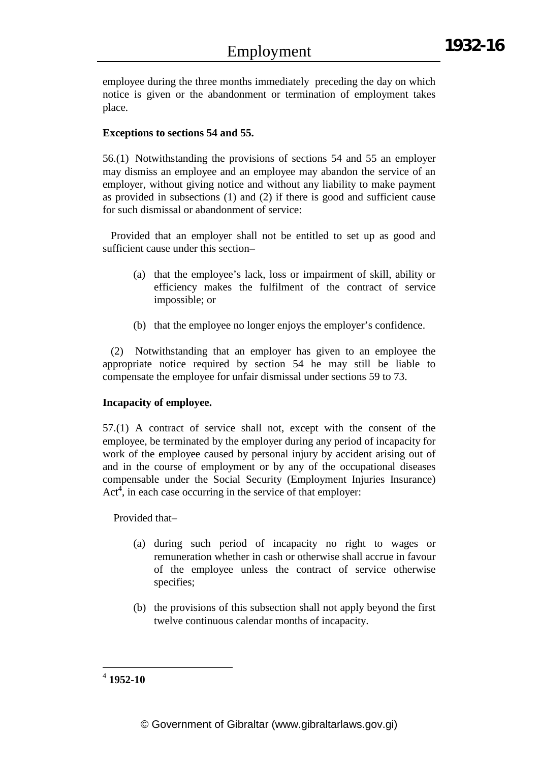employee during the three months immediately preceding the day on which notice is given or the abandonment or termination of employment takes place.

# **Exceptions to sections 54 and 55.**

56.(1) Notwithstanding the provisions of sections 54 and 55 an employer may dismiss an employee and an employee may abandon the service of an employer, without giving notice and without any liability to make payment as provided in subsections (1) and (2) if there is good and sufficient cause for such dismissal or abandonment of service:

Provided that an employer shall not be entitled to set up as good and sufficient cause under this section–

- (a) that the employee's lack, loss or impairment of skill, ability or efficiency makes the fulfilment of the contract of service impossible; or
- (b) that the employee no longer enjoys the employer's confidence.

(2) Notwithstanding that an employer has given to an employee the appropriate notice required by section 54 he may still be liable to compensate the employee for unfair dismissal under sections 59 to 73.

# **Incapacity of employee.**

57.(1) A contract of service shall not, except with the consent of the employee, be terminated by the employer during any period of incapacity for work of the employee caused by personal injury by accident arising out of and in the course of employment or by any of the occupational diseases compensable under the Social Security (Employment Injuries Insurance)  $Act<sup>4</sup>$ , in each case occurring in the service of that employer:

Provided that–

- (a) during such period of incapacity no right to wages or remuneration whether in cash or otherwise shall accrue in favour of the employee unless the contract of service otherwise specifies;
- (b) the provisions of this subsection shall not apply beyond the first twelve continuous calendar months of incapacity.

<sup>4</sup> **1952-10**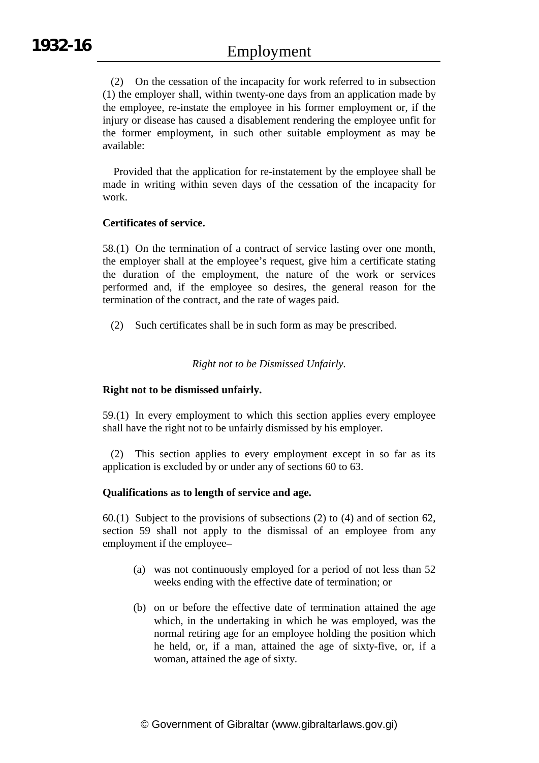(2) On the cessation of the incapacity for work referred to in subsection (1) the employer shall, within twenty-one days from an application made by the employee, re-instate the employee in his former employment or, if the injury or disease has caused a disablement rendering the employee unfit for the former employment, in such other suitable employment as may be available:

Provided that the application for re-instatement by the employee shall be made in writing within seven days of the cessation of the incapacity for work.

# **Certificates of service.**

58.(1) On the termination of a contract of service lasting over one month, the employer shall at the employee's request, give him a certificate stating the duration of the employment, the nature of the work or services performed and, if the employee so desires, the general reason for the termination of the contract, and the rate of wages paid.

(2) Such certificates shall be in such form as may be prescribed.

# *Right not to be Dismissed Unfairly.*

# **Right not to be dismissed unfairly.**

59.(1) In every employment to which this section applies every employee shall have the right not to be unfairly dismissed by his employer.

(2) This section applies to every employment except in so far as its application is excluded by or under any of sections 60 to 63.

# **Qualifications as to length of service and age.**

60.(1) Subject to the provisions of subsections (2) to (4) and of section 62, section 59 shall not apply to the dismissal of an employee from any employment if the employee–

- (a) was not continuously employed for a period of not less than 52 weeks ending with the effective date of termination; or
- (b) on or before the effective date of termination attained the age which, in the undertaking in which he was employed, was the normal retiring age for an employee holding the position which he held, or, if a man, attained the age of sixty-five, or, if a woman, attained the age of sixty.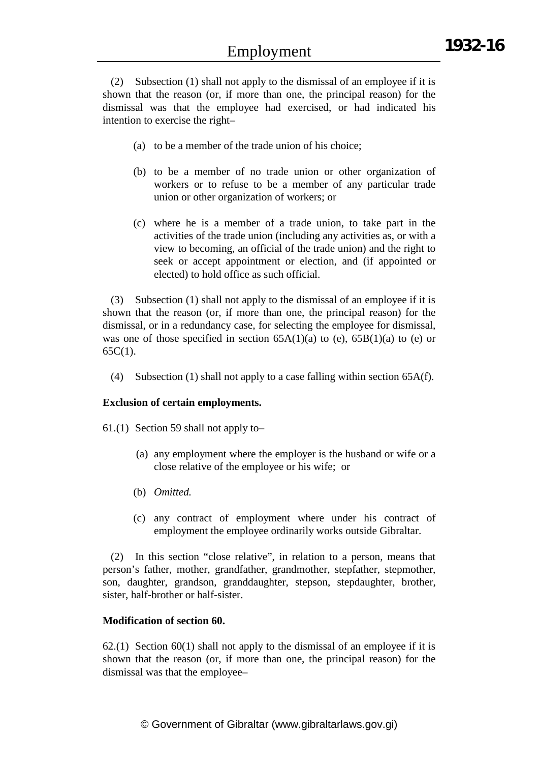(2) Subsection (1) shall not apply to the dismissal of an employee if it is shown that the reason (or, if more than one, the principal reason) for the dismissal was that the employee had exercised, or had indicated his intention to exercise the right–

- (a) to be a member of the trade union of his choice;
- (b) to be a member of no trade union or other organization of workers or to refuse to be a member of any particular trade union or other organization of workers; or
- (c) where he is a member of a trade union, to take part in the activities of the trade union (including any activities as, or with a view to becoming, an official of the trade union) and the right to seek or accept appointment or election, and (if appointed or elected) to hold office as such official.

(3) Subsection (1) shall not apply to the dismissal of an employee if it is shown that the reason (or, if more than one, the principal reason) for the dismissal, or in a redundancy case, for selecting the employee for dismissal, was one of those specified in section  $65A(1)(a)$  to (e),  $65B(1)(a)$  to (e) or  $65C(1)$ .

(4) Subsection (1) shall not apply to a case falling within section 65A(f).

#### **Exclusion of certain employments.**

- 61.(1) Section 59 shall not apply to–
	- (a) any employment where the employer is the husband or wife or a close relative of the employee or his wife; or
	- (b) *Omitted.*
	- (c) any contract of employment where under his contract of employment the employee ordinarily works outside Gibraltar.

(2) In this section "close relative", in relation to a person, means that person's father, mother, grandfather, grandmother, stepfather, stepmother, son, daughter, grandson, granddaughter, stepson, stepdaughter, brother, sister, half-brother or half-sister.

#### **Modification of section 60.**

 $62(1)$  Section  $60(1)$  shall not apply to the dismissal of an employee if it is shown that the reason (or, if more than one, the principal reason) for the dismissal was that the employee–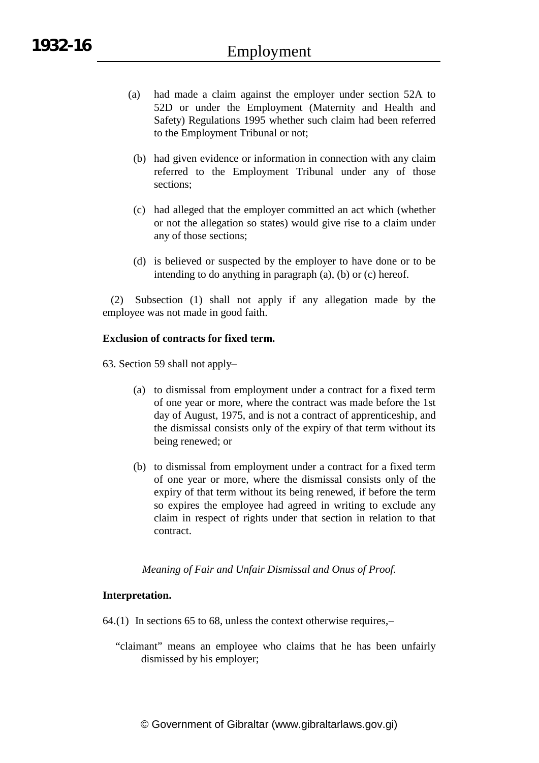- (a) had made a claim against the employer under section 52A to 52D or under the Employment (Maternity and Health and Safety) Regulations 1995 whether such claim had been referred to the Employment Tribunal or not;
	- (b) had given evidence or information in connection with any claim referred to the Employment Tribunal under any of those sections;
	- (c) had alleged that the employer committed an act which (whether or not the allegation so states) would give rise to a claim under any of those sections;
	- (d) is believed or suspected by the employer to have done or to be intending to do anything in paragraph (a), (b) or (c) hereof.

(2) Subsection (1) shall not apply if any allegation made by the employee was not made in good faith.

# **Exclusion of contracts for fixed term.**

63. Section 59 shall not apply–

- (a) to dismissal from employment under a contract for a fixed term of one year or more, where the contract was made before the 1st day of August, 1975, and is not a contract of apprenticeship, and the dismissal consists only of the expiry of that term without its being renewed; or
- (b) to dismissal from employment under a contract for a fixed term of one year or more, where the dismissal consists only of the expiry of that term without its being renewed, if before the term so expires the employee had agreed in writing to exclude any claim in respect of rights under that section in relation to that contract.

*Meaning of Fair and Unfair Dismissal and Onus of Proof.*

#### **Interpretation.**

- 64.(1) In sections 65 to 68, unless the context otherwise requires,–
	- "claimant" means an employee who claims that he has been unfairly dismissed by his employer;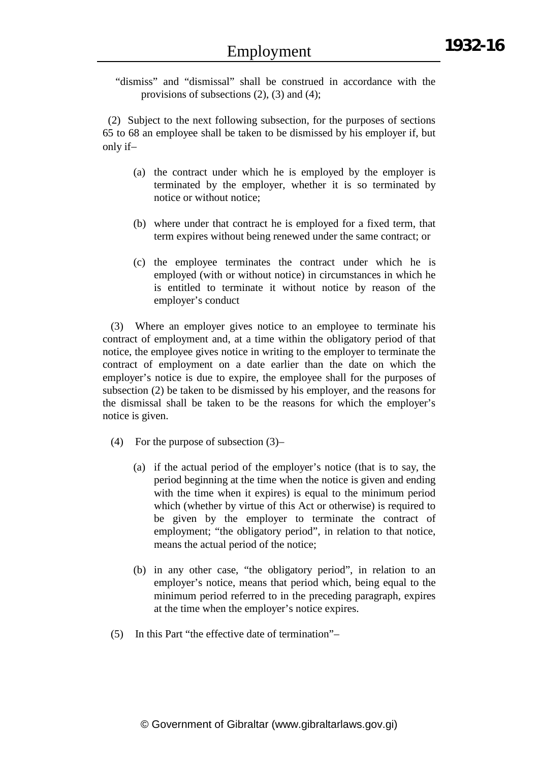"dismiss" and "dismissal" shall be construed in accordance with the provisions of subsections (2), (3) and (4);

(2) Subject to the next following subsection, for the purposes of sections 65 to 68 an employee shall be taken to be dismissed by his employer if, but only if

- (a) the contract under which he is employed by the employer is terminated by the employer, whether it is so terminated by notice or without notice;
- (b) where under that contract he is employed for a fixed term, that term expires without being renewed under the same contract; or
- (c) the employee terminates the contract under which he is employed (with or without notice) in circumstances in which he is entitled to terminate it without notice by reason of the employer's conduct

(3) Where an employer gives notice to an employee to terminate his contract of employment and, at a time within the obligatory period of that notice, the employee gives notice in writing to the employer to terminate the contract of employment on a date earlier than the date on which the employer's notice is due to expire, the employee shall for the purposes of subsection (2) be taken to be dismissed by his employer, and the reasons for the dismissal shall be taken to be the reasons for which the employer's notice is given.

- (4) For the purpose of subsection (3)–
	- (a) if the actual period of the employer's notice (that is to say, the period beginning at the time when the notice is given and ending with the time when it expires) is equal to the minimum period which (whether by virtue of this Act or otherwise) is required to be given by the employer to terminate the contract of employment; "the obligatory period", in relation to that notice, means the actual period of the notice;
	- (b) in any other case, "the obligatory period", in relation to an employer's notice, means that period which, being equal to the minimum period referred to in the preceding paragraph, expires at the time when the employer's notice expires.
- (5) In this Part "the effective date of termination"–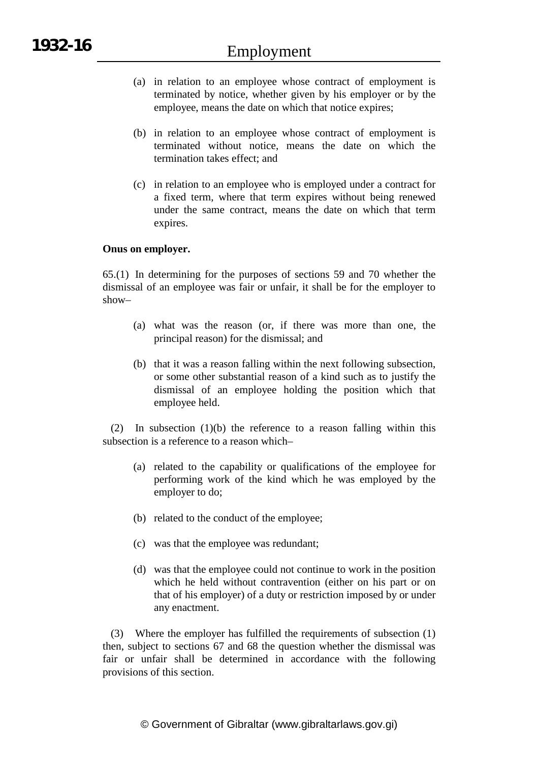- (a) in relation to an employee whose contract of employment is terminated by notice, whether given by his employer or by the employee, means the date on which that notice expires;
- (b) in relation to an employee whose contract of employment is terminated without notice, means the date on which the termination takes effect; and
- (c) in relation to an employee who is employed under a contract for a fixed term, where that term expires without being renewed under the same contract, means the date on which that term expires.

# **Onus on employer.**

65.(1) In determining for the purposes of sections 59 and 70 whether the dismissal of an employee was fair or unfair, it shall be for the employer to show–

- (a) what was the reason (or, if there was more than one, the principal reason) for the dismissal; and
- (b) that it was a reason falling within the next following subsection, or some other substantial reason of a kind such as to justify the dismissal of an employee holding the position which that employee held.

(2) In subsection (1)(b) the reference to a reason falling within this subsection is a reference to a reason which–

- (a) related to the capability or qualifications of the employee for performing work of the kind which he was employed by the employer to do;
- (b) related to the conduct of the employee;
- (c) was that the employee was redundant;
- (d) was that the employee could not continue to work in the position which he held without contravention (either on his part or on that of his employer) of a duty or restriction imposed by or under any enactment.

(3) Where the employer has fulfilled the requirements of subsection (1) then, subject to sections 67 and 68 the question whether the dismissal was fair or unfair shall be determined in accordance with the following provisions of this section.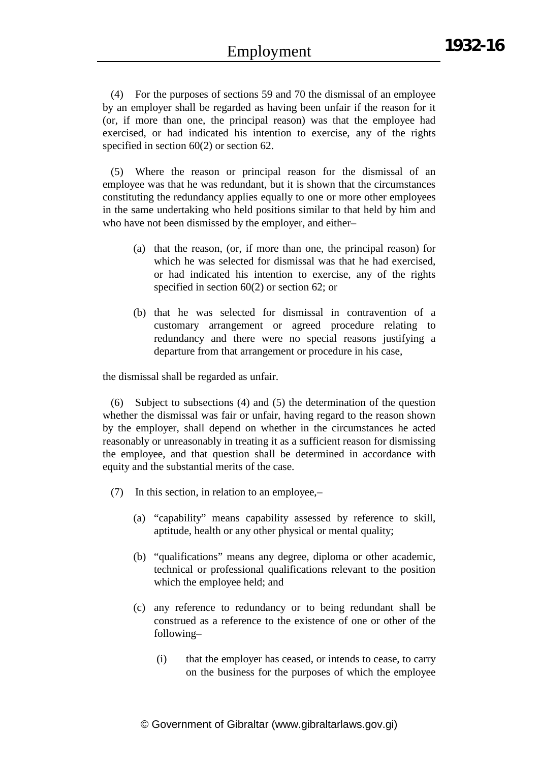(4) For the purposes of sections 59 and 70 the dismissal of an employee by an employer shall be regarded as having been unfair if the reason for it (or, if more than one, the principal reason) was that the employee had exercised, or had indicated his intention to exercise, any of the rights specified in section 60(2) or section 62.

(5) Where the reason or principal reason for the dismissal of an employee was that he was redundant, but it is shown that the circumstances constituting the redundancy applies equally to one or more other employees in the same undertaking who held positions similar to that held by him and who have not been dismissed by the employer, and either–

- (a) that the reason, (or, if more than one, the principal reason) for which he was selected for dismissal was that he had exercised, or had indicated his intention to exercise, any of the rights specified in section 60(2) or section 62; or
- (b) that he was selected for dismissal in contravention of a customary arrangement or agreed procedure relating to redundancy and there were no special reasons justifying a departure from that arrangement or procedure in his case,

the dismissal shall be regarded as unfair.

(6) Subject to subsections (4) and (5) the determination of the question whether the dismissal was fair or unfair, having regard to the reason shown by the employer, shall depend on whether in the circumstances he acted reasonably or unreasonably in treating it as a sufficient reason for dismissing the employee, and that question shall be determined in accordance with equity and the substantial merits of the case.

- (7) In this section, in relation to an employee,–
	- (a) "capability" means capability assessed by reference to skill, aptitude, health or any other physical or mental quality;
	- (b) "qualifications" means any degree, diploma or other academic, technical or professional qualifications relevant to the position which the employee held; and
	- (c) any reference to redundancy or to being redundant shall be construed as a reference to the existence of one or other of the following–
		- (i) that the employer has ceased, or intends to cease, to carry on the business for the purposes of which the employee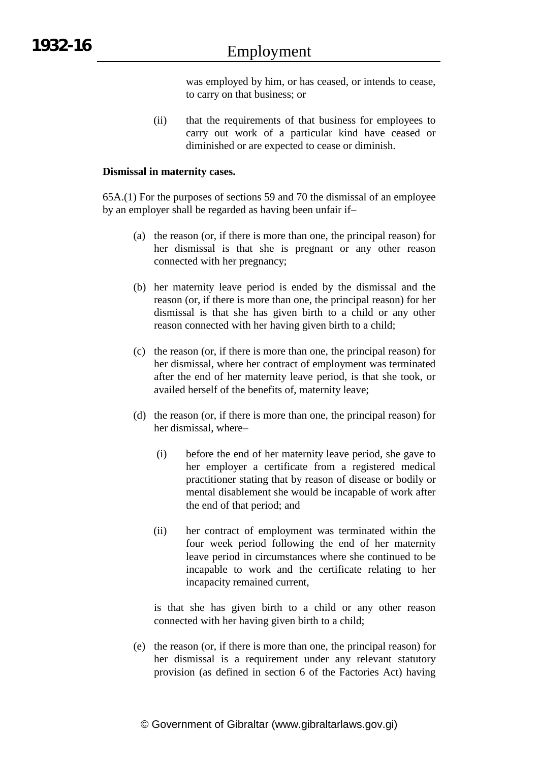was employed by him, or has ceased, or intends to cease, to carry on that business; or

(ii) that the requirements of that business for employees to carry out work of a particular kind have ceased or diminished or are expected to cease or diminish.

### **Dismissal in maternity cases.**

65A.(1) For the purposes of sections 59 and 70 the dismissal of an employee by an employer shall be regarded as having been unfair if–

- (a) the reason (or, if there is more than one, the principal reason) for her dismissal is that she is pregnant or any other reason connected with her pregnancy;
- (b) her maternity leave period is ended by the dismissal and the reason (or, if there is more than one, the principal reason) for her dismissal is that she has given birth to a child or any other reason connected with her having given birth to a child;
- (c) the reason (or, if there is more than one, the principal reason) for her dismissal, where her contract of employment was terminated after the end of her maternity leave period, is that she took, or availed herself of the benefits of, maternity leave;
- (d) the reason (or, if there is more than one, the principal reason) for her dismissal, where–
	- (i) before the end of her maternity leave period, she gave to her employer a certificate from a registered medical practitioner stating that by reason of disease or bodily or mental disablement she would be incapable of work after the end of that period; and
	- (ii) her contract of employment was terminated within the four week period following the end of her maternity leave period in circumstances where she continued to be incapable to work and the certificate relating to her incapacity remained current,

is that she has given birth to a child or any other reason connected with her having given birth to a child;

(e) the reason (or, if there is more than one, the principal reason) for her dismissal is a requirement under any relevant statutory provision (as defined in section 6 of the Factories Act) having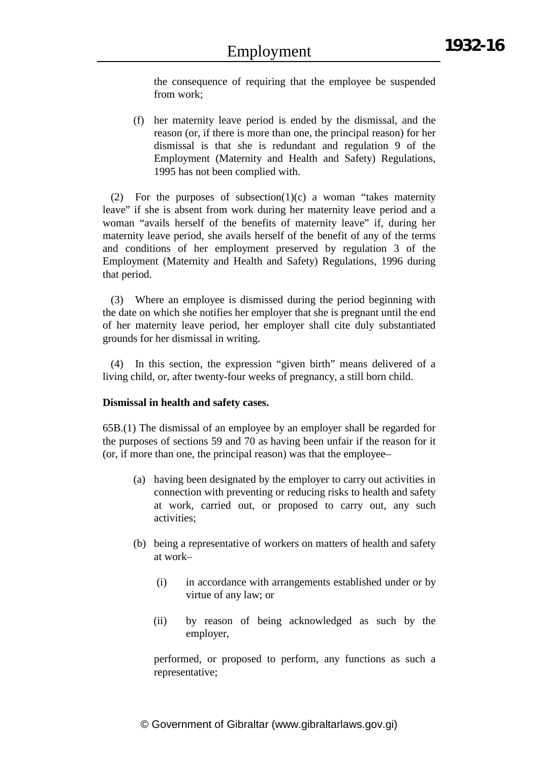the consequence of requiring that the employee be suspended from work;

(f) her maternity leave period is ended by the dismissal, and the reason (or, if there is more than one, the principal reason) for her dismissal is that she is redundant and regulation 9 of the Employment (Maternity and Health and Safety) Regulations, 1995 has not been complied with.

(2) For the purposes of subsection(1)(c) a woman "takes maternity leave" if she is absent from work during her maternity leave period and a woman "avails herself of the benefits of maternity leave" if, during her maternity leave period, she avails herself of the benefit of any of the terms and conditions of her employment preserved by regulation 3 of the Employment (Maternity and Health and Safety) Regulations, 1996 during that period.

(3) Where an employee is dismissed during the period beginning with the date on which she notifies her employer that she is pregnant until the end of her maternity leave period, her employer shall cite duly substantiated grounds for her dismissal in writing.

(4) In this section, the expression "given birth" means delivered of a living child, or, after twenty-four weeks of pregnancy, a still born child.

# **Dismissal in health and safety cases.**

65B.(1) The dismissal of an employee by an employer shall be regarded for the purposes of sections 59 and 70 as having been unfair if the reason for it (or, if more than one, the principal reason) was that the employee–

- (a) having been designated by the employer to carry out activities in connection with preventing or reducing risks to health and safety at work, carried out, or proposed to carry out, any such activities;
- (b) being a representative of workers on matters of health and safety at work–
	- (i) in accordance with arrangements established under or by virtue of any law; or
	- (ii) by reason of being acknowledged as such by the employer,

performed, or proposed to perform, any functions as such a representative;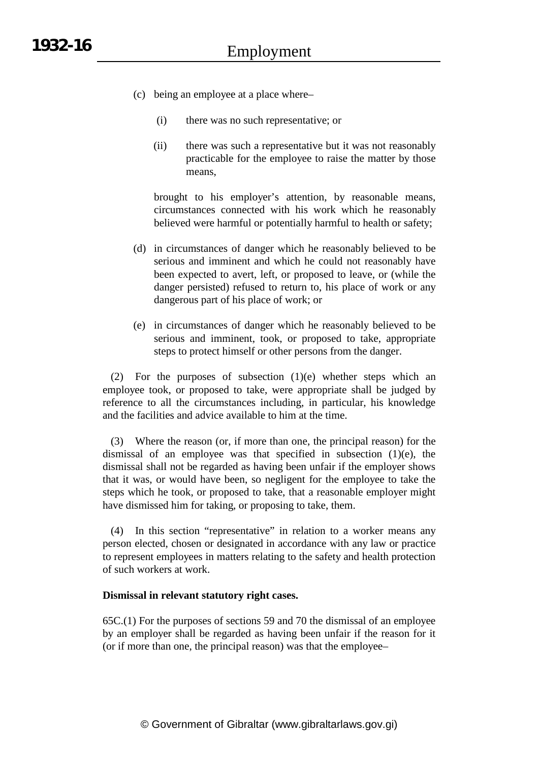- (c) being an employee at a place where–
	- (i) there was no such representative; or
	- (ii) there was such a representative but it was not reasonably practicable for the employee to raise the matter by those means,

brought to his employer's attention, by reasonable means, circumstances connected with his work which he reasonably believed were harmful or potentially harmful to health or safety;

- (d) in circumstances of danger which he reasonably believed to be serious and imminent and which he could not reasonably have been expected to avert, left, or proposed to leave, or (while the danger persisted) refused to return to, his place of work or any dangerous part of his place of work; or
- (e) in circumstances of danger which he reasonably believed to be serious and imminent, took, or proposed to take, appropriate steps to protect himself or other persons from the danger.

(2) For the purposes of subsection (1)(e) whether steps which an employee took, or proposed to take, were appropriate shall be judged by reference to all the circumstances including, in particular, his knowledge and the facilities and advice available to him at the time.

(3) Where the reason (or, if more than one, the principal reason) for the dismissal of an employee was that specified in subsection (1)(e), the dismissal shall not be regarded as having been unfair if the employer shows that it was, or would have been, so negligent for the employee to take the steps which he took, or proposed to take, that a reasonable employer might have dismissed him for taking, or proposing to take, them.

(4) In this section "representative" in relation to a worker means any person elected, chosen or designated in accordance with any law or practice to represent employees in matters relating to the safety and health protection of such workers at work.

# **Dismissal in relevant statutory right cases.**

65C.(1) For the purposes of sections 59 and 70 the dismissal of an employee by an employer shall be regarded as having been unfair if the reason for it (or if more than one, the principal reason) was that the employee–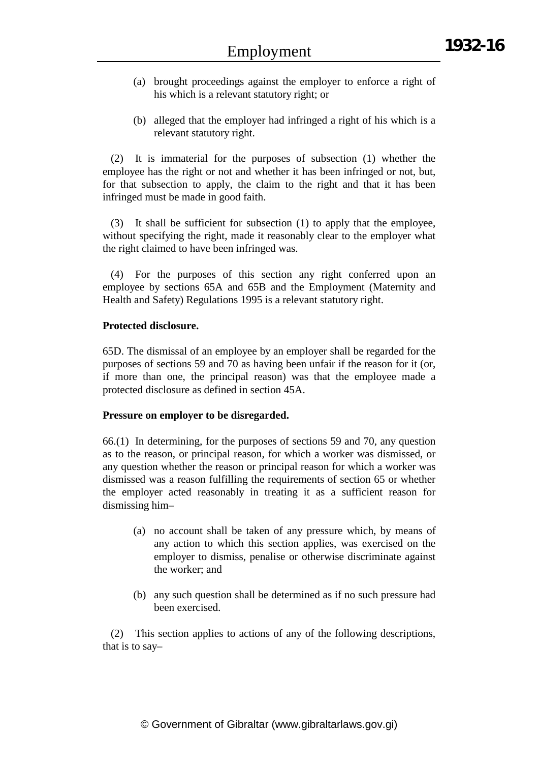- (a) brought proceedings against the employer to enforce a right of his which is a relevant statutory right; or
- (b) alleged that the employer had infringed a right of his which is a relevant statutory right.

(2) It is immaterial for the purposes of subsection (1) whether the employee has the right or not and whether it has been infringed or not, but, for that subsection to apply, the claim to the right and that it has been infringed must be made in good faith.

(3) It shall be sufficient for subsection (1) to apply that the employee, without specifying the right, made it reasonably clear to the employer what the right claimed to have been infringed was.

(4) For the purposes of this section any right conferred upon an employee by sections 65A and 65B and the Employment (Maternity and Health and Safety) Regulations 1995 is a relevant statutory right.

# **Protected disclosure.**

65D. The dismissal of an employee by an employer shall be regarded for the purposes of sections 59 and 70 as having been unfair if the reason for it (or, if more than one, the principal reason) was that the employee made a protected disclosure as defined in section 45A.

# **Pressure on employer to be disregarded.**

66.(1) In determining, for the purposes of sections 59 and 70, any question as to the reason, or principal reason, for which a worker was dismissed, or any question whether the reason or principal reason for which a worker was dismissed was a reason fulfilling the requirements of section 65 or whether the employer acted reasonably in treating it as a sufficient reason for dismissing him–

- (a) no account shall be taken of any pressure which, by means of any action to which this section applies, was exercised on the employer to dismiss, penalise or otherwise discriminate against the worker; and
- (b) any such question shall be determined as if no such pressure had been exercised.

(2) This section applies to actions of any of the following descriptions, that is to say–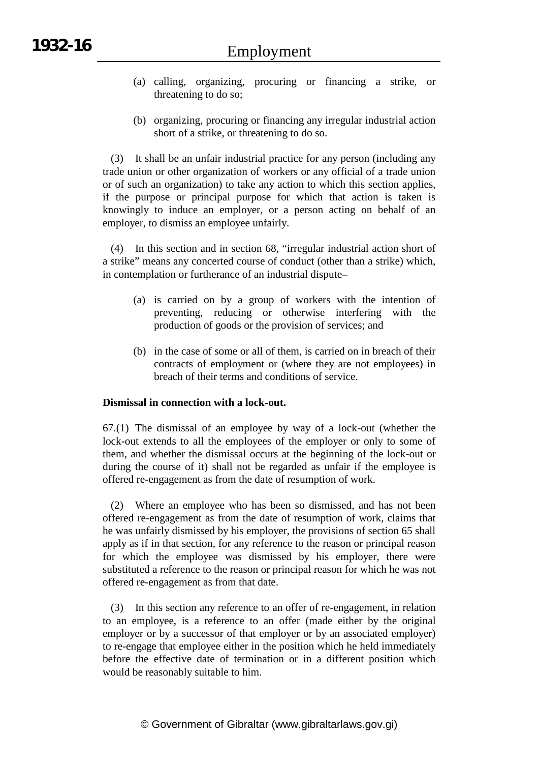- (a) calling, organizing, procuring or financing a strike, or threatening to do so;
- (b) organizing, procuring or financing any irregular industrial action short of a strike, or threatening to do so.

(3) It shall be an unfair industrial practice for any person (including any trade union or other organization of workers or any official of a trade union or of such an organization) to take any action to which this section applies, if the purpose or principal purpose for which that action is taken is knowingly to induce an employer, or a person acting on behalf of an employer, to dismiss an employee unfairly.

(4) In this section and in section 68, "irregular industrial action short of a strike" means any concerted course of conduct (other than a strike) which, in contemplation or furtherance of an industrial dispute–

- (a) is carried on by a group of workers with the intention of preventing, reducing or otherwise interfering with the production of goods or the provision of services; and
- (b) in the case of some or all of them, is carried on in breach of their contracts of employment or (where they are not employees) in breach of their terms and conditions of service.

# **Dismissal in connection with a lock-out.**

67.(1) The dismissal of an employee by way of a lock-out (whether the lock-out extends to all the employees of the employer or only to some of them, and whether the dismissal occurs at the beginning of the lock-out or during the course of it) shall not be regarded as unfair if the employee is offered re-engagement as from the date of resumption of work.

(2) Where an employee who has been so dismissed, and has not been offered re-engagement as from the date of resumption of work, claims that he was unfairly dismissed by his employer, the provisions of section 65 shall apply as if in that section, for any reference to the reason or principal reason for which the employee was dismissed by his employer, there were substituted a reference to the reason or principal reason for which he was not offered re-engagement as from that date.

(3) In this section any reference to an offer of re-engagement, in relation to an employee, is a reference to an offer (made either by the original employer or by a successor of that employer or by an associated employer) to re-engage that employee either in the position which he held immediately before the effective date of termination or in a different position which would be reasonably suitable to him.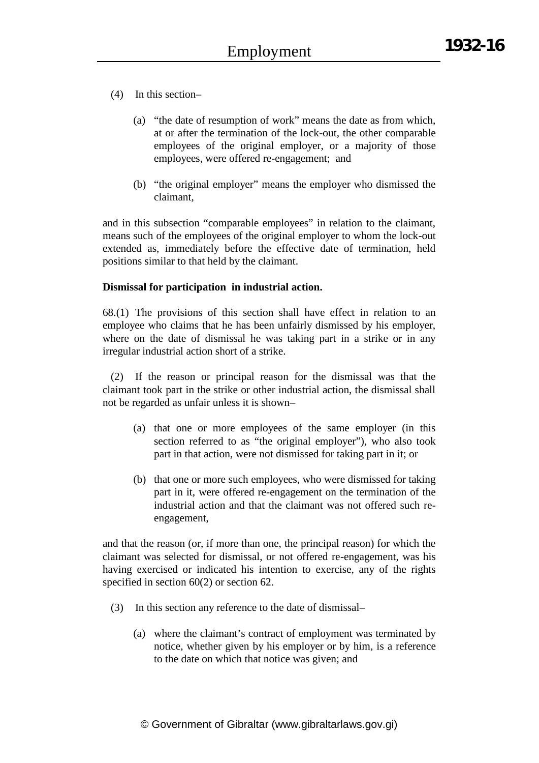- (4) In this section–
	- (a) "the date of resumption of work" means the date as from which, at or after the termination of the lock-out, the other comparable employees of the original employer, or a majority of those employees, were offered re-engagement; and
	- (b) "the original employer" means the employer who dismissed the claimant,

and in this subsection "comparable employees" in relation to the claimant, means such of the employees of the original employer to whom the lock-out extended as, immediately before the effective date of termination, held positions similar to that held by the claimant.

## **Dismissal for participation in industrial action.**

68.(1) The provisions of this section shall have effect in relation to an employee who claims that he has been unfairly dismissed by his employer, where on the date of dismissal he was taking part in a strike or in any irregular industrial action short of a strike.

(2) If the reason or principal reason for the dismissal was that the claimant took part in the strike or other industrial action, the dismissal shall not be regarded as unfair unless it is shown–

- (a) that one or more employees of the same employer (in this section referred to as "the original employer"), who also took part in that action, were not dismissed for taking part in it; or
- (b) that one or more such employees, who were dismissed for taking part in it, were offered re-engagement on the termination of the industrial action and that the claimant was not offered such re engagement,

and that the reason (or, if more than one, the principal reason) for which the claimant was selected for dismissal, or not offered re-engagement, was his having exercised or indicated his intention to exercise, any of the rights specified in section 60(2) or section 62.

- (3) In this section any reference to the date of dismissal–
	- (a) where the claimant's contract of employment was terminated by notice, whether given by his employer or by him, is a reference to the date on which that notice was given; and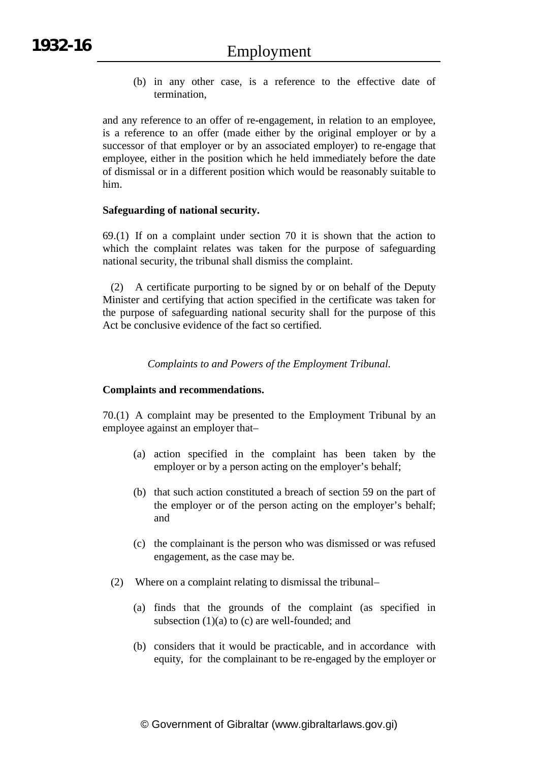(b) in any other case, is a reference to the effective date of termination,

and any reference to an offer of re-engagement, in relation to an employee, is a reference to an offer (made either by the original employer or by a successor of that employer or by an associated employer) to re-engage that employee, either in the position which he held immediately before the date of dismissal or in a different position which would be reasonably suitable to him.

#### **Safeguarding of national security.**

69.(1) If on a complaint under section 70 it is shown that the action to which the complaint relates was taken for the purpose of safeguarding national security, the tribunal shall dismiss the complaint.

(2) A certificate purporting to be signed by or on behalf of the Deputy Minister and certifying that action specified in the certificate was taken for the purpose of safeguarding national security shall for the purpose of this Act be conclusive evidence of the fact so certified.

## *Complaints to and Powers of the Employment Tribunal.*

## **Complaints and recommendations.**

70.(1) A complaint may be presented to the Employment Tribunal by an employee against an employer that–

- (a) action specified in the complaint has been taken by the employer or by a person acting on the employer's behalf;
- (b) that such action constituted a breach of section 59 on the part of the employer or of the person acting on the employer's behalf; and
- (c) the complainant is the person who was dismissed or was refused engagement, as the case may be.
- (2) Where on a complaint relating to dismissal the tribunal–
	- (a) finds that the grounds of the complaint (as specified in subsection (1)(a) to (c) are well-founded; and
	- (b) considers that it would be practicable, and in accordance with equity, for the complainant to be re-engaged by the employer or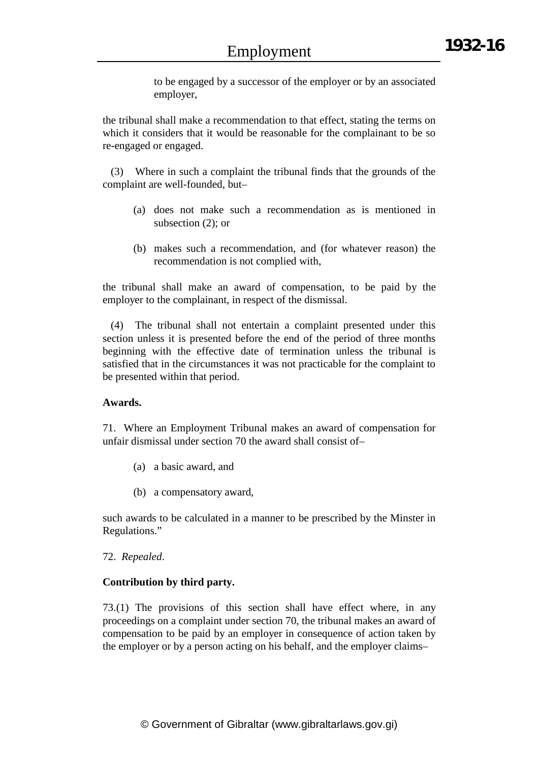to be engaged by a successor of the employer or by an associated employer,

the tribunal shall make a recommendation to that effect, stating the terms on which it considers that it would be reasonable for the complainant to be so re-engaged or engaged.

(3) Where in such a complaint the tribunal finds that the grounds of the complaint are well-founded, but–

- (a) does not make such a recommendation as is mentioned in subsection (2); or
- (b) makes such a recommendation, and (for whatever reason) the recommendation is not complied with,

the tribunal shall make an award of compensation, to be paid by the employer to the complainant, in respect of the dismissal.

(4) The tribunal shall not entertain a complaint presented under this section unless it is presented before the end of the period of three months beginning with the effective date of termination unless the tribunal is satisfied that in the circumstances it was not practicable for the complaint to be presented within that period.

# **Awards.**

71. Where an Employment Tribunal makes an award of compensation for unfair dismissal under section 70 the award shall consist of–

- (a) a basic award, and
- (b) a compensatory award,

such awards to be calculated in a manner to be prescribed by the Minster in Regulations."

## 72. *Repealed*.

# **Contribution by third party.**

73.(1) The provisions of this section shall have effect where, in any proceedings on a complaint under section 70, the tribunal makes an award of compensation to be paid by an employer in consequence of action taken by the employer or by a person acting on his behalf, and the employer claims–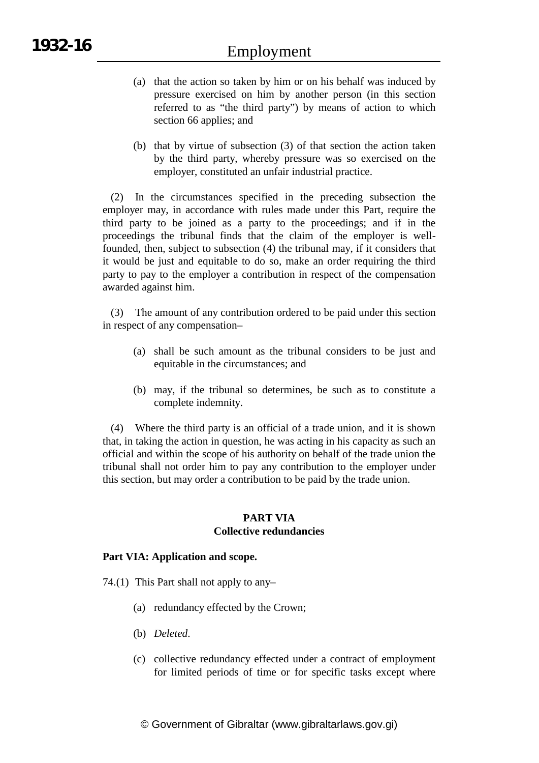- (a) that the action so taken by him or on his behalf was induced by pressure exercised on him by another person (in this section referred to as "the third party") by means of action to which section 66 applies; and
- (b) that by virtue of subsection (3) of that section the action taken by the third party, whereby pressure was so exercised on the employer, constituted an unfair industrial practice.

(2) In the circumstances specified in the preceding subsection the employer may, in accordance with rules made under this Part, require the third party to be joined as a party to the proceedings; and if in the proceedings the tribunal finds that the claim of the employer is wellfounded, then, subject to subsection (4) the tribunal may, if it considers that it would be just and equitable to do so, make an order requiring the third party to pay to the employer a contribution in respect of the compensation awarded against him.

(3) The amount of any contribution ordered to be paid under this section in respect of any compensation–

- (a) shall be such amount as the tribunal considers to be just and equitable in the circumstances; and
- (b) may, if the tribunal so determines, be such as to constitute a complete indemnity.

(4) Where the third party is an official of a trade union, and it is shown that, in taking the action in question, he was acting in his capacity as such an official and within the scope of his authority on behalf of the trade union the tribunal shall not order him to pay any contribution to the employer under this section, but may order a contribution to be paid by the trade union.

## **PART VIA Collective redundancies**

## **Part VIA: Application and scope.**

74.(1) This Part shall not apply to any–

- (a) redundancy effected by the Crown;
- (b) *Deleted*.
- (c) collective redundancy effected under a contract of employment for limited periods of time or for specific tasks except where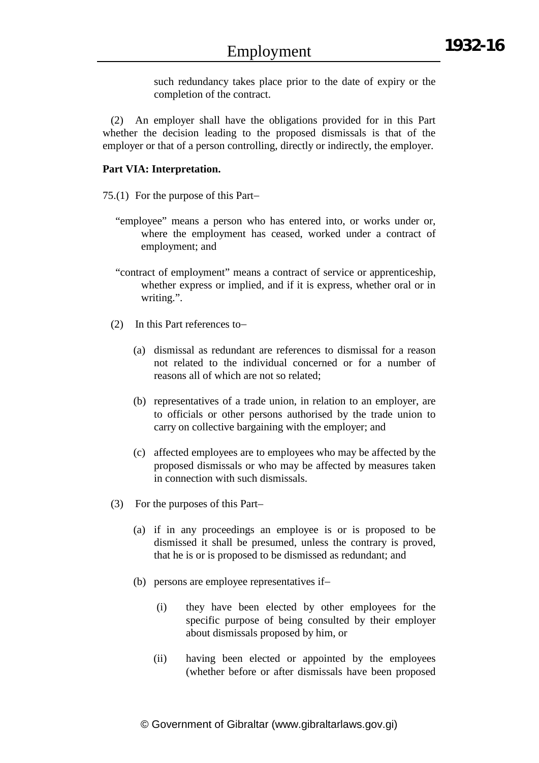such redundancy takes place prior to the date of expiry or the completion of the contract.

(2) An employer shall have the obligations provided for in this Part whether the decision leading to the proposed dismissals is that of the employer or that of a person controlling, directly or indirectly, the employer.

# **Part VIA: Interpretation.**

- 75.(1) For the purpose of this Part
	- "employee" means a person who has entered into, or works under or, where the employment has ceased, worked under a contract of employment; and
	- "contract of employment" means a contract of service or apprenticeship, whether express or implied, and if it is express, whether oral or in writing.".
	- (2) In this Part references to
		- (a) dismissal as redundant are references to dismissal for a reason not related to the individual concerned or for a number of reasons all of which are not so related;
		- (b) representatives of a trade union, in relation to an employer, are to officials or other persons authorised by the trade union to carry on collective bargaining with the employer; and
		- (c) affected employees are to employees who may be affected by the proposed dismissals or who may be affected by measures taken in connection with such dismissals.
	- (3) For the purposes of this Part–
		- (a) if in any proceedings an employee is or is proposed to be dismissed it shall be presumed, unless the contrary is proved, that he is or is proposed to be dismissed as redundant; and
		- (b) persons are employee representatives if
			- (i) they have been elected by other employees for the specific purpose of being consulted by their employer about dismissals proposed by him, or
			- (ii) having been elected or appointed by the employees (whether before or after dismissals have been proposed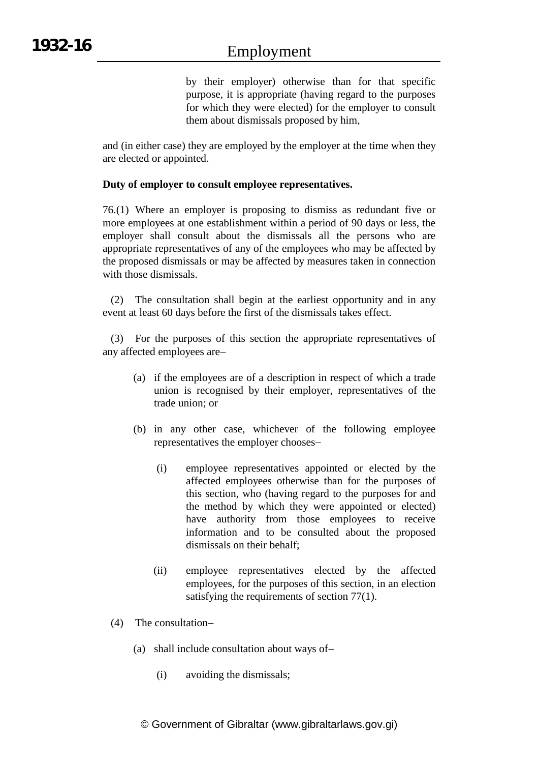by their employer) otherwise than for that specific purpose, it is appropriate (having regard to the purposes for which they were elected) for the employer to consult them about dismissals proposed by him,

and (in either case) they are employed by the employer at the time when they are elected or appointed.

## **Duty of employer to consult employee representatives.**

76.(1) Where an employer is proposing to dismiss as redundant five or more employees at one establishment within a period of 90 days or less, the employer shall consult about the dismissals all the persons who are appropriate representatives of any of the employees who may be affected by the proposed dismissals or may be affected by measures taken in connection with those dismissals.

(2) The consultation shall begin at the earliest opportunity and in any event at least 60 days before the first of the dismissals takes effect.

(3) For the purposes of this section the appropriate representatives of any affected employees are

- (a) if the employees are of a description in respect of which a trade union is recognised by their employer, representatives of the trade union; or
- (b) in any other case, whichever of the following employee representatives the employer chooses
	- (i) employee representatives appointed or elected by the affected employees otherwise than for the purposes of this section, who (having regard to the purposes for and the method by which they were appointed or elected) have authority from those employees to receive information and to be consulted about the proposed dismissals on their behalf;
	- (ii) employee representatives elected by the affected employees, for the purposes of this section, in an election satisfying the requirements of section 77(1).
- (4) The consultation
	- (a) shall include consultation about ways of
		- (i) avoiding the dismissals;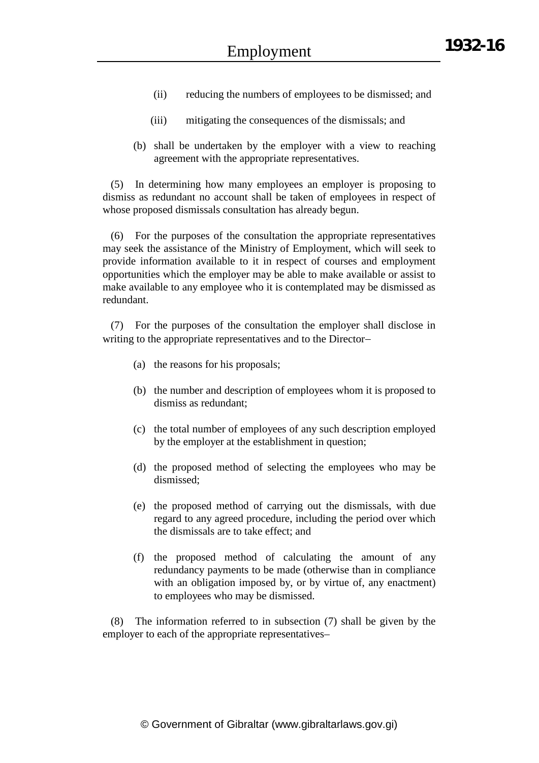- (ii) reducing the numbers of employees to be dismissed; and
- (iii) mitigating the consequences of the dismissals; and
- (b) shall be undertaken by the employer with a view to reaching agreement with the appropriate representatives.

(5) In determining how many employees an employer is proposing to dismiss as redundant no account shall be taken of employees in respect of whose proposed dismissals consultation has already begun.

(6) For the purposes of the consultation the appropriate representatives may seek the assistance of the Ministry of Employment, which will seek to provide information available to it in respect of courses and employment opportunities which the employer may be able to make available or assist to make available to any employee who it is contemplated may be dismissed as redundant.

(7) For the purposes of the consultation the employer shall disclose in writing to the appropriate representatives and to the Director

- (a) the reasons for his proposals;
- (b) the number and description of employees whom it is proposed to dismiss as redundant;
- (c) the total number of employees of any such description employed by the employer at the establishment in question;
- (d) the proposed method of selecting the employees who may be dismissed;
- (e) the proposed method of carrying out the dismissals, with due regard to any agreed procedure, including the period over which the dismissals are to take effect; and
- (f) the proposed method of calculating the amount of any redundancy payments to be made (otherwise than in compliance with an obligation imposed by, or by virtue of, any enactment) to employees who may be dismissed.

(8) The information referred to in subsection (7) shall be given by the employer to each of the appropriate representatives–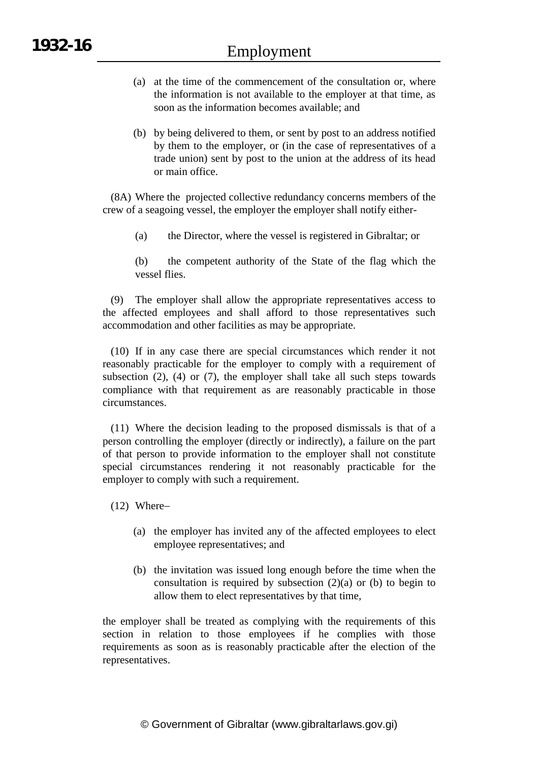- (a) at the time of the commencement of the consultation or, where the information is not available to the employer at that time, as soon as the information becomes available; and
- (b) by being delivered to them, or sent by post to an address notified by them to the employer, or (in the case of representatives of a trade union) sent by post to the union at the address of its head or main office.

(8A) Where the projected collective redundancy concerns members of the crew of a seagoing vessel, the employer the employer shall notify either-

(a) the Director, where the vessel is registered in Gibraltar; or

(b) the competent authority of the State of the flag which the vessel flies.

(9) The employer shall allow the appropriate representatives access to the affected employees and shall afford to those representatives such accommodation and other facilities as may be appropriate.

(10) If in any case there are special circumstances which render it not reasonably practicable for the employer to comply with a requirement of subsection (2), (4) or (7), the employer shall take all such steps towards compliance with that requirement as are reasonably practicable in those circumstances.

(11) Where the decision leading to the proposed dismissals is that of a person controlling the employer (directly or indirectly), a failure on the part of that person to provide information to the employer shall not constitute special circumstances rendering it not reasonably practicable for the employer to comply with such a requirement.

(12) Where

- (a) the employer has invited any of the affected employees to elect employee representatives; and
- (b) the invitation was issued long enough before the time when the consultation is required by subsection  $(2)(a)$  or (b) to begin to allow them to elect representatives by that time,

the employer shall be treated as complying with the requirements of this section in relation to those employees if he complies with those requirements as soon as is reasonably practicable after the election of the representatives.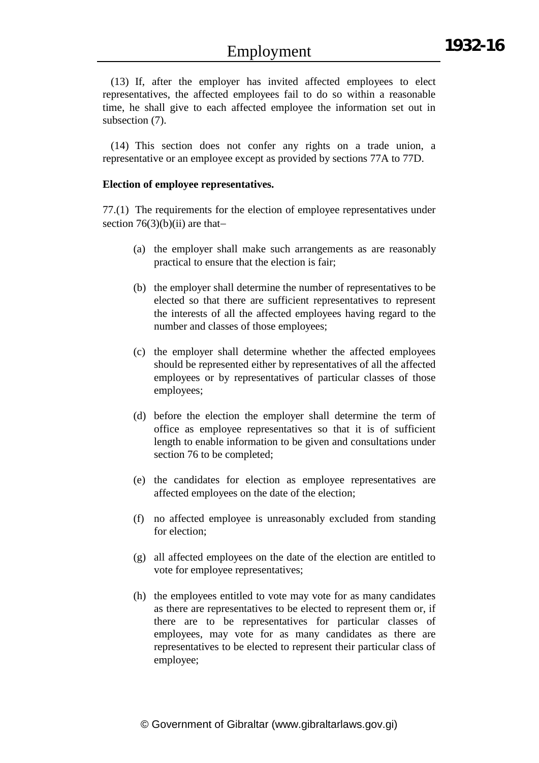**1932-16**

(13) If, after the employer has invited affected employees to elect representatives, the affected employees fail to do so within a reasonable time, he shall give to each affected employee the information set out in subsection  $(7)$ .

(14) This section does not confer any rights on a trade union, a representative or an employee except as provided by sections 77A to 77D.

#### **Election of employee representatives.**

77.(1) The requirements for the election of employee representatives under section  $76(3)(b)(ii)$  are that-

- (a) the employer shall make such arrangements as are reasonably practical to ensure that the election is fair;
- (b) the employer shall determine the number of representatives to be elected so that there are sufficient representatives to represent the interests of all the affected employees having regard to the number and classes of those employees;
- (c) the employer shall determine whether the affected employees should be represented either by representatives of all the affected employees or by representatives of particular classes of those employees;
- (d) before the election the employer shall determine the term of office as employee representatives so that it is of sufficient length to enable information to be given and consultations under section 76 to be completed;
- (e) the candidates for election as employee representatives are affected employees on the date of the election;
- (f) no affected employee is unreasonably excluded from standing for election;
- (g) all affected employees on the date of the election are entitled to vote for employee representatives;
- (h) the employees entitled to vote may vote for as many candidates as there are representatives to be elected to represent them or, if there are to be representatives for particular classes of employees, may vote for as many candidates as there are representatives to be elected to represent their particular class of employee;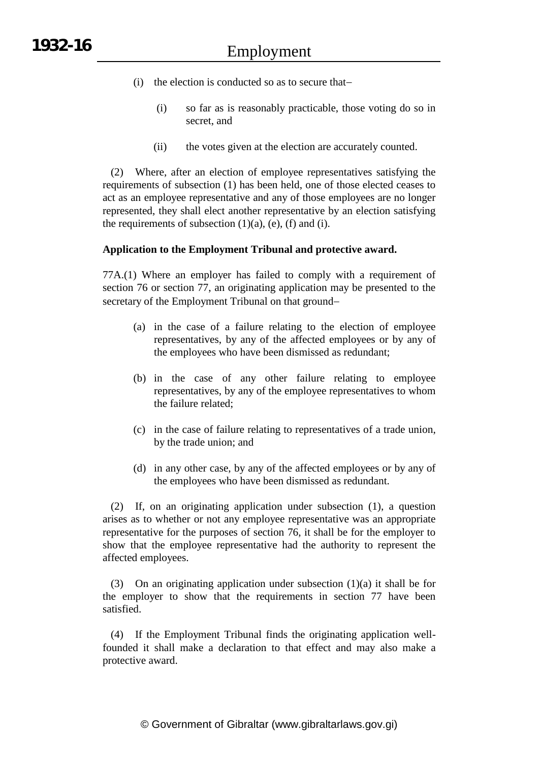- (i) the election is conducted so as to secure that
	- (i) so far as is reasonably practicable, those voting do so in secret, and
	- (ii) the votes given at the election are accurately counted.

(2) Where, after an election of employee representatives satisfying the requirements of subsection (1) has been held, one of those elected ceases to act as an employee representative and any of those employees are no longer represented, they shall elect another representative by an election satisfying the requirements of subsection  $(1)(a)$ ,  $(e)$ ,  $(f)$  and  $(i)$ .

#### **Application to the Employment Tribunal and protective award.**

77A.(1) Where an employer has failed to comply with a requirement of section 76 or section 77, an originating application may be presented to the secretary of the Employment Tribunal on that ground

- (a) in the case of a failure relating to the election of employee representatives, by any of the affected employees or by any of the employees who have been dismissed as redundant;
- (b) in the case of any other failure relating to employee representatives, by any of the employee representatives to whom the failure related;
- (c) in the case of failure relating to representatives of a trade union, by the trade union; and
- (d) in any other case, by any of the affected employees or by any of the employees who have been dismissed as redundant.

(2) If, on an originating application under subsection (1), a question arises as to whether or not any employee representative was an appropriate representative for the purposes of section 76, it shall be for the employer to show that the employee representative had the authority to represent the affected employees.

(3) On an originating application under subsection (1)(a) it shall be for the employer to show that the requirements in section 77 have been satisfied.

(4) If the Employment Tribunal finds the originating application wellfounded it shall make a declaration to that effect and may also make a protective award.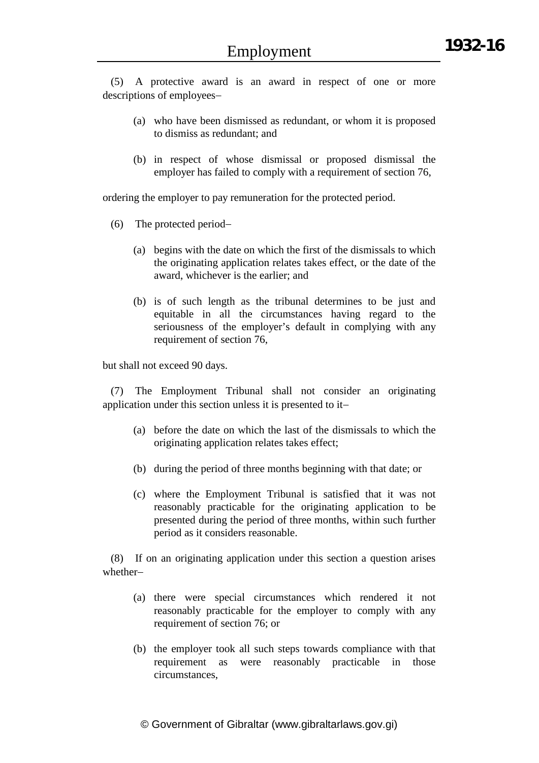(5) A protective award is an award in respect of one or more descriptions of employees

- (a) who have been dismissed as redundant, or whom it is proposed to dismiss as redundant; and
- (b) in respect of whose dismissal or proposed dismissal the employer has failed to comply with a requirement of section 76,

ordering the employer to pay remuneration for the protected period.

- (6) The protected period
	- (a) begins with the date on which the first of the dismissals to which the originating application relates takes effect, or the date of the award, whichever is the earlier; and
	- (b) is of such length as the tribunal determines to be just and equitable in all the circumstances having regard to the seriousness of the employer's default in complying with any requirement of section 76,

but shall not exceed 90 days.

(7) The Employment Tribunal shall not consider an originating application under this section unless it is presented to it

- (a) before the date on which the last of the dismissals to which the originating application relates takes effect;
- (b) during the period of three months beginning with that date; or
- (c) where the Employment Tribunal is satisfied that it was not reasonably practicable for the originating application to be presented during the period of three months, within such further period as it considers reasonable.

(8) If on an originating application under this section a question arises whether

- (a) there were special circumstances which rendered it not reasonably practicable for the employer to comply with any requirement of section 76; or
- (b) the employer took all such steps towards compliance with that requirement as were reasonably practicable in those circumstances,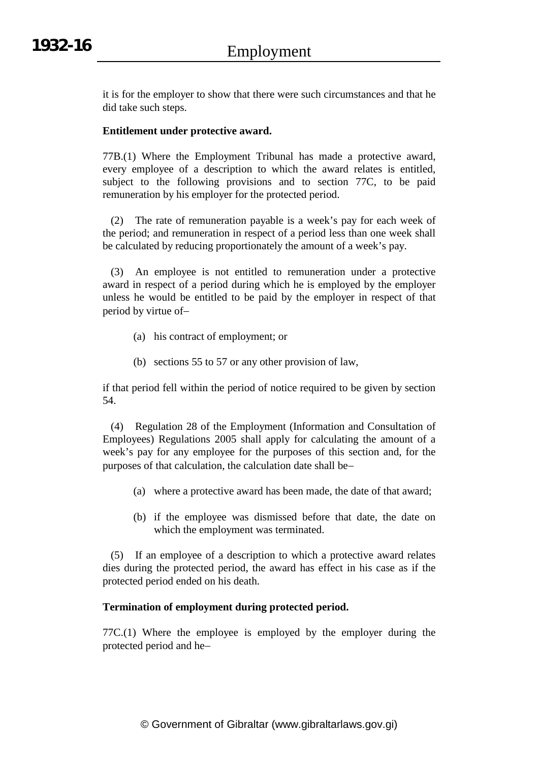it is for the employer to show that there were such circumstances and that he did take such steps.

## **Entitlement under protective award.**

77B.(1) Where the Employment Tribunal has made a protective award, every employee of a description to which the award relates is entitled, subject to the following provisions and to section 77C, to be paid remuneration by his employer for the protected period.

(2) The rate of remuneration payable is a week's pay for each week of the period; and remuneration in respect of a period less than one week shall be calculated by reducing proportionately the amount of a week's pay.

(3) An employee is not entitled to remuneration under a protective award in respect of a period during which he is employed by the employer unless he would be entitled to be paid by the employer in respect of that period by virtue of

- (a) his contract of employment; or
- (b) sections 55 to 57 or any other provision of law,

if that period fell within the period of notice required to be given by section 54.

(4) Regulation 28 of the Employment (Information and Consultation of Employees) Regulations 2005 shall apply for calculating the amount of a week's pay for any employee for the purposes of this section and, for the purposes of that calculation, the calculation date shall be

- (a) where a protective award has been made, the date of that award;
- (b) if the employee was dismissed before that date, the date on which the employment was terminated.

(5) If an employee of a description to which a protective award relates dies during the protected period, the award has effect in his case as if the protected period ended on his death.

#### **Termination of employment during protected period.**

77C.(1) Where the employee is employed by the employer during the protected period and he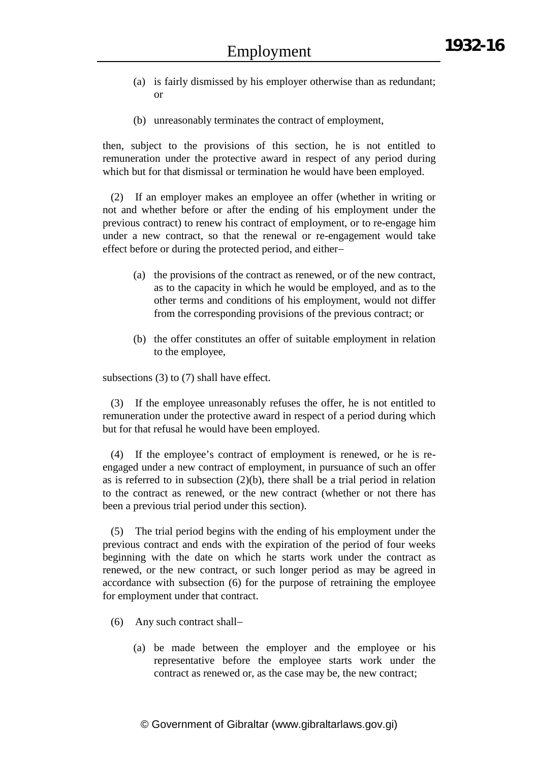- (a) is fairly dismissed by his employer otherwise than as redundant; or
- (b) unreasonably terminates the contract of employment,

then, subject to the provisions of this section, he is not entitled to remuneration under the protective award in respect of any period during which but for that dismissal or termination he would have been employed.

(2) If an employer makes an employee an offer (whether in writing or not and whether before or after the ending of his employment under the previous contract) to renew his contract of employment, or to re-engage him under a new contract, so that the renewal or re-engagement would take effect before or during the protected period, and either

- (a) the provisions of the contract as renewed, or of the new contract, as to the capacity in which he would be employed, and as to the other terms and conditions of his employment, would not differ from the corresponding provisions of the previous contract; or
- (b) the offer constitutes an offer of suitable employment in relation to the employee,

subsections (3) to (7) shall have effect.

(3) If the employee unreasonably refuses the offer, he is not entitled to remuneration under the protective award in respect of a period during which but for that refusal he would have been employed.

(4) If the employee's contract of employment is renewed, or he is re engaged under a new contract of employment, in pursuance of such an offer as is referred to in subsection  $(2)(b)$ , there shall be a trial period in relation to the contract as renewed, or the new contract (whether or not there has been a previous trial period under this section).

(5) The trial period begins with the ending of his employment under the previous contract and ends with the expiration of the period of four weeks beginning with the date on which he starts work under the contract as renewed, or the new contract, or such longer period as may be agreed in accordance with subsection (6) for the purpose of retraining the employee for employment under that contract.

- (6) Any such contract shall
	- (a) be made between the employer and the employee or his representative before the employee starts work under the contract as renewed or, as the case may be, the new contract;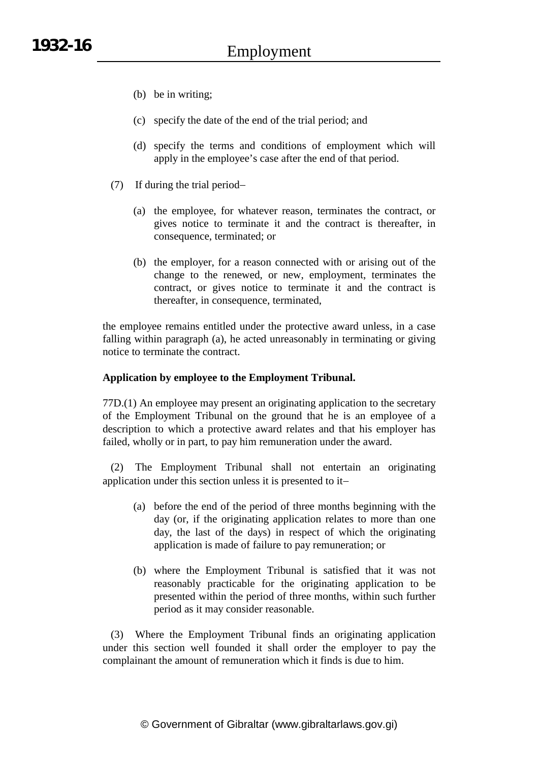- (b) be in writing;
- (c) specify the date of the end of the trial period; and
- (d) specify the terms and conditions of employment which will apply in the employee's case after the end of that period.
- (7) If during the trial period
	- (a) the employee, for whatever reason, terminates the contract, or gives notice to terminate it and the contract is thereafter, in consequence, terminated; or
	- (b) the employer, for a reason connected with or arising out of the change to the renewed, or new, employment, terminates the contract, or gives notice to terminate it and the contract is thereafter, in consequence, terminated,

the employee remains entitled under the protective award unless, in a case falling within paragraph (a), he acted unreasonably in terminating or giving notice to terminate the contract.

## **Application by employee to the Employment Tribunal.**

77D.(1) An employee may present an originating application to the secretary of the Employment Tribunal on the ground that he is an employee of a description to which a protective award relates and that his employer has failed, wholly or in part, to pay him remuneration under the award.

(2) The Employment Tribunal shall not entertain an originating application under this section unless it is presented to it

- (a) before the end of the period of three months beginning with the day (or, if the originating application relates to more than one day, the last of the days) in respect of which the originating application is made of failure to pay remuneration; or
- (b) where the Employment Tribunal is satisfied that it was not reasonably practicable for the originating application to be presented within the period of three months, within such further period as it may consider reasonable.

(3) Where the Employment Tribunal finds an originating application under this section well founded it shall order the employer to pay the complainant the amount of remuneration which it finds is due to him.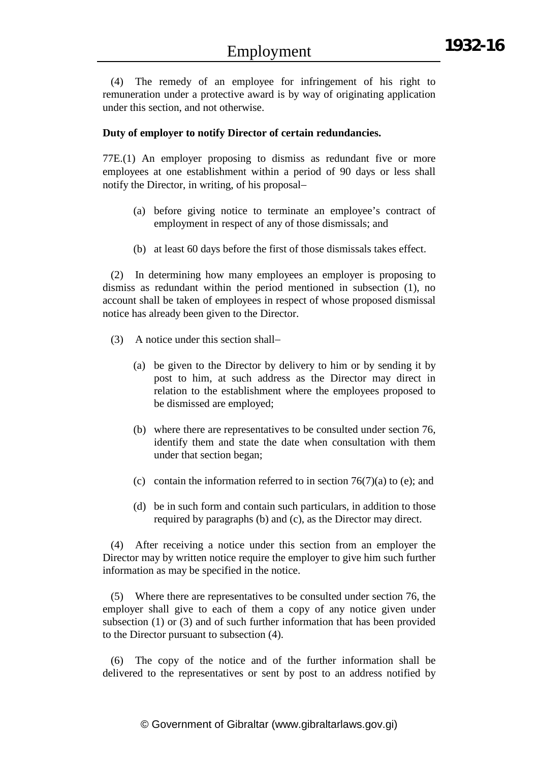(4) The remedy of an employee for infringement of his right to remuneration under a protective award is by way of originating application under this section, and not otherwise.

## **Duty of employer to notify Director of certain redundancies.**

77E.(1) An employer proposing to dismiss as redundant five or more employees at one establishment within a period of 90 days or less shall notify the Director, in writing, of his proposal

- (a) before giving notice to terminate an employee's contract of employment in respect of any of those dismissals; and
- (b) at least 60 days before the first of those dismissals takes effect.

(2) In determining how many employees an employer is proposing to dismiss as redundant within the period mentioned in subsection (1), no account shall be taken of employees in respect of whose proposed dismissal notice has already been given to the Director.

- (3) A notice under this section shall
	- (a) be given to the Director by delivery to him or by sending it by post to him, at such address as the Director may direct in relation to the establishment where the employees proposed to be dismissed are employed;
	- (b) where there are representatives to be consulted under section 76, identify them and state the date when consultation with them under that section began;
	- (c) contain the information referred to in section  $76(7)(a)$  to (e); and
	- (d) be in such form and contain such particulars, in addition to those required by paragraphs (b) and (c), as the Director may direct.

(4) After receiving a notice under this section from an employer the Director may by written notice require the employer to give him such further information as may be specified in the notice.

(5) Where there are representatives to be consulted under section 76, the employer shall give to each of them a copy of any notice given under subsection (1) or (3) and of such further information that has been provided to the Director pursuant to subsection (4).

(6) The copy of the notice and of the further information shall be delivered to the representatives or sent by post to an address notified by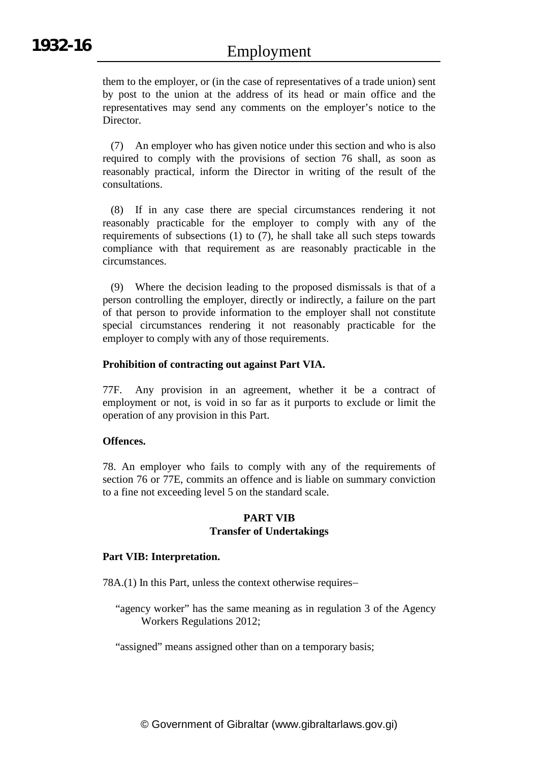them to the employer, or (in the case of representatives of a trade union) sent by post to the union at the address of its head or main office and the representatives may send any comments on the employer's notice to the Director.

(7) An employer who has given notice under this section and who is also required to comply with the provisions of section 76 shall, as soon as reasonably practical, inform the Director in writing of the result of the consultations.

(8) If in any case there are special circumstances rendering it not reasonably practicable for the employer to comply with any of the requirements of subsections (1) to (7), he shall take all such steps towards compliance with that requirement as are reasonably practicable in the circumstances.

(9) Where the decision leading to the proposed dismissals is that of a person controlling the employer, directly or indirectly, a failure on the part of that person to provide information to the employer shall not constitute special circumstances rendering it not reasonably practicable for the employer to comply with any of those requirements.

## **Prohibition of contracting out against Part VIA.**

77F. Any provision in an agreement, whether it be a contract of employment or not, is void in so far as it purports to exclude or limit the operation of any provision in this Part.

## **Offences.**

78. An employer who fails to comply with any of the requirements of section 76 or 77E, commits an offence and is liable on summary conviction to a fine not exceeding level 5 on the standard scale.

## **PART VIB Transfer of Undertakings**

## **Part VIB: Interpretation.**

78A.(1) In this Part, unless the context otherwise requires

"agency worker" has the same meaning as in regulation 3 of the Agency Workers Regulations 2012;

"assigned" means assigned other than on a temporary basis;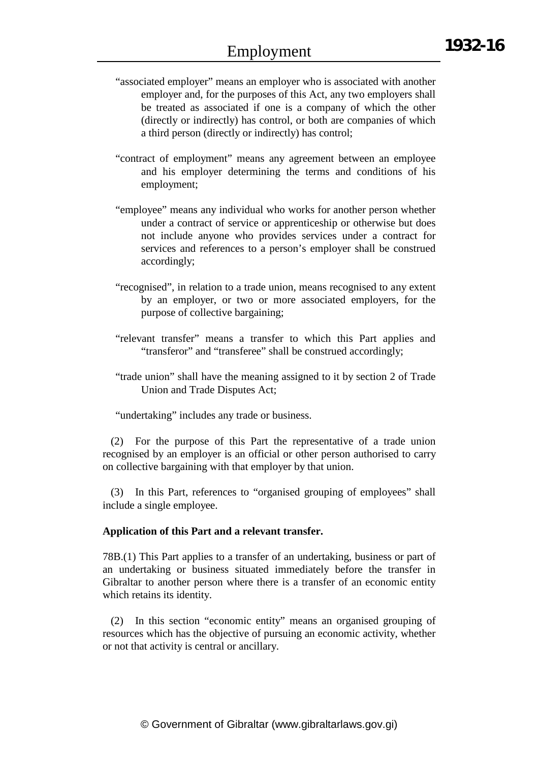- "associated employer" means an employer who is associated with another employer and, for the purposes of this Act, any two employers shall be treated as associated if one is a company of which the other (directly or indirectly) has control, or both are companies of which a third person (directly or indirectly) has control;
- "contract of employment" means any agreement between an employee and his employer determining the terms and conditions of his employment;
- "employee" means any individual who works for another person whether under a contract of service or apprenticeship or otherwise but does not include anyone who provides services under a contract for services and references to a person's employer shall be construed accordingly;
- "recognised", in relation to a trade union, means recognised to any extent by an employer, or two or more associated employers, for the purpose of collective bargaining;
- "relevant transfer" means a transfer to which this Part applies and "transferor" and "transferee" shall be construed accordingly;
- "trade union" shall have the meaning assigned to it by section 2 of Trade Union and Trade Disputes Act;

"undertaking" includes any trade or business.

(2) For the purpose of this Part the representative of a trade union recognised by an employer is an official or other person authorised to carry on collective bargaining with that employer by that union.

(3) In this Part, references to "organised grouping of employees" shall include a single employee.

#### **Application of this Part and a relevant transfer.**

78B.(1) This Part applies to a transfer of an undertaking, business or part of an undertaking or business situated immediately before the transfer in Gibraltar to another person where there is a transfer of an economic entity which retains its identity.

(2) In this section "economic entity" means an organised grouping of resources which has the objective of pursuing an economic activity, whether or not that activity is central or ancillary.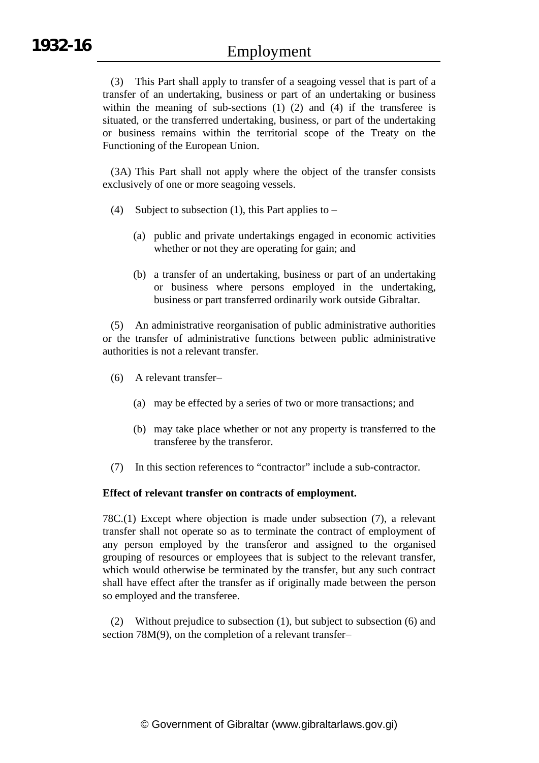(3) This Part shall apply to transfer of a seagoing vessel that is part of a transfer of an undertaking, business or part of an undertaking or business within the meaning of sub-sections (1) (2) and (4) if the transferee is situated, or the transferred undertaking, business, or part of the undertaking or business remains within the territorial scope of the Treaty on the Functioning of the European Union.

(3A) This Part shall not apply where the object of the transfer consists exclusively of one or more seagoing vessels.

- (4) Subject to subsection (1), this Part applies to  $-$ 
	- (a) public and private undertakings engaged in economic activities whether or not they are operating for gain; and
	- (b) a transfer of an undertaking, business or part of an undertaking or business where persons employed in the undertaking, business or part transferred ordinarily work outside Gibraltar.

(5) An administrative reorganisation of public administrative authorities or the transfer of administrative functions between public administrative authorities is not a relevant transfer.

- (6) A relevant transfer
	- (a) may be effected by a series of two or more transactions; and
	- (b) may take place whether or not any property is transferred to the transferee by the transferor.
- (7) In this section references to "contractor" include a sub-contractor.

## **Effect of relevant transfer on contracts of employment.**

78C.(1) Except where objection is made under subsection (7), a relevant transfer shall not operate so as to terminate the contract of employment of any person employed by the transferor and assigned to the organised grouping of resources or employees that is subject to the relevant transfer, which would otherwise be terminated by the transfer, but any such contract shall have effect after the transfer as if originally made between the person so employed and the transferee.

(2) Without prejudice to subsection (1), but subject to subsection (6) and section 78M(9), on the completion of a relevant transfer-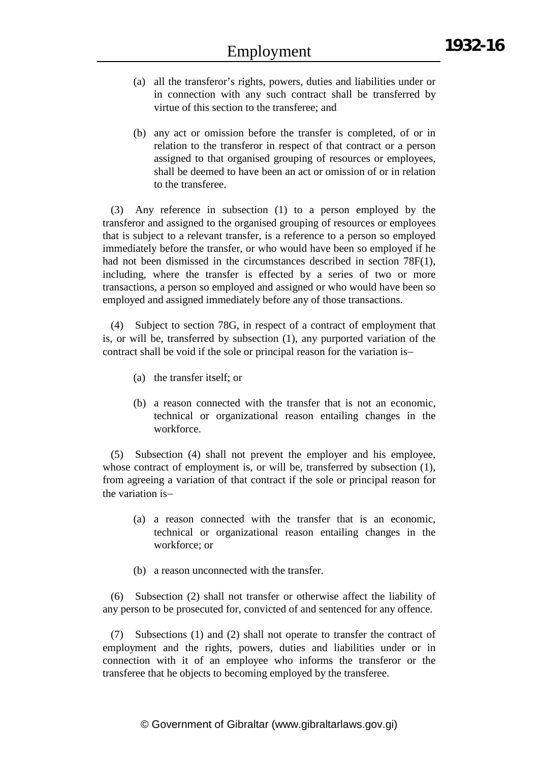- (a) all the transferor's rights, powers, duties and liabilities under or in connection with any such contract shall be transferred by virtue of this section to the transferee; and
- (b) any act or omission before the transfer is completed, of or in relation to the transferor in respect of that contract or a person assigned to that organised grouping of resources or employees, shall be deemed to have been an act or omission of or in relation to the transferee.

(3) Any reference in subsection (1) to a person employed by the transferor and assigned to the organised grouping of resources or employees that is subject to a relevant transfer, is a reference to a person so employed immediately before the transfer, or who would have been so employed if he had not been dismissed in the circumstances described in section 78F(1), including, where the transfer is effected by a series of two or more transactions, a person so employed and assigned or who would have been so employed and assigned immediately before any of those transactions.

(4) Subject to section 78G, in respect of a contract of employment that is, or will be, transferred by subsection (1), any purported variation of the contract shall be void if the sole or principal reason for the variation is

- (a) the transfer itself; or
- (b) a reason connected with the transfer that is not an economic, technical or organizational reason entailing changes in the workforce.

(5) Subsection (4) shall not prevent the employer and his employee, whose contract of employment is, or will be, transferred by subsection  $(1)$ , from agreeing a variation of that contract if the sole or principal reason for the variation is

- (a) a reason connected with the transfer that is an economic, technical or organizational reason entailing changes in the workforce; or
- (b) a reason unconnected with the transfer.

(6) Subsection (2) shall not transfer or otherwise affect the liability of any person to be prosecuted for, convicted of and sentenced for any offence.

(7) Subsections (1) and (2) shall not operate to transfer the contract of employment and the rights, powers, duties and liabilities under or in connection with it of an employee who informs the transferor or the transferee that he objects to becoming employed by the transferee.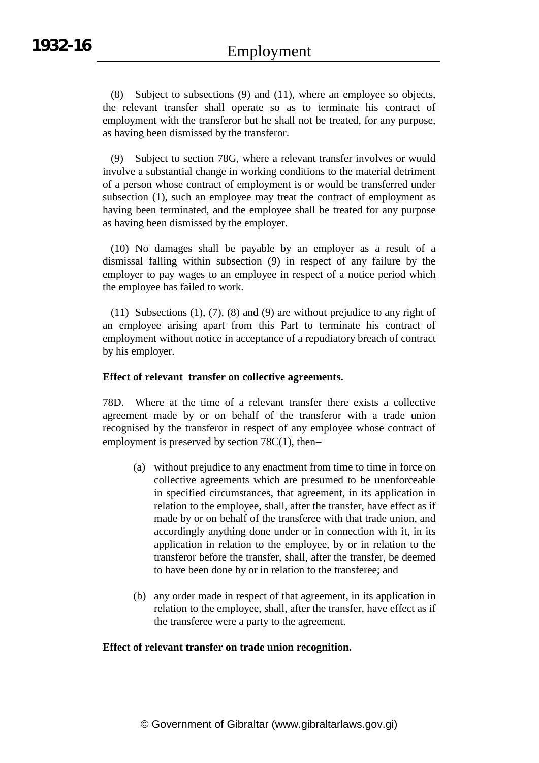(8) Subject to subsections (9) and (11), where an employee so objects, the relevant transfer shall operate so as to terminate his contract of employment with the transferor but he shall not be treated, for any purpose, as having been dismissed by the transferor.

(9) Subject to section 78G, where a relevant transfer involves or would involve a substantial change in working conditions to the material detriment of a person whose contract of employment is or would be transferred under subsection (1), such an employee may treat the contract of employment as having been terminated, and the employee shall be treated for any purpose as having been dismissed by the employer.

(10) No damages shall be payable by an employer as a result of a dismissal falling within subsection (9) in respect of any failure by the employer to pay wages to an employee in respect of a notice period which the employee has failed to work.

(11) Subsections (1), (7), (8) and (9) are without prejudice to any right of an employee arising apart from this Part to terminate his contract of employment without notice in acceptance of a repudiatory breach of contract by his employer.

#### **Effect of relevant transfer on collective agreements.**

78D. Where at the time of a relevant transfer there exists a collective agreement made by or on behalf of the transferor with a trade union recognised by the transferor in respect of any employee whose contract of employment is preserved by section 78C(1), then

- (a) without prejudice to any enactment from time to time in force on collective agreements which are presumed to be unenforceable in specified circumstances, that agreement, in its application in relation to the employee, shall, after the transfer, have effect as if made by or on behalf of the transferee with that trade union, and accordingly anything done under or in connection with it, in its application in relation to the employee, by or in relation to the transferor before the transfer, shall, after the transfer, be deemed to have been done by or in relation to the transferee; and
- (b) any order made in respect of that agreement, in its application in relation to the employee, shall, after the transfer, have effect as if the transferee were a party to the agreement.

#### **Effect of relevant transfer on trade union recognition.**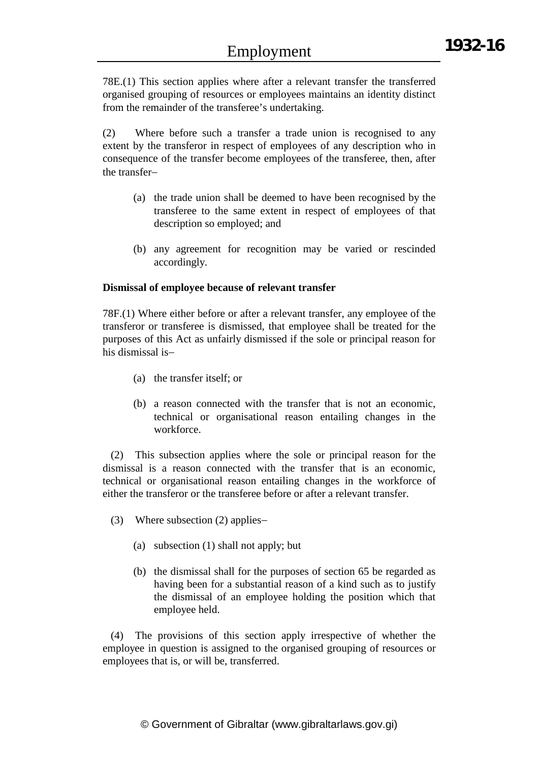78E.(1) This section applies where after a relevant transfer the transferred organised grouping of resources or employees maintains an identity distinct from the remainder of the transferee's undertaking.

(2) Where before such a transfer a trade union is recognised to any extent by the transferor in respect of employees of any description who in consequence of the transfer become employees of the transferee, then, after the transfer

- (a) the trade union shall be deemed to have been recognised by the transferee to the same extent in respect of employees of that description so employed; and
- (b) any agreement for recognition may be varied or rescinded accordingly.

## **Dismissal of employee because of relevant transfer**

78F.(1) Where either before or after a relevant transfer, any employee of the transferor or transferee is dismissed, that employee shall be treated for the purposes of this Act as unfairly dismissed if the sole or principal reason for his dismissal is

- (a) the transfer itself; or
- (b) a reason connected with the transfer that is not an economic, technical or organisational reason entailing changes in the workforce.

(2) This subsection applies where the sole or principal reason for the dismissal is a reason connected with the transfer that is an economic, technical or organisational reason entailing changes in the workforce of either the transferor or the transferee before or after a relevant transfer.

- (3) Where subsection (2) applies
	- (a) subsection (1) shall not apply; but
	- (b) the dismissal shall for the purposes of section 65 be regarded as having been for a substantial reason of a kind such as to justify the dismissal of an employee holding the position which that employee held.

(4) The provisions of this section apply irrespective of whether the employee in question is assigned to the organised grouping of resources or employees that is, or will be, transferred.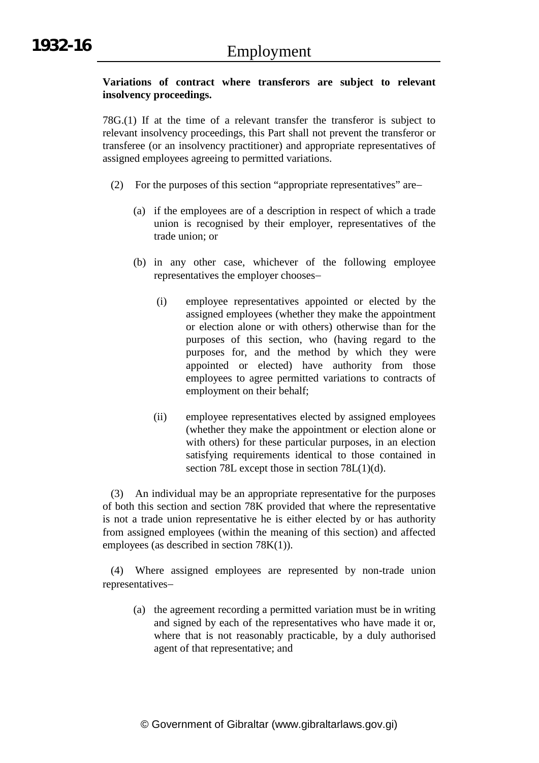## **Variations of contract where transferors are subject to relevant insolvency proceedings.**

78G.(1) If at the time of a relevant transfer the transferor is subject to relevant insolvency proceedings, this Part shall not prevent the transferor or transferee (or an insolvency practitioner) and appropriate representatives of assigned employees agreeing to permitted variations.

- (2) For the purposes of this section "appropriate representatives" are
	- (a) if the employees are of a description in respect of which a trade union is recognised by their employer, representatives of the trade union; or
	- (b) in any other case, whichever of the following employee representatives the employer chooses
		- (i) employee representatives appointed or elected by the assigned employees (whether they make the appointment or election alone or with others) otherwise than for the purposes of this section, who (having regard to the purposes for, and the method by which they were appointed or elected) have authority from those employees to agree permitted variations to contracts of employment on their behalf;
		- (ii) employee representatives elected by assigned employees (whether they make the appointment or election alone or with others) for these particular purposes, in an election satisfying requirements identical to those contained in section 78L except those in section 78L(1)(d).

(3) An individual may be an appropriate representative for the purposes of both this section and section 78K provided that where the representative is not a trade union representative he is either elected by or has authority from assigned employees (within the meaning of this section) and affected employees (as described in section 78K(1)).

(4) Where assigned employees are represented by non-trade union representatives

(a) the agreement recording a permitted variation must be in writing and signed by each of the representatives who have made it or, where that is not reasonably practicable, by a duly authorised agent of that representative; and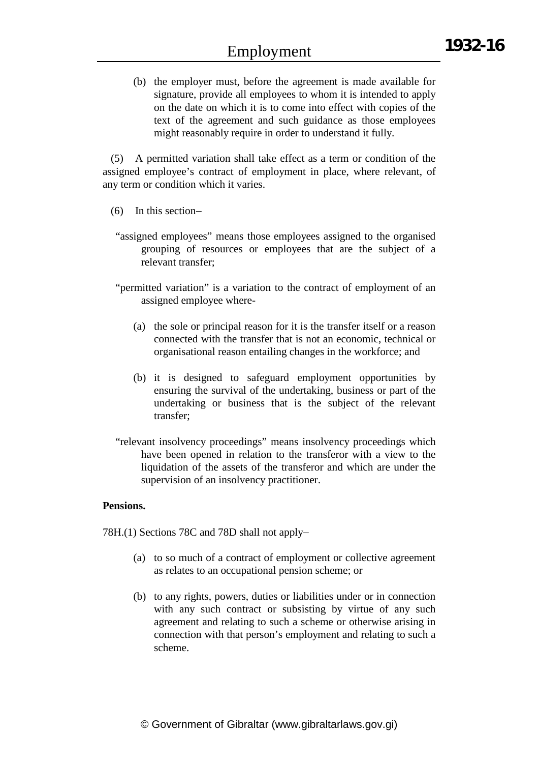(b) the employer must, before the agreement is made available for signature, provide all employees to whom it is intended to apply on the date on which it is to come into effect with copies of the text of the agreement and such guidance as those employees might reasonably require in order to understand it fully.

(5) A permitted variation shall take effect as a term or condition of the assigned employee's contract of employment in place, where relevant, of any term or condition which it varies.

- (6) In this section
- "assigned employees" means those employees assigned to the organised grouping of resources or employees that are the subject of a relevant transfer;
- "permitted variation" is a variation to the contract of employment of an assigned employee where-
	- (a) the sole or principal reason for it is the transfer itself or a reason connected with the transfer that is not an economic, technical or organisational reason entailing changes in the workforce; and
	- (b) it is designed to safeguard employment opportunities by ensuring the survival of the undertaking, business or part of the undertaking or business that is the subject of the relevant transfer;
- "relevant insolvency proceedings" means insolvency proceedings which have been opened in relation to the transferor with a view to the liquidation of the assets of the transferor and which are under the supervision of an insolvency practitioner.

## **Pensions.**

78H.(1) Sections 78C and 78D shall not apply

- (a) to so much of a contract of employment or collective agreement as relates to an occupational pension scheme; or
- (b) to any rights, powers, duties or liabilities under or in connection with any such contract or subsisting by virtue of any such agreement and relating to such a scheme or otherwise arising in connection with that person's employment and relating to such a scheme.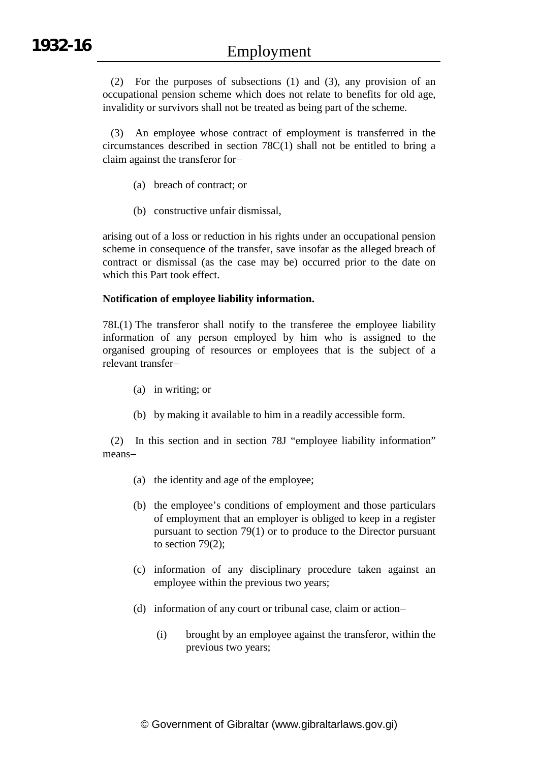(2) For the purposes of subsections (1) and (3), any provision of an occupational pension scheme which does not relate to benefits for old age, invalidity or survivors shall not be treated as being part of the scheme.

(3) An employee whose contract of employment is transferred in the circumstances described in section 78C(1) shall not be entitled to bring a claim against the transferor for

- (a) breach of contract; or
- (b) constructive unfair dismissal,

arising out of a loss or reduction in his rights under an occupational pension scheme in consequence of the transfer, save insofar as the alleged breach of contract or dismissal (as the case may be) occurred prior to the date on which this Part took effect.

# **Notification of employee liability information.**

78I.(1) The transferor shall notify to the transferee the employee liability information of any person employed by him who is assigned to the organised grouping of resources or employees that is the subject of a relevant transfer

- (a) in writing; or
- (b) by making it available to him in a readily accessible form.

(2) In this section and in section 78J "employee liability information" means

- (a) the identity and age of the employee;
- (b) the employee's conditions of employment and those particulars of employment that an employer is obliged to keep in a register pursuant to section 79(1) or to produce to the Director pursuant to section 79(2);
- (c) information of any disciplinary procedure taken against an employee within the previous two years;
- (d) information of any court or tribunal case, claim or action
	- (i) brought by an employee against the transferor, within the previous two years;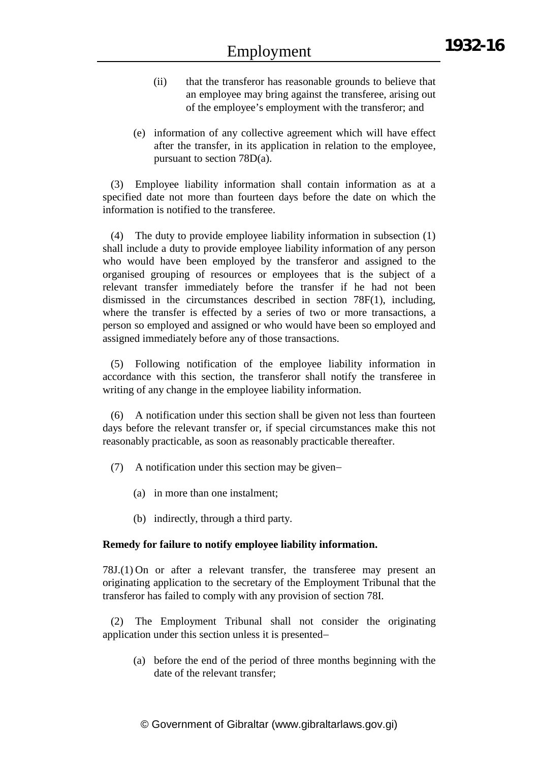- (ii) that the transferor has reasonable grounds to believe that an employee may bring against the transferee, arising out of the employee's employment with the transferor; and
- (e) information of any collective agreement which will have effect after the transfer, in its application in relation to the employee, pursuant to section 78D(a).

(3) Employee liability information shall contain information as at a specified date not more than fourteen days before the date on which the information is notified to the transferee.

(4) The duty to provide employee liability information in subsection (1) shall include a duty to provide employee liability information of any person who would have been employed by the transferor and assigned to the organised grouping of resources or employees that is the subject of a relevant transfer immediately before the transfer if he had not been dismissed in the circumstances described in section 78F(1), including, where the transfer is effected by a series of two or more transactions, a person so employed and assigned or who would have been so employed and assigned immediately before any of those transactions.

(5) Following notification of the employee liability information in accordance with this section, the transferor shall notify the transferee in writing of any change in the employee liability information.

(6) A notification under this section shall be given not less than fourteen days before the relevant transfer or, if special circumstances make this not reasonably practicable, as soon as reasonably practicable thereafter.

- (7) A notification under this section may be given
	- (a) in more than one instalment;
	- (b) indirectly, through a third party.

## **Remedy for failure to notify employee liability information.**

78J.(1) On or after a relevant transfer, the transferee may present an originating application to the secretary of the Employment Tribunal that the transferor has failed to comply with any provision of section 78I.

(2) The Employment Tribunal shall not consider the originating application under this section unless it is presented

(a) before the end of the period of three months beginning with the date of the relevant transfer;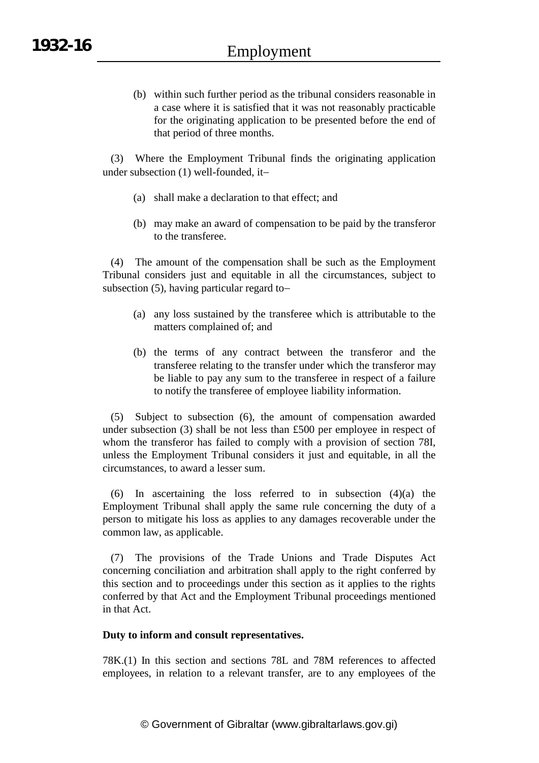(b) within such further period as the tribunal considers reasonable in a case where it is satisfied that it was not reasonably practicable for the originating application to be presented before the end of that period of three months.

(3) Where the Employment Tribunal finds the originating application under subsection (1) well-founded, it

- (a) shall make a declaration to that effect; and
- (b) may make an award of compensation to be paid by the transferor to the transferee.

(4) The amount of the compensation shall be such as the Employment Tribunal considers just and equitable in all the circumstances, subject to subsection (5), having particular regard to

- (a) any loss sustained by the transferee which is attributable to the matters complained of; and
- (b) the terms of any contract between the transferor and the transferee relating to the transfer under which the transferor may be liable to pay any sum to the transferee in respect of a failure to notify the transferee of employee liability information.

(5) Subject to subsection (6), the amount of compensation awarded under subsection (3) shall be not less than £500 per employee in respect of whom the transferor has failed to comply with a provision of section 78I, unless the Employment Tribunal considers it just and equitable, in all the circumstances, to award a lesser sum.

(6) In ascertaining the loss referred to in subsection (4)(a) the Employment Tribunal shall apply the same rule concerning the duty of a person to mitigate his loss as applies to any damages recoverable under the common law, as applicable.

(7) The provisions of the Trade Unions and Trade Disputes Act concerning conciliation and arbitration shall apply to the right conferred by this section and to proceedings under this section as it applies to the rights conferred by that Act and the Employment Tribunal proceedings mentioned in that Act.

## **Duty to inform and consult representatives.**

78K.(1) In this section and sections 78L and 78M references to affected employees, in relation to a relevant transfer, are to any employees of the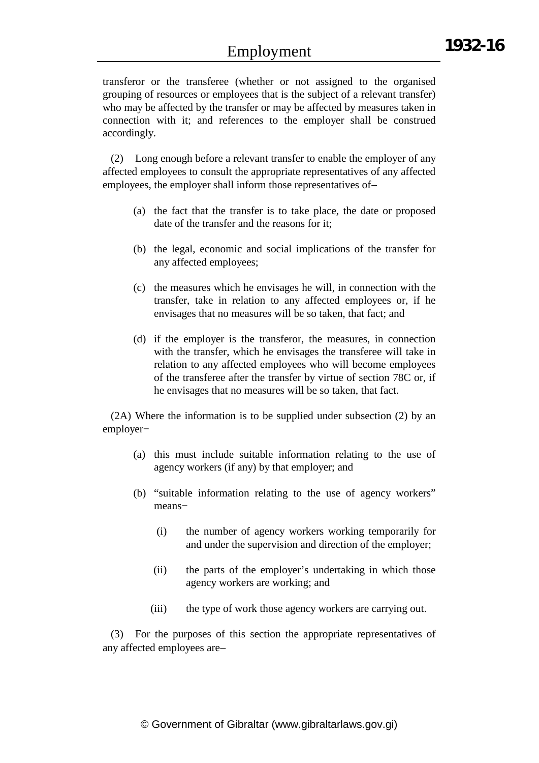transferor or the transferee (whether or not assigned to the organised grouping of resources or employees that is the subject of a relevant transfer) who may be affected by the transfer or may be affected by measures taken in connection with it; and references to the employer shall be construed accordingly.

(2) Long enough before a relevant transfer to enable the employer of any affected employees to consult the appropriate representatives of any affected employees, the employer shall inform those representatives of

- (a) the fact that the transfer is to take place, the date or proposed date of the transfer and the reasons for it;
- (b) the legal, economic and social implications of the transfer for any affected employees;
- (c) the measures which he envisages he will, in connection with the transfer, take in relation to any affected employees or, if he envisages that no measures will be so taken, that fact; and
- (d) if the employer is the transferor, the measures, in connection with the transfer, which he envisages the transferee will take in relation to any affected employees who will become employees of the transferee after the transfer by virtue of section 78C or, if he envisages that no measures will be so taken, that fact.

(2A) Where the information is to be supplied under subsection (2) by an employer−

- (a) this must include suitable information relating to the use of agency workers (if any) by that employer; and
- (b) "suitable information relating to the use of agency workers" means–
	- (i) the number of agency workers working temporarily for and under the supervision and direction of the employer;
	- (ii) the parts of the employer's undertaking in which those agency workers are working; and
	- (iii) the type of work those agency workers are carrying out.

(3) For the purposes of this section the appropriate representatives of any affected employees are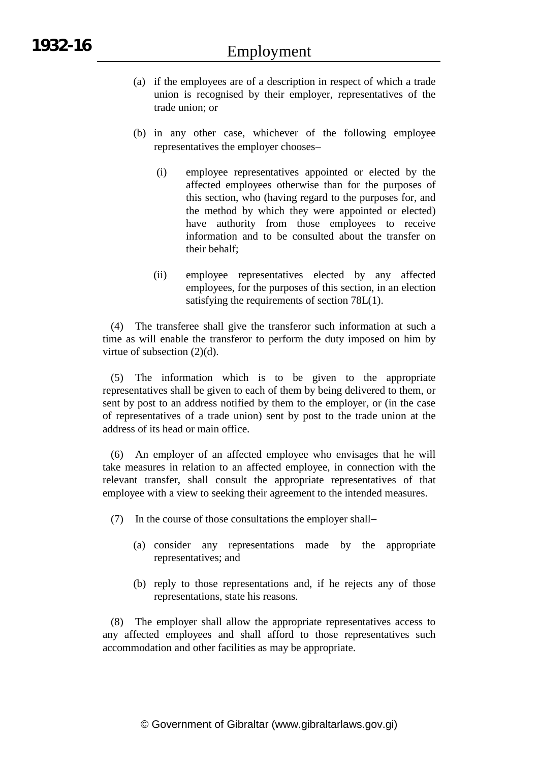- (a) if the employees are of a description in respect of which a trade union is recognised by their employer, representatives of the trade union; or
- (b) in any other case, whichever of the following employee representatives the employer chooses
	- (i) employee representatives appointed or elected by the affected employees otherwise than for the purposes of this section, who (having regard to the purposes for, and the method by which they were appointed or elected) have authority from those employees to receive information and to be consulted about the transfer on their behalf;
	- (ii) employee representatives elected by any affected employees, for the purposes of this section, in an election satisfying the requirements of section 78L(1).

(4) The transferee shall give the transferor such information at such a time as will enable the transferor to perform the duty imposed on him by virtue of subsection (2)(d).

(5) The information which is to be given to the appropriate representatives shall be given to each of them by being delivered to them, or sent by post to an address notified by them to the employer, or (in the case of representatives of a trade union) sent by post to the trade union at the address of its head or main office.

(6) An employer of an affected employee who envisages that he will take measures in relation to an affected employee, in connection with the relevant transfer, shall consult the appropriate representatives of that employee with a view to seeking their agreement to the intended measures.

(7) In the course of those consultations the employer shall

- (a) consider any representations made by the appropriate representatives; and
- (b) reply to those representations and, if he rejects any of those representations, state his reasons.

(8) The employer shall allow the appropriate representatives access to any affected employees and shall afford to those representatives such accommodation and other facilities as may be appropriate.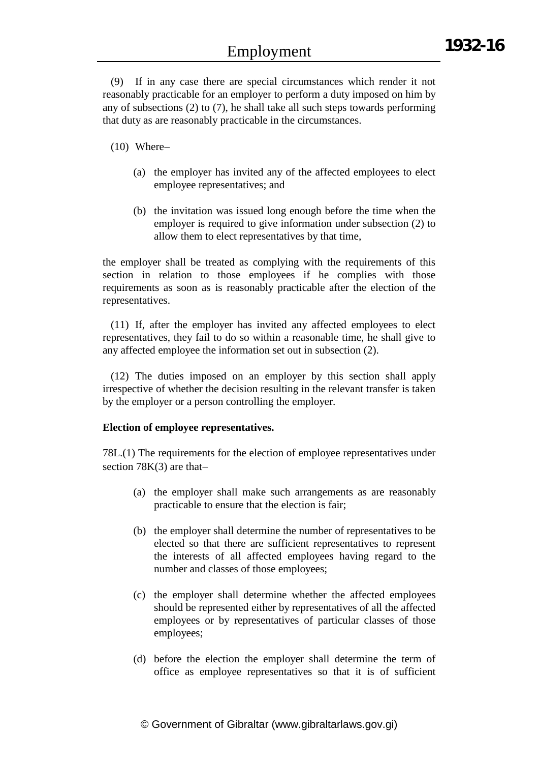(9) If in any case there are special circumstances which render it not reasonably practicable for an employer to perform a duty imposed on him by any of subsections (2) to (7), he shall take all such steps towards performing that duty as are reasonably practicable in the circumstances.

 $(10)$  Where-

- (a) the employer has invited any of the affected employees to elect employee representatives; and
- (b) the invitation was issued long enough before the time when the employer is required to give information under subsection (2) to allow them to elect representatives by that time,

the employer shall be treated as complying with the requirements of this section in relation to those employees if he complies with those requirements as soon as is reasonably practicable after the election of the representatives.

(11) If, after the employer has invited any affected employees to elect representatives, they fail to do so within a reasonable time, he shall give to any affected employee the information set out in subsection (2).

(12) The duties imposed on an employer by this section shall apply irrespective of whether the decision resulting in the relevant transfer is taken by the employer or a person controlling the employer.

## **Election of employee representatives.**

78L.(1) The requirements for the election of employee representatives under section  $78K(3)$  are that-

- (a) the employer shall make such arrangements as are reasonably practicable to ensure that the election is fair;
- (b) the employer shall determine the number of representatives to be elected so that there are sufficient representatives to represent the interests of all affected employees having regard to the number and classes of those employees;
- (c) the employer shall determine whether the affected employees should be represented either by representatives of all the affected employees or by representatives of particular classes of those employees;
- (d) before the election the employer shall determine the term of office as employee representatives so that it is of sufficient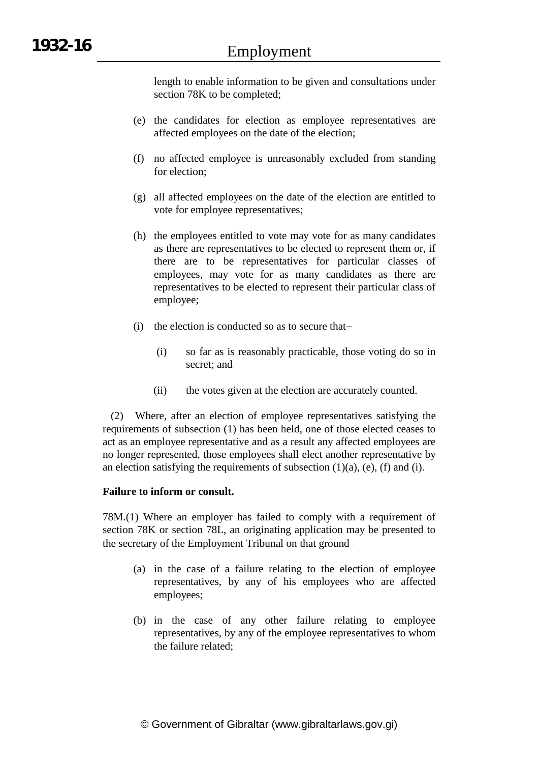length to enable information to be given and consultations under section 78K to be completed;

- (e) the candidates for election as employee representatives are affected employees on the date of the election;
- (f) no affected employee is unreasonably excluded from standing for election;
- (g) all affected employees on the date of the election are entitled to vote for employee representatives;
- (h) the employees entitled to vote may vote for as many candidates as there are representatives to be elected to represent them or, if there are to be representatives for particular classes of employees, may vote for as many candidates as there are representatives to be elected to represent their particular class of employee;
- (i) the election is conducted so as to secure that
	- (i) so far as is reasonably practicable, those voting do so in secret; and
	- (ii) the votes given at the election are accurately counted.

(2) Where, after an election of employee representatives satisfying the requirements of subsection (1) has been held, one of those elected ceases to act as an employee representative and as a result any affected employees are no longer represented, those employees shall elect another representative by an election satisfying the requirements of subsection  $(1)(a)$ ,  $(e)$ ,  $(f)$  and  $(i)$ .

# **Failure to inform or consult.**

78M.(1) Where an employer has failed to comply with a requirement of section 78K or section 78L, an originating application may be presented to the secretary of the Employment Tribunal on that ground

- (a) in the case of a failure relating to the election of employee representatives, by any of his employees who are affected employees;
- (b) in the case of any other failure relating to employee representatives, by any of the employee representatives to whom the failure related;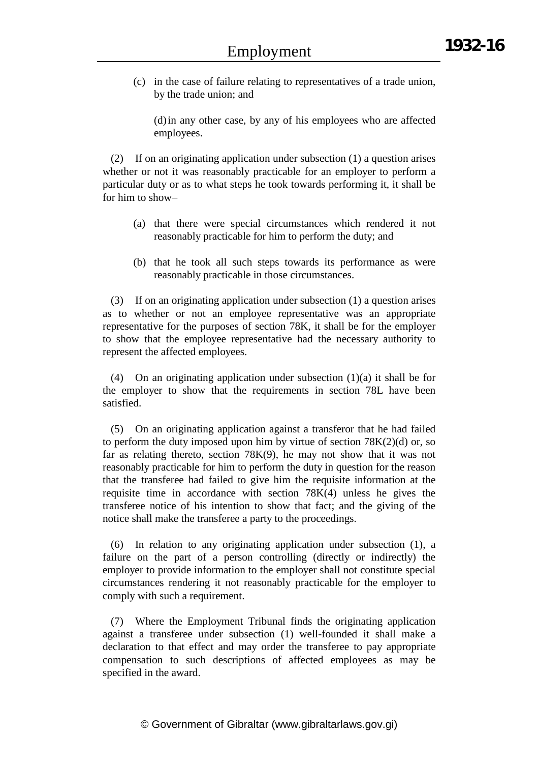(c) in the case of failure relating to representatives of a trade union, by the trade union; and

(d)in any other case, by any of his employees who are affected employees.

(2) If on an originating application under subsection (1) a question arises whether or not it was reasonably practicable for an employer to perform a particular duty or as to what steps he took towards performing it, it shall be for him to show

- (a) that there were special circumstances which rendered it not reasonably practicable for him to perform the duty; and
- (b) that he took all such steps towards its performance as were reasonably practicable in those circumstances.

(3) If on an originating application under subsection (1) a question arises as to whether or not an employee representative was an appropriate representative for the purposes of section 78K, it shall be for the employer to show that the employee representative had the necessary authority to represent the affected employees.

(4) On an originating application under subsection (1)(a) it shall be for the employer to show that the requirements in section 78L have been satisfied.

(5) On an originating application against a transferor that he had failed to perform the duty imposed upon him by virtue of section  $78K(2)(d)$  or, so far as relating thereto, section 78K(9), he may not show that it was not reasonably practicable for him to perform the duty in question for the reason that the transferee had failed to give him the requisite information at the requisite time in accordance with section 78K(4) unless he gives the transferee notice of his intention to show that fact; and the giving of the notice shall make the transferee a party to the proceedings.

(6) In relation to any originating application under subsection (1), a failure on the part of a person controlling (directly or indirectly) the employer to provide information to the employer shall not constitute special circumstances rendering it not reasonably practicable for the employer to comply with such a requirement.

(7) Where the Employment Tribunal finds the originating application against a transferee under subsection (1) well-founded it shall make a declaration to that effect and may order the transferee to pay appropriate compensation to such descriptions of affected employees as may be specified in the award.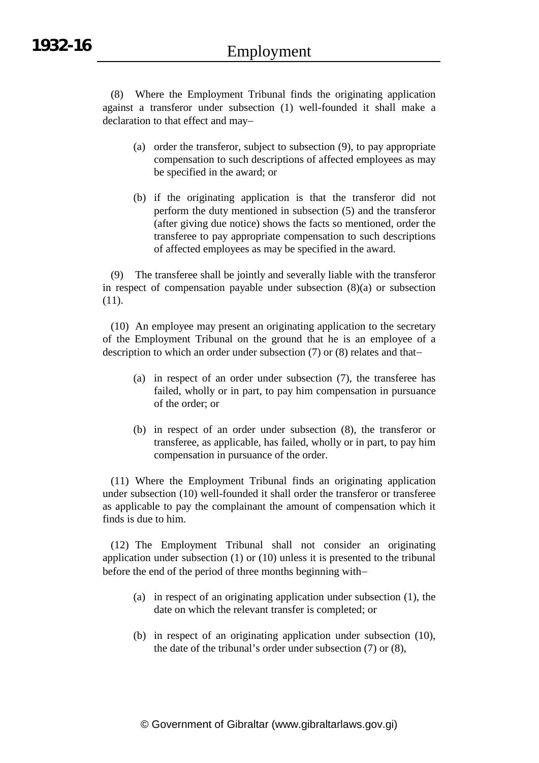(8) Where the Employment Tribunal finds the originating application against a transferor under subsection (1) well-founded it shall make a declaration to that effect and may

- (a) order the transferor, subject to subsection (9), to pay appropriate compensation to such descriptions of affected employees as may be specified in the award; or
- (b) if the originating application is that the transferor did not perform the duty mentioned in subsection (5) and the transferor (after giving due notice) shows the facts so mentioned, order the transferee to pay appropriate compensation to such descriptions of affected employees as may be specified in the award.

(9) The transferee shall be jointly and severally liable with the transferor in respect of compensation payable under subsection (8)(a) or subsection (11).

(10) An employee may present an originating application to the secretary of the Employment Tribunal on the ground that he is an employee of a description to which an order under subsection (7) or (8) relates and that

- (a) in respect of an order under subsection (7), the transferee has failed, wholly or in part, to pay him compensation in pursuance of the order; or
- (b) in respect of an order under subsection (8), the transferor or transferee, as applicable, has failed, wholly or in part, to pay him compensation in pursuance of the order.

(11) Where the Employment Tribunal finds an originating application under subsection (10) well-founded it shall order the transferor or transferee as applicable to pay the complainant the amount of compensation which it finds is due to him.

(12) The Employment Tribunal shall not consider an originating application under subsection (1) or (10) unless it is presented to the tribunal before the end of the period of three months beginning with

- (a) in respect of an originating application under subsection (1), the date on which the relevant transfer is completed; or
- (b) in respect of an originating application under subsection (10), the date of the tribunal's order under subsection (7) or (8),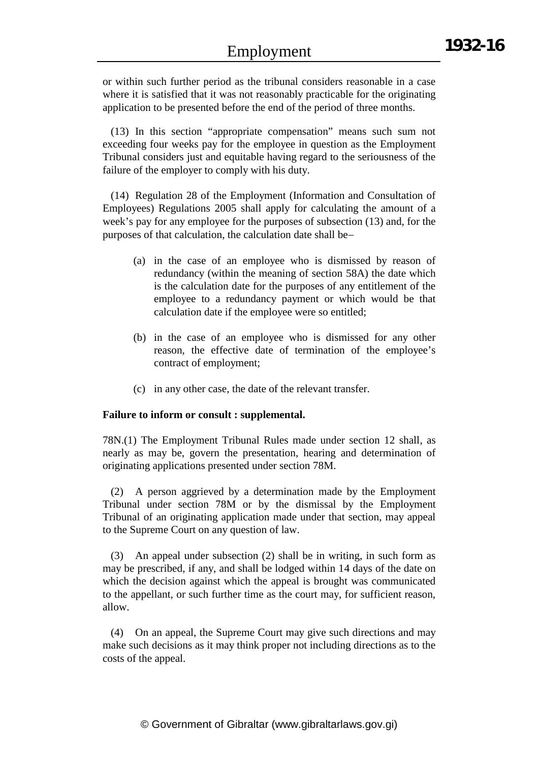or within such further period as the tribunal considers reasonable in a case where it is satisfied that it was not reasonably practicable for the originating application to be presented before the end of the period of three months.

(13) In this section "appropriate compensation" means such sum not exceeding four weeks pay for the employee in question as the Employment Tribunal considers just and equitable having regard to the seriousness of the failure of the employer to comply with his duty.

(14) Regulation 28 of the Employment (Information and Consultation of Employees) Regulations 2005 shall apply for calculating the amount of a week's pay for any employee for the purposes of subsection (13) and, for the purposes of that calculation, the calculation date shall be

- (a) in the case of an employee who is dismissed by reason of redundancy (within the meaning of section 58A) the date which is the calculation date for the purposes of any entitlement of the employee to a redundancy payment or which would be that calculation date if the employee were so entitled;
- (b) in the case of an employee who is dismissed for any other reason, the effective date of termination of the employee's contract of employment;
- (c) in any other case, the date of the relevant transfer.

## **Failure to inform or consult : supplemental.**

78N.(1) The Employment Tribunal Rules made under section 12 shall, as nearly as may be, govern the presentation, hearing and determination of originating applications presented under section 78M.

(2) A person aggrieved by a determination made by the Employment Tribunal under section 78M or by the dismissal by the Employment Tribunal of an originating application made under that section, may appeal to the Supreme Court on any question of law.

(3) An appeal under subsection (2) shall be in writing, in such form as may be prescribed, if any, and shall be lodged within 14 days of the date on which the decision against which the appeal is brought was communicated to the appellant, or such further time as the court may, for sufficient reason, allow.

(4) On an appeal, the Supreme Court may give such directions and may make such decisions as it may think proper not including directions as to the costs of the appeal.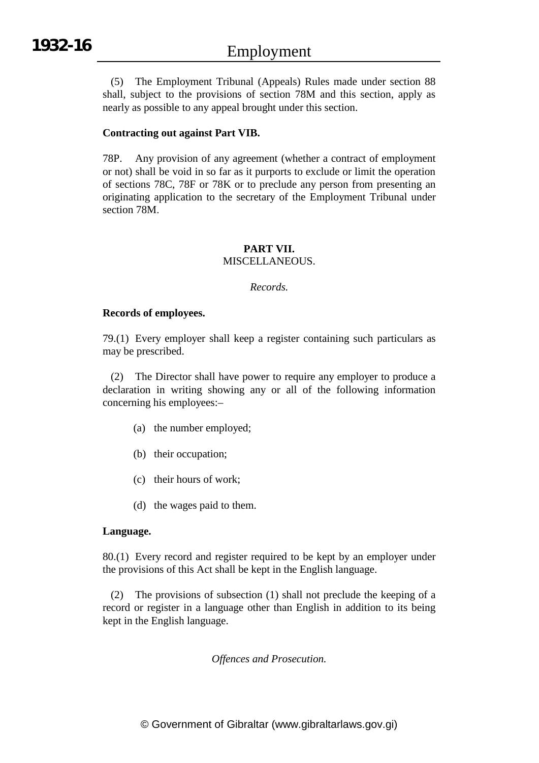(5) The Employment Tribunal (Appeals) Rules made under section 88 shall, subject to the provisions of section 78M and this section, apply as nearly as possible to any appeal brought under this section.

## **Contracting out against Part VIB.**

78P. Any provision of any agreement (whether a contract of employment or not) shall be void in so far as it purports to exclude or limit the operation of sections 78C, 78F or 78K or to preclude any person from presenting an originating application to the secretary of the Employment Tribunal under section 78M.

# **PART VII.**

#### MISCELLANEOUS.

*Records.*

## **Records of employees.**

79.(1) Every employer shall keep a register containing such particulars as may be prescribed.

(2) The Director shall have power to require any employer to produce a declaration in writing showing any or all of the following information concerning his employees:–

- (a) the number employed;
- (b) their occupation;
- (c) their hours of work;
- (d) the wages paid to them.

## **Language.**

80.(1) Every record and register required to be kept by an employer under the provisions of this Act shall be kept in the English language.

(2) The provisions of subsection (1) shall not preclude the keeping of a record or register in a language other than English in addition to its being kept in the English language.

*Offences and Prosecution.*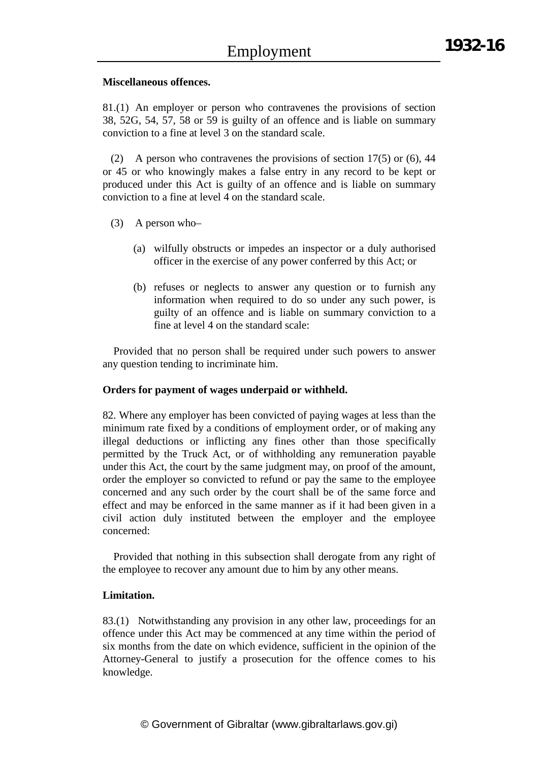#### **Miscellaneous offences.**

81.(1) An employer or person who contravenes the provisions of section 38, 52G, 54, 57, 58 or 59 is guilty of an offence and is liable on summary conviction to a fine at level 3 on the standard scale.

(2) A person who contravenes the provisions of section 17(5) or (6), 44 or 45 or who knowingly makes a false entry in any record to be kept or produced under this Act is guilty of an offence and is liable on summary conviction to a fine at level 4 on the standard scale.

- (3) A person who–
	- (a) wilfully obstructs or impedes an inspector or a duly authorised officer in the exercise of any power conferred by this Act; or
	- (b) refuses or neglects to answer any question or to furnish any information when required to do so under any such power, is guilty of an offence and is liable on summary conviction to a fine at level 4 on the standard scale:

Provided that no person shall be required under such powers to answer any question tending to incriminate him.

## **Orders for payment of wages underpaid or withheld.**

82. Where any employer has been convicted of paying wages at less than the minimum rate fixed by a conditions of employment order, or of making any illegal deductions or inflicting any fines other than those specifically permitted by the Truck Act, or of withholding any remuneration payable under this Act, the court by the same judgment may, on proof of the amount, order the employer so convicted to refund or pay the same to the employee concerned and any such order by the court shall be of the same force and effect and may be enforced in the same manner as if it had been given in a civil action duly instituted between the employer and the employee concerned:

Provided that nothing in this subsection shall derogate from any right of the employee to recover any amount due to him by any other means.

## **Limitation.**

83.(1) Notwithstanding any provision in any other law, proceedings for an offence under this Act may be commenced at any time within the period of six months from the date on which evidence, sufficient in the opinion of the Attorney-General to justify a prosecution for the offence comes to his knowledge.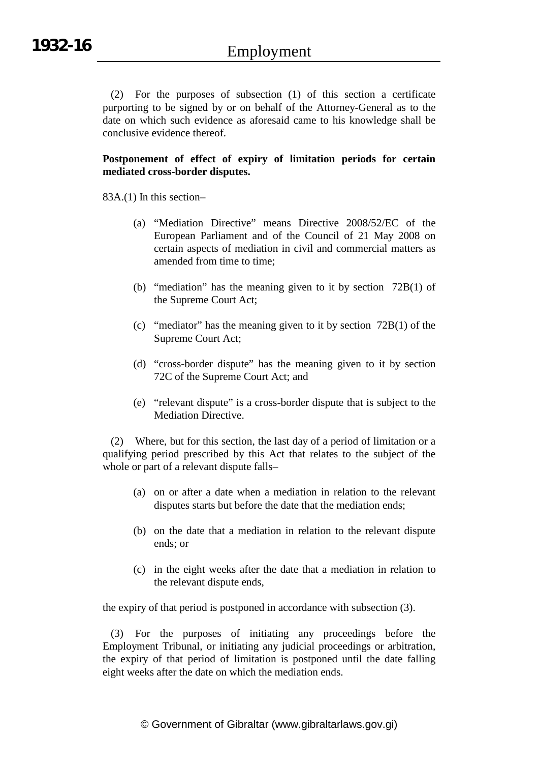(2) For the purposes of subsection (1) of this section a certificate purporting to be signed by or on behalf of the Attorney-General as to the date on which such evidence as aforesaid came to his knowledge shall be conclusive evidence thereof.

# **Postponement of effect of expiry of limitation periods for certain mediated cross-border disputes.**

83A.(1) In this section–

- (a) "Mediation Directive" means Directive 2008/52/EC of the European Parliament and of the Council of 21 May 2008 on certain aspects of mediation in civil and commercial matters as amended from time to time;
- (b) "mediation" has the meaning given to it by section 72B(1) of the Supreme Court Act;
- (c) "mediator" has the meaning given to it by section 72B(1) of the Supreme Court Act;
- (d) "cross-border dispute" has the meaning given to it by section 72C of the Supreme Court Act; and
- (e) "relevant dispute" is a cross-border dispute that is subject to the Mediation Directive.

(2) Where, but for this section, the last day of a period of limitation or a qualifying period prescribed by this Act that relates to the subject of the whole or part of a relevant dispute falls–

- (a) on or after a date when a mediation in relation to the relevant disputes starts but before the date that the mediation ends;
- (b) on the date that a mediation in relation to the relevant dispute ends; or
- (c) in the eight weeks after the date that a mediation in relation to the relevant dispute ends,

the expiry of that period is postponed in accordance with subsection (3).

(3) For the purposes of initiating any proceedings before the Employment Tribunal, or initiating any judicial proceedings or arbitration, the expiry of that period of limitation is postponed until the date falling eight weeks after the date on which the mediation ends.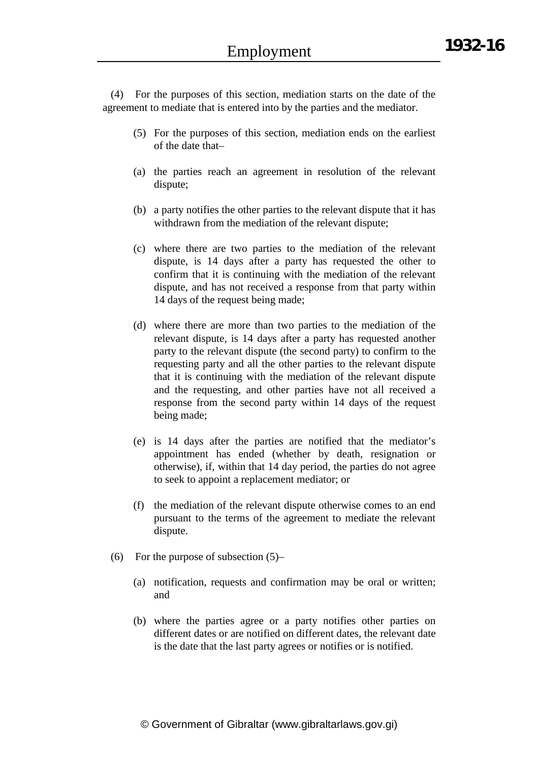(4) For the purposes of this section, mediation starts on the date of the agreement to mediate that is entered into by the parties and the mediator.

- (5) For the purposes of this section, mediation ends on the earliest of the date that–
- (a) the parties reach an agreement in resolution of the relevant dispute;
- (b) a party notifies the other parties to the relevant dispute that it has withdrawn from the mediation of the relevant dispute;
- (c) where there are two parties to the mediation of the relevant dispute, is 14 days after a party has requested the other to confirm that it is continuing with the mediation of the relevant dispute, and has not received a response from that party within 14 days of the request being made;
- (d) where there are more than two parties to the mediation of the relevant dispute, is 14 days after a party has requested another party to the relevant dispute (the second party) to confirm to the requesting party and all the other parties to the relevant dispute that it is continuing with the mediation of the relevant dispute and the requesting, and other parties have not all received a response from the second party within 14 days of the request being made;
- (e) is 14 days after the parties are notified that the mediator's appointment has ended (whether by death, resignation or otherwise), if, within that 14 day period, the parties do not agree to seek to appoint a replacement mediator; or
- (f) the mediation of the relevant dispute otherwise comes to an end pursuant to the terms of the agreement to mediate the relevant dispute.
- (6) For the purpose of subsection  $(5)$ 
	- (a) notification, requests and confirmation may be oral or written; and
	- (b) where the parties agree or a party notifies other parties on different dates or are notified on different dates, the relevant date is the date that the last party agrees or notifies or is notified.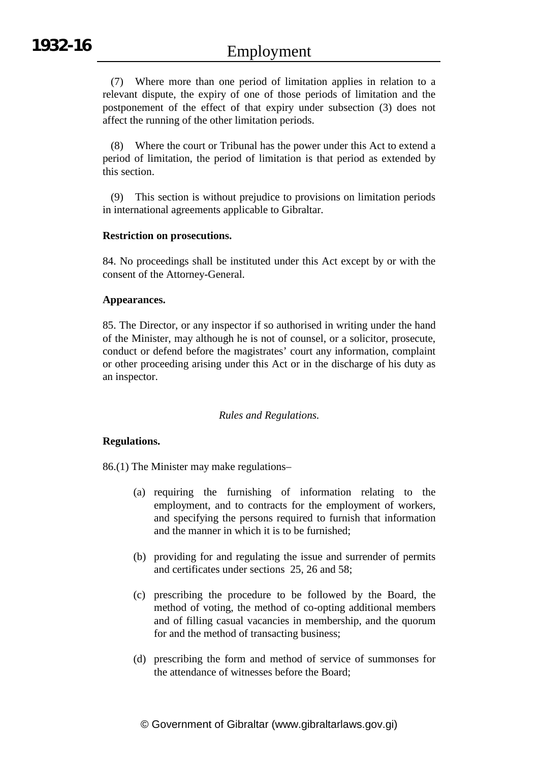(7) Where more than one period of limitation applies in relation to a relevant dispute, the expiry of one of those periods of limitation and the postponement of the effect of that expiry under subsection (3) does not affect the running of the other limitation periods.

(8) Where the court or Tribunal has the power under this Act to extend a period of limitation, the period of limitation is that period as extended by this section.

(9) This section is without prejudice to provisions on limitation periods in international agreements applicable to Gibraltar.

# **Restriction on prosecutions.**

84. No proceedings shall be instituted under this Act except by or with the consent of the Attorney-General.

# **Appearances.**

85. The Director, or any inspector if so authorised in writing under the hand of the Minister, may although he is not of counsel, or a solicitor, prosecute, conduct or defend before the magistrates' court any information, complaint or other proceeding arising under this Act or in the discharge of his duty as an inspector.

# *Rules and Regulations.*

## **Regulations.**

86.(1) The Minister may make regulations–

- (a) requiring the furnishing of information relating to the employment, and to contracts for the employment of workers, and specifying the persons required to furnish that information and the manner in which it is to be furnished;
- (b) providing for and regulating the issue and surrender of permits and certificates under sections 25, 26 and 58;
- (c) prescribing the procedure to be followed by the Board, the method of voting, the method of co-opting additional members and of filling casual vacancies in membership, and the quorum for and the method of transacting business;
- (d) prescribing the form and method of service of summonses for the attendance of witnesses before the Board;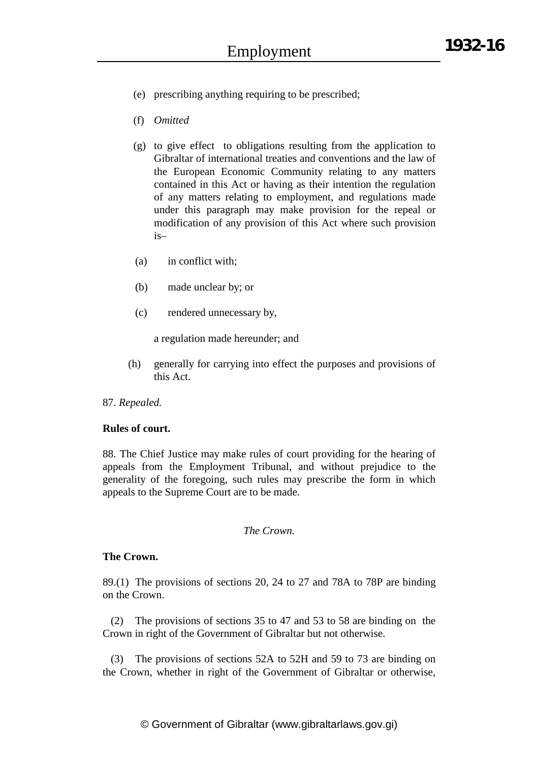- (e) prescribing anything requiring to be prescribed;
- (f) *Omitted*
- (g) to give effect to obligations resulting from the application to Gibraltar of international treaties and conventions and the law of the European Economic Community relating to any matters contained in this Act or having as their intention the regulation of any matters relating to employment, and regulations made under this paragraph may make provision for the repeal or modification of any provision of this Act where such provision is–
- (a) in conflict with;
- (b) made unclear by; or
- (c) rendered unnecessary by,

a regulation made hereunder; and

(h) generally for carrying into effect the purposes and provisions of this Act.

87. *Repealed.*

#### **Rules of court.**

88. The Chief Justice may make rules of court providing for the hearing of appeals from the Employment Tribunal, and without prejudice to the generality of the foregoing, such rules may prescribe the form in which appeals to the Supreme Court are to be made.

*The Crown.*

#### **The Crown.**

89.(1) The provisions of sections 20, 24 to 27 and 78A to 78P are binding on the Crown.

(2) The provisions of sections 35 to 47 and 53 to 58 are binding on the Crown in right of the Government of Gibraltar but not otherwise.

(3) The provisions of sections 52A to 52H and 59 to 73 are binding on the Crown, whether in right of the Government of Gibraltar or otherwise,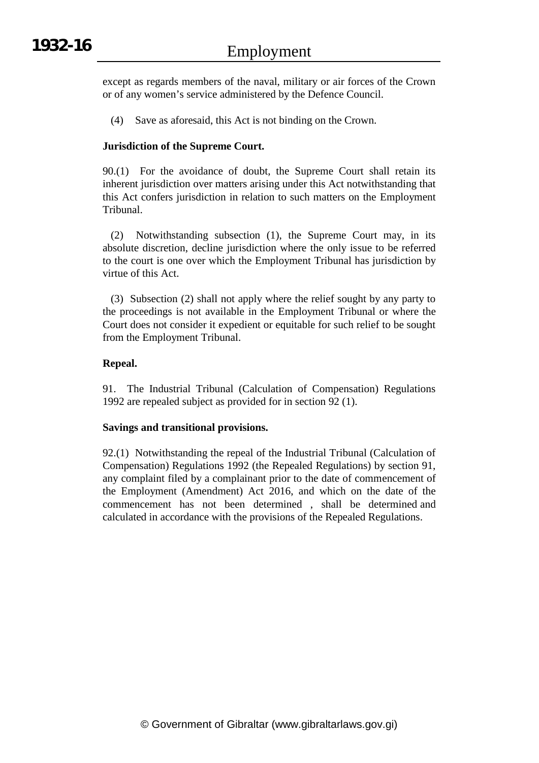except as regards members of the naval, military or air forces of the Crown or of any women's service administered by the Defence Council.

(4) Save as aforesaid, this Act is not binding on the Crown.

# **Jurisdiction of the Supreme Court.**

90.(1) For the avoidance of doubt, the Supreme Court shall retain its inherent jurisdiction over matters arising under this Act notwithstanding that this Act confers jurisdiction in relation to such matters on the Employment Tribunal.

(2) Notwithstanding subsection (1), the Supreme Court may, in its absolute discretion, decline jurisdiction where the only issue to be referred to the court is one over which the Employment Tribunal has jurisdiction by virtue of this Act.

(3) Subsection (2) shall not apply where the relief sought by any party to the proceedings is not available in the Employment Tribunal or where the Court does not consider it expedient or equitable for such relief to be sought from the Employment Tribunal.

# **Repeal.**

91. The Industrial Tribunal (Calculation of Compensation) Regulations 1992 are repealed subject as provided for in section 92 (1).

## **Savings and transitional provisions.**

92.(1) Notwithstanding the repeal of the Industrial Tribunal (Calculation of Compensation) Regulations 1992 (the Repealed Regulations) by section 91, any complaint filed by a complainant prior to the date of commencement of the Employment (Amendment) Act 2016, and which on the date of the commencement has not been determined , shall be determined and calculated in accordance with the provisions of the Repealed Regulations.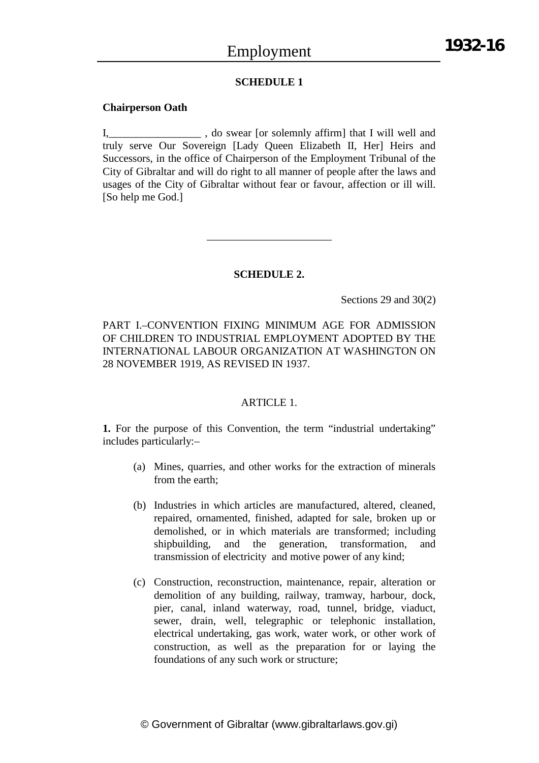## **SCHEDULE 1**

## **Chairperson Oath**

I, and in the swear of solemnly affirm that I will well and truly serve Our Sovereign [Lady Queen Elizabeth II, Her] Heirs and Successors, in the office of Chairperson of the Employment Tribunal of the City of Gibraltar and will do right to all manner of people after the laws and usages of the City of Gibraltar without fear or favour, affection or ill will. [So help me God.]

#### **SCHEDULE 2.**

\_\_\_\_\_\_\_\_\_\_\_\_\_\_\_\_\_\_\_\_\_\_\_

Sections 29 and 30(2)

PART I.–CONVENTION FIXING MINIMUM AGE FOR ADMISSION OF CHILDREN TO INDUSTRIAL EMPLOYMENT ADOPTED BY THE INTERNATIONAL LABOUR ORGANIZATION AT WASHINGTON ON 28 NOVEMBER 1919, AS REVISED IN 1937.

## ARTICLE 1.

**1.** For the purpose of this Convention, the term "industrial undertaking" includes particularly:–

- (a) Mines, quarries, and other works for the extraction of minerals from the earth;
- (b) Industries in which articles are manufactured, altered, cleaned, repaired, ornamented, finished, adapted for sale, broken up or demolished, or in which materials are transformed; including shipbuilding, and the generation, transformation, and transmission of electricity and motive power of any kind;
- (c) Construction, reconstruction, maintenance, repair, alteration or demolition of any building, railway, tramway, harbour, dock, pier, canal, inland waterway, road, tunnel, bridge, viaduct, sewer, drain, well, telegraphic or telephonic installation, electrical undertaking, gas work, water work, or other work of construction, as well as the preparation for or laying the foundations of any such work or structure;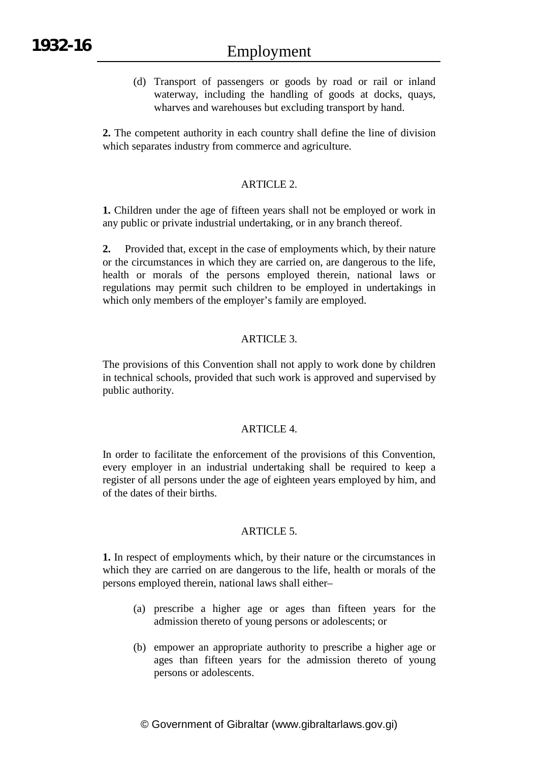(d) Transport of passengers or goods by road or rail or inland waterway, including the handling of goods at docks, quays, wharves and warehouses but excluding transport by hand.

**2.** The competent authority in each country shall define the line of division which separates industry from commerce and agriculture.

## ARTICLE 2.

**1.** Children under the age of fifteen years shall not be employed or work in any public or private industrial undertaking, or in any branch thereof.

**2.** Provided that, except in the case of employments which, by their nature or the circumstances in which they are carried on, are dangerous to the life, health or morals of the persons employed therein, national laws or regulations may permit such children to be employed in undertakings in which only members of the employer's family are employed.

# ARTICLE 3.

The provisions of this Convention shall not apply to work done by children in technical schools, provided that such work is approved and supervised by public authority.

## ARTICLE 4.

In order to facilitate the enforcement of the provisions of this Convention, every employer in an industrial undertaking shall be required to keep a register of all persons under the age of eighteen years employed by him, and of the dates of their births.

## ARTICLE 5.

**1.** In respect of employments which, by their nature or the circumstances in which they are carried on are dangerous to the life, health or morals of the persons employed therein, national laws shall either–

- (a) prescribe a higher age or ages than fifteen years for the admission thereto of young persons or adolescents; or
- (b) empower an appropriate authority to prescribe a higher age or ages than fifteen years for the admission thereto of young persons or adolescents.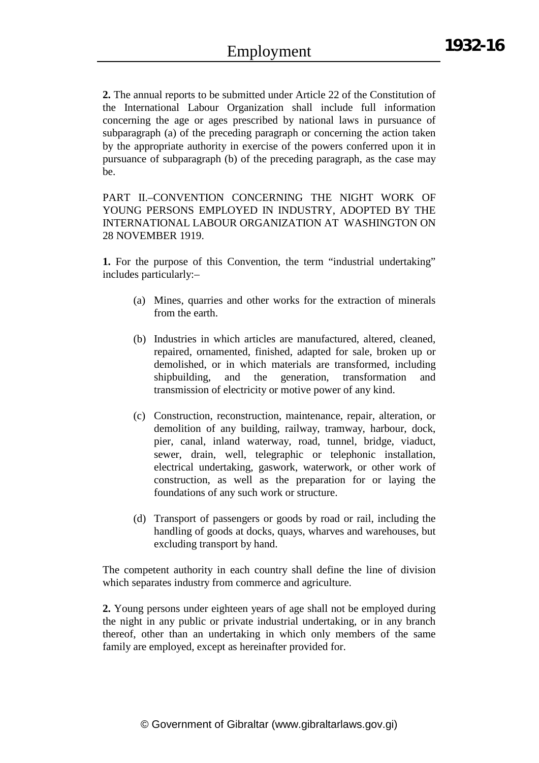**2.** The annual reports to be submitted under Article 22 of the Constitution of the International Labour Organization shall include full information concerning the age or ages prescribed by national laws in pursuance of subparagraph (a) of the preceding paragraph or concerning the action taken by the appropriate authority in exercise of the powers conferred upon it in pursuance of subparagraph (b) of the preceding paragraph, as the case may be.

PART II.–CONVENTION CONCERNING THE NIGHT WORK OF YOUNG PERSONS EMPLOYED IN INDUSTRY, ADOPTED BY THE INTERNATIONAL LABOUR ORGANIZATION AT WASHINGTON ON 28 NOVEMBER 1919.

**1.** For the purpose of this Convention, the term "industrial undertaking" includes particularly:–

- (a) Mines, quarries and other works for the extraction of minerals from the earth.
- (b) Industries in which articles are manufactured, altered, cleaned, repaired, ornamented, finished, adapted for sale, broken up or demolished, or in which materials are transformed, including shipbuilding, and the generation, transformation and transmission of electricity or motive power of any kind.
- (c) Construction, reconstruction, maintenance, repair, alteration, or demolition of any building, railway, tramway, harbour, dock, pier, canal, inland waterway, road, tunnel, bridge, viaduct, sewer, drain, well, telegraphic or telephonic installation, electrical undertaking, gaswork, waterwork, or other work of construction, as well as the preparation for or laying the foundations of any such work or structure.
- (d) Transport of passengers or goods by road or rail, including the handling of goods at docks, quays, wharves and warehouses, but excluding transport by hand.

The competent authority in each country shall define the line of division which separates industry from commerce and agriculture.

**2.** Young persons under eighteen years of age shall not be employed during the night in any public or private industrial undertaking, or in any branch thereof, other than an undertaking in which only members of the same family are employed, except as hereinafter provided for.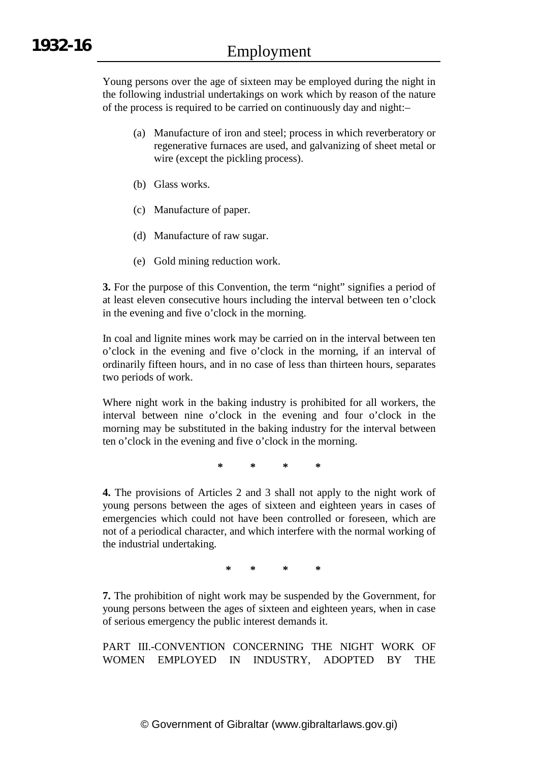Young persons over the age of sixteen may be employed during the night in the following industrial undertakings on work which by reason of the nature of the process is required to be carried on continuously day and night:–

- (a) Manufacture of iron and steel; process in which reverberatory or regenerative furnaces are used, and galvanizing of sheet metal or wire (except the pickling process).
- (b) Glass works.
- (c) Manufacture of paper.
- (d) Manufacture of raw sugar.
- (e) Gold mining reduction work.

**3.** For the purpose of this Convention, the term "night" signifies a period of at least eleven consecutive hours including the interval between ten o'clock in the evening and five o'clock in the morning.

In coal and lignite mines work may be carried on in the interval between ten o'clock in the evening and five o'clock in the morning, if an interval of ordinarily fifteen hours, and in no case of less than thirteen hours, separates two periods of work.

Where night work in the baking industry is prohibited for all workers, the interval between nine o'clock in the evening and four o'clock in the morning may be substituted in the baking industry for the interval between ten o'clock in the evening and five o'clock in the morning.

**\* \* \* \***

**4.** The provisions of Articles 2 and 3 shall not apply to the night work of young persons between the ages of sixteen and eighteen years in cases of emergencies which could not have been controlled or foreseen, which are not of a periodical character, and which interfere with the normal working of the industrial undertaking.

**\* \* \* \***

**7.** The prohibition of night work may be suspended by the Government, for young persons between the ages of sixteen and eighteen years, when in case of serious emergency the public interest demands it.

PART III.-CONVENTION CONCERNING THE NIGHT WORK OF WOMEN EMPLOYED IN INDUSTRY, ADOPTED BY THE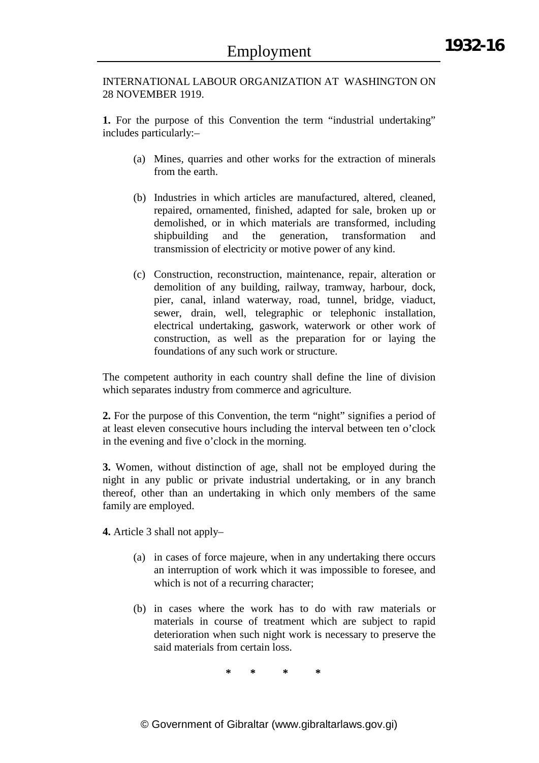# INTERNATIONAL LABOUR ORGANIZATION AT WASHINGTON ON 28 NOVEMBER 1919.

**1.** For the purpose of this Convention the term "industrial undertaking" includes particularly:–

- (a) Mines, quarries and other works for the extraction of minerals from the earth.
- (b) Industries in which articles are manufactured, altered, cleaned, repaired, ornamented, finished, adapted for sale, broken up or demolished, or in which materials are transformed, including shipbuilding and the generation, transformation and transmission of electricity or motive power of any kind.
- (c) Construction, reconstruction, maintenance, repair, alteration or demolition of any building, railway, tramway, harbour, dock, pier, canal, inland waterway, road, tunnel, bridge, viaduct, sewer, drain, well, telegraphic or telephonic installation, electrical undertaking, gaswork, waterwork or other work of construction, as well as the preparation for or laying the foundations of any such work or structure.

The competent authority in each country shall define the line of division which separates industry from commerce and agriculture.

**2.** For the purpose of this Convention, the term "night" signifies a period of at least eleven consecutive hours including the interval between ten o'clock in the evening and five o'clock in the morning.

**3.** Women, without distinction of age, shall not be employed during the night in any public or private industrial undertaking, or in any branch thereof, other than an undertaking in which only members of the same family are employed.

**4.** Article 3 shall not apply–

- (a) in cases of force majeure, when in any undertaking there occurs an interruption of work which it was impossible to foresee, and which is not of a recurring character;
- (b) in cases where the work has to do with raw materials or materials in course of treatment which are subject to rapid deterioration when such night work is necessary to preserve the said materials from certain loss.

**\* \* \* \***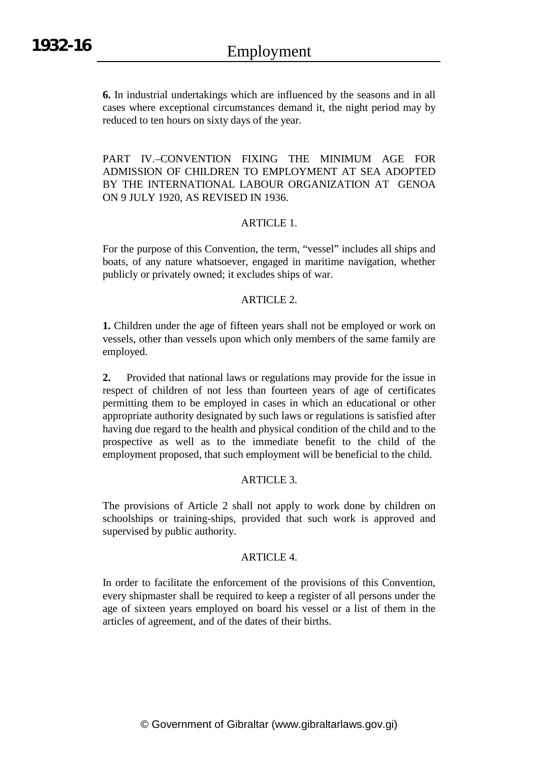**6.** In industrial undertakings which are influenced by the seasons and in all cases where exceptional circumstances demand it, the night period may by reduced to ten hours on sixty days of the year.

PART IV.–CONVENTION FIXING THE MINIMUM AGE FOR ADMISSION OF CHILDREN TO EMPLOYMENT AT SEA ADOPTED BY THE INTERNATIONAL LABOUR ORGANIZATION AT GENOA ON 9 JULY 1920, AS REVISED IN 1936.

## ARTICLE 1.

For the purpose of this Convention, the term, "vessel" includes all ships and boats, of any nature whatsoever, engaged in maritime navigation, whether publicly or privately owned; it excludes ships of war.

# ARTICLE 2.

**1.** Children under the age of fifteen years shall not be employed or work on vessels, other than vessels upon which only members of the same family are employed.

**2.** Provided that national laws or regulations may provide for the issue in respect of children of not less than fourteen years of age of certificates permitting them to be employed in cases in which an educational or other appropriate authority designated by such laws or regulations is satisfied after having due regard to the health and physical condition of the child and to the prospective as well as to the immediate benefit to the child of the employment proposed, that such employment will be beneficial to the child.

## ARTICLE 3.

The provisions of Article 2 shall not apply to work done by children on schoolships or training-ships, provided that such work is approved and supervised by public authority.

## ARTICLE 4.

In order to facilitate the enforcement of the provisions of this Convention, every shipmaster shall be required to keep a register of all persons under the age of sixteen years employed on board his vessel or a list of them in the articles of agreement, and of the dates of their births.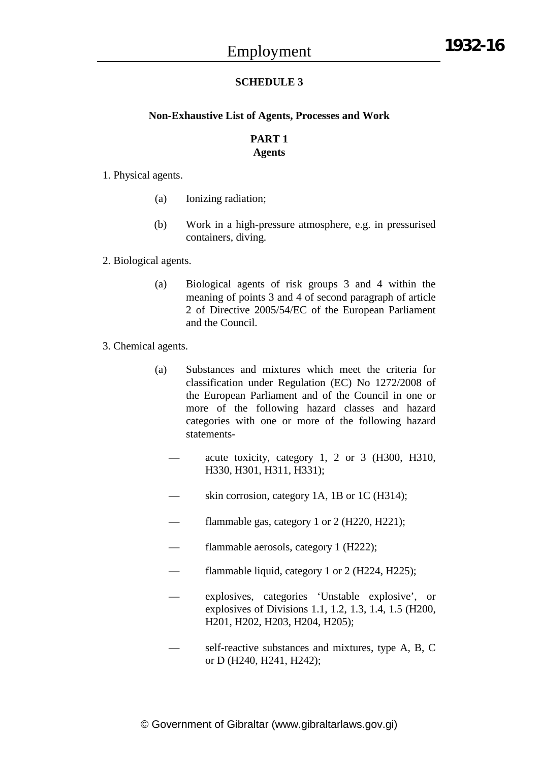# **SCHEDULE 3**

#### **Non-Exhaustive List of Agents, Processes and Work**

# **PART 1 Agents**

#### 1. Physical agents.

- (a) Ionizing radiation;
- (b) Work in a high-pressure atmosphere, e.g. in pressurised containers, diving.

#### 2. Biological agents.

- (a) Biological agents of risk groups 3 and 4 within the meaning of points 3 and 4 of second paragraph of article 2 of Directive 2005/54/EC of the European Parliament and the Council.
- 3. Chemical agents.
	- (a) Substances and mixtures which meet the criteria for classification under Regulation (EC) No 1272/2008 of the European Parliament and of the Council in one or more of the following hazard classes and hazard categories with one or more of the following hazard statements
		- acute toxicity, category 1, 2 or 3  $(H300, H310,$ H330, H301, H311, H331);
		- skin corrosion, category 1A, 1B or 1C (H314);
		- flammable gas, category 1 or 2 (H220, H221);
		- flammable aerosols, category 1 (H222);
		- flammable liquid, category 1 or 2 (H224, H225);
		- explosives, categories 'Unstable explosive', or explosives of Divisions 1.1, 1.2, 1.3, 1.4, 1.5 (H200, H201, H202, H203, H204, H205);
		- self-reactive substances and mixtures, type A, B, C or D (H240, H241, H242);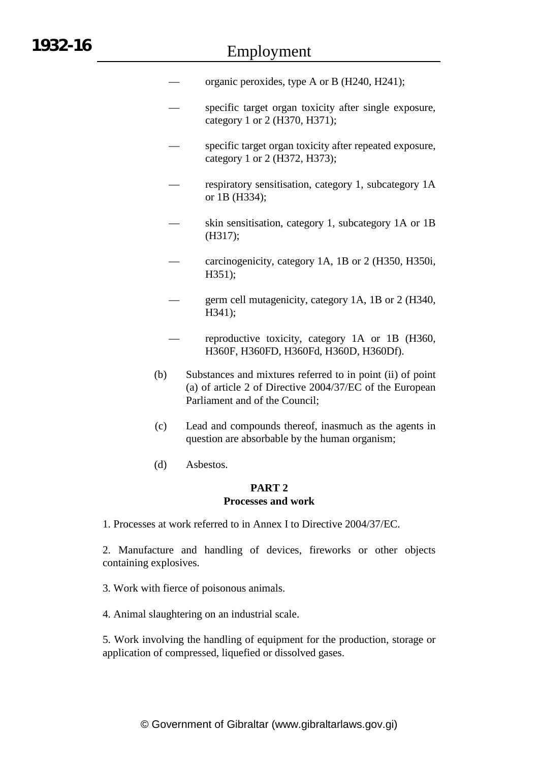# Employment

- organic peroxides, type A or B (H240, H241);
	- specific target organ toxicity after single exposure, category 1 or 2 (H370, H371);
- specific target organ toxicity after repeated exposure, category 1 or 2 (H372, H373);
- respiratory sensitisation, category 1, subcategory 1A or 1B (H334);
- skin sensitisation, category 1, subcategory 1A or 1B (H317);
- carcinogenicity, category 1A, 1B or 2 (H350, H350i, H351);
- germ cell mutagenicity, category 1A, 1B or 2 (H340, H341);
- reproductive toxicity, category 1A or 1B (H360, H360F, H360FD, H360Fd, H360D, H360Df).
- (b) Substances and mixtures referred to in point (ii) of point (a) of article 2 of Directive 2004/37/EC of the European Parliament and of the Council;
- (c) Lead and compounds thereof, inasmuch as the agents in question are absorbable by the human organism;
- (d) Asbestos.

#### **PART 2 Processes and work**

1. Processes at work referred to in Annex I to Directive 2004/37/EC.

2. Manufacture and handling of devices, fireworks or other objects containing explosives.

3. Work with fierce of poisonous animals.

4. Animal slaughtering on an industrial scale.

5. Work involving the handling of equipment for the production, storage or application of compressed, liquefied or dissolved gases.